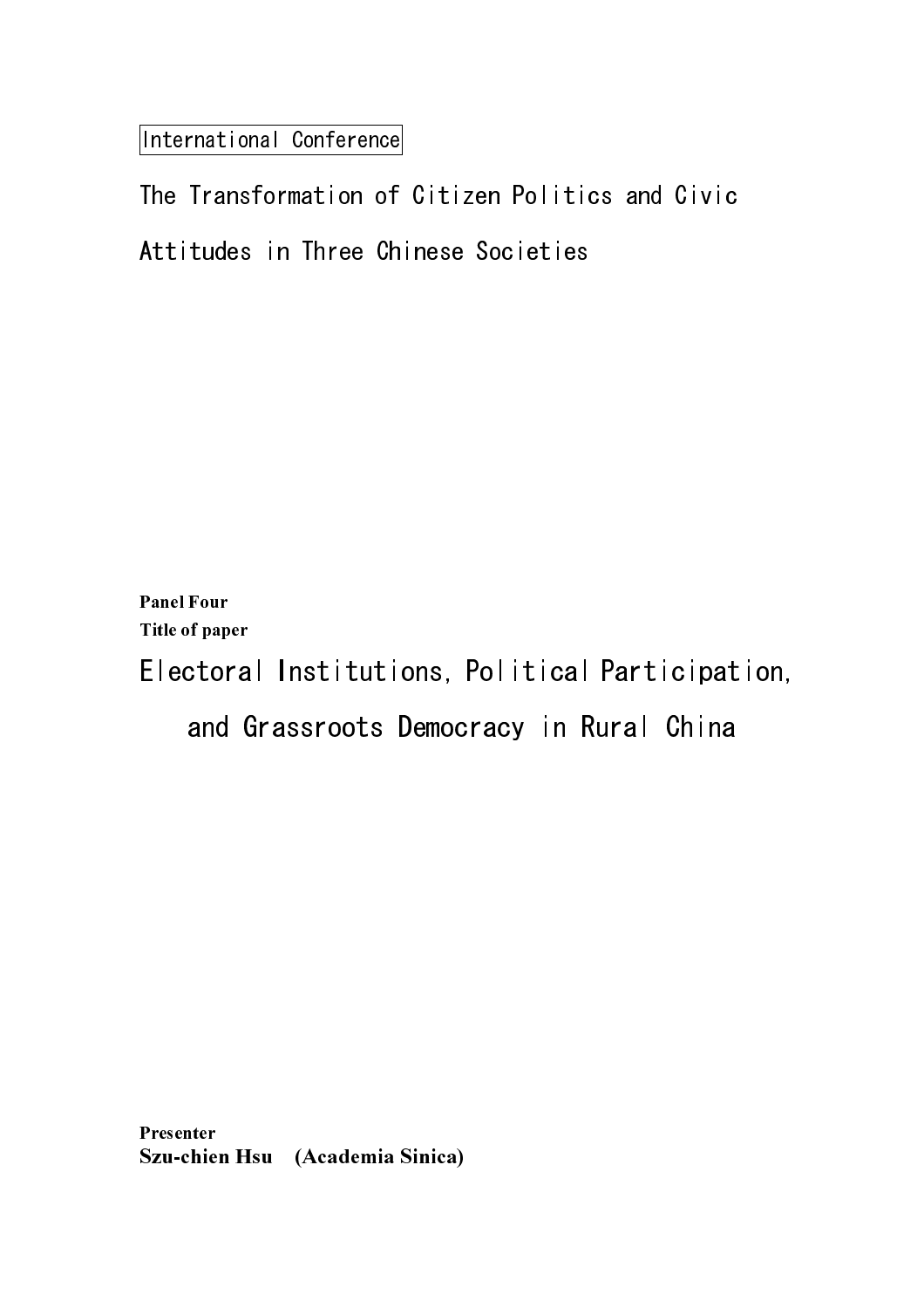International Conference

Panel Four Title of paper

Electoral Institutions, Political Participation,

and Grassroots Democracy in Rural China

Presenter rresenter<br>Szu-chien Hsu (Academia Sinica)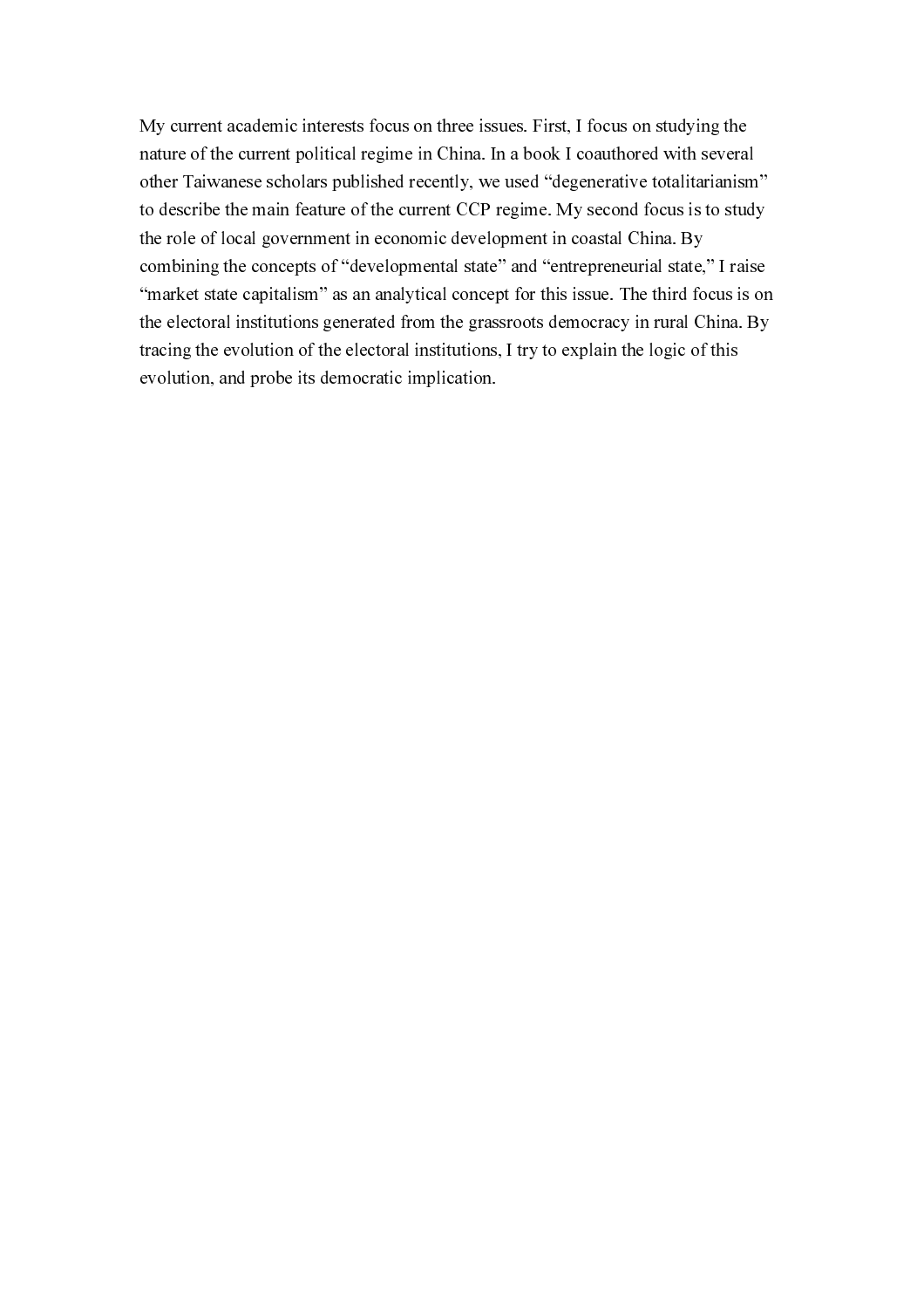My current academic interests focus on three issues. First, I focus on studying the nature of the current political regime in China. In a book I coauthored with several<br>other Taiwaraes echolars politicaled recoulty, we used "degenerative total<br>attainations for the orient CUP regime. My second focus is to nature of the current political regime in China. In a book I coauthored with several other Taiwanese scholars published recently, we used "degenerative totalitarium<br>in describe the main feature of the current CCP regime. My second focus is to study<br>the current control are concerned the current CCP regime. other Taiwanese scholars published recently, we used "degenerative totalitarianism" to describe the main feature of the current CCP regime. My second focus is to study<br>the rote of local government in economic development in coastal (Thin . By<br>contining the concepts of "developmental state" and "ortherren to describe the main feature of the current CCP regime. My second focus is to study the role of local government in economic development in exactal China. By<br>combining the concepts of "redevelopmental state" and "surrespreading that is to study in the current CP regime.<br>That is the electronal institution the role of local government in economic development in coastal China. By combining the concepts of "developmental state" and "entrepreneurial state,<br>"market state capitalism" as an analytical concept for this issue. The third for the decoral institutions generated from the grassmons democracy i combining the concepts of "developmental state" and "entrepreneurial state," I raise "market state capitalism" as an analytical concept for this issue. The third focus is or<br>"market state concinal institutions, generated from the grassmust democracy in rural China. By<br>the clear institutions,  $\alpha$  is the el "market state capitalism" as an analytical concept for this issue. The third focus is on the electoral institutions generated from the grassroots democracy in rural China. By<br>tracing the evolution of the electoral institutions, I try to explain the logic of this<br>evolution, and probe its democratic implication. the electoral institutions generated from the grassroots democracy in rural China. By tracing the evolution of the electoral institutions, I try to explain the logic of this<br>evolution, and probe its democratic implication.<br>By the grass of the grass of the grass of the grass of the grass of the grass<br>of the tracing the evolution of the electoral institutions, I try to explain the logic of this traction, and probe its democratic implication. evolution, and probe its democratic implication. evolution, and probe its democratic implication.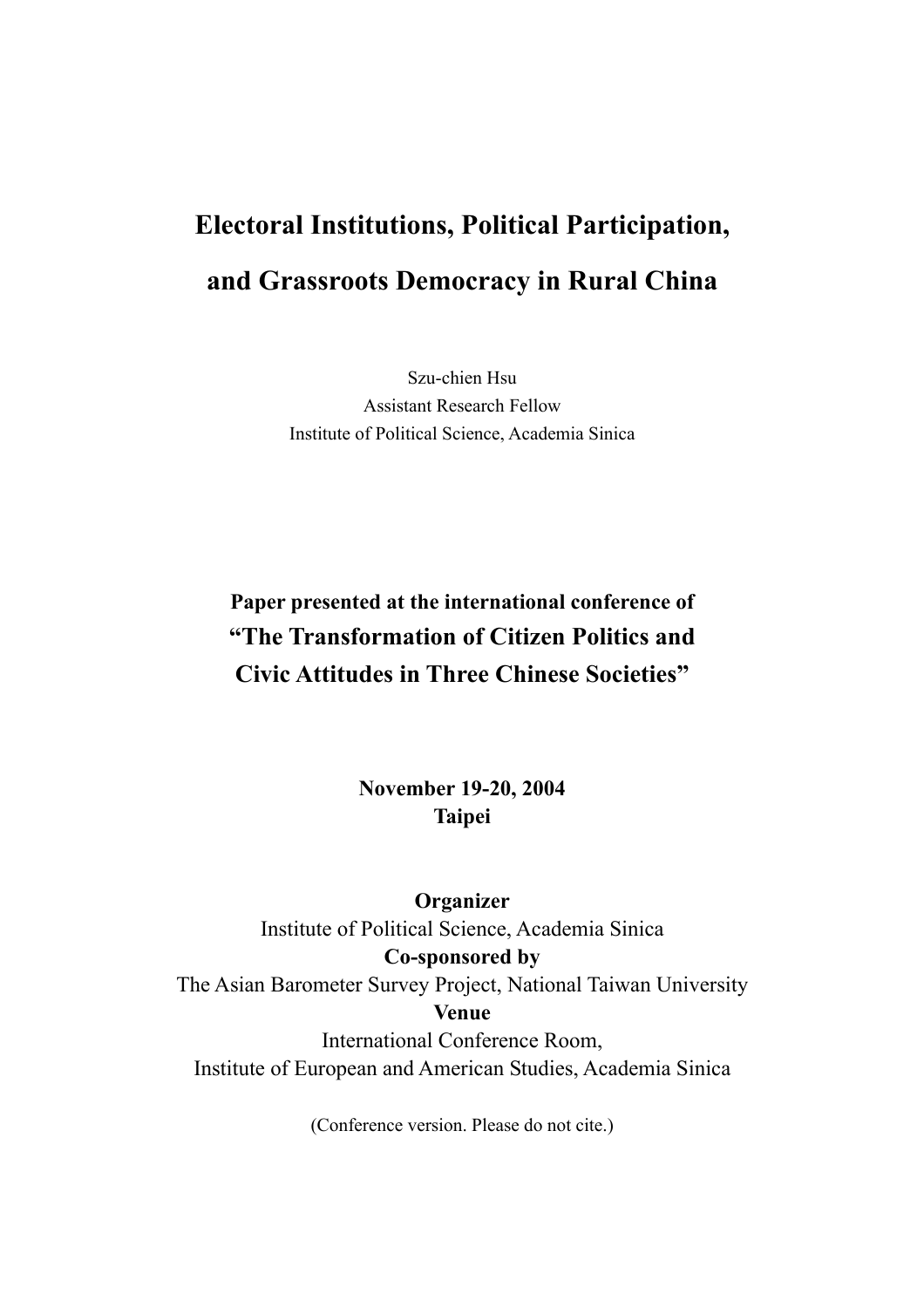## **Electoral Institutions, Political Participation, and Grassroots Democracy in Rural China**

Szu-chien Hsu Assistant Research Fellow Institute of Political Science, Academia Sinica

## **Paper presented at the international conference of "The Transformation of Citizen Politics and Civic Attitudes in Three Chinese Societies"**

**November 19-20, 2004 Taipei** 

**Organizer** 

Institute of Political Science, Academia Sinica **Co-sponsored by**  The Asian Barometer Survey Project, National Taiwan University **Venue**  International Conference Room, Institute of European and American Studies, Academia Sinica

(Conference version. Please do not cite.)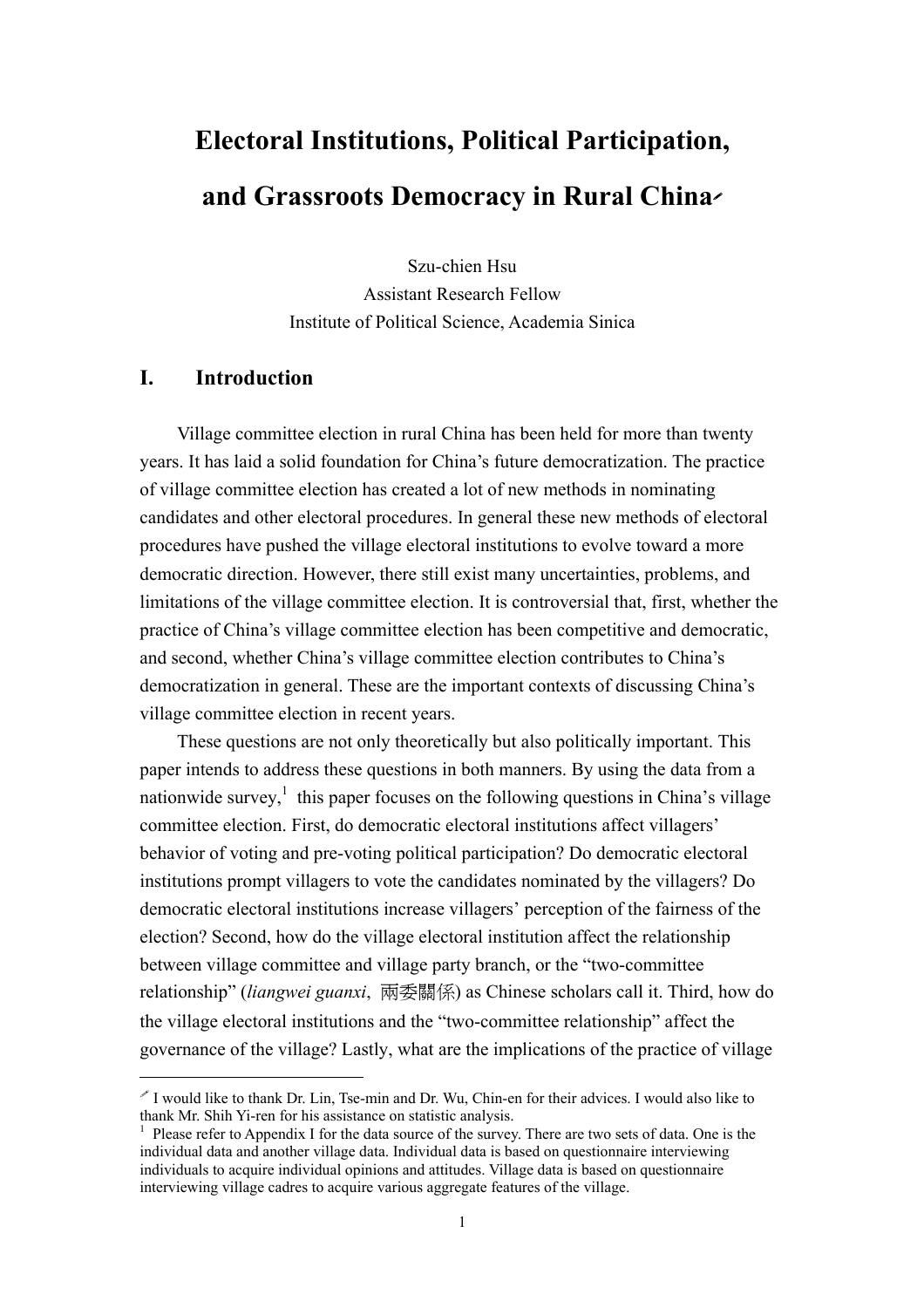# **Electoral Institutions, Political Participation, and Grassroots Democracy in Rural China**

Szu-chien Hsu Assistant Research Fellow Institute of Political Science, Academia Sinica

### **I. Introduction**

 $\overline{a}$ 

Village committee election in rural China has been held for more than twenty years. It has laid a solid foundation for China's future democratization. The practice of village committee election has created a lot of new methods in nominating candidates and other electoral procedures. In general these new methods of electoral procedures have pushed the village electoral institutions to evolve toward a more democratic direction. However, there still exist many uncertainties, problems, and limitations of the village committee election. It is controversial that, first, whether the practice of China's village committee election has been competitive and democratic, and second, whether China's village committee election contributes to China's democratization in general. These are the important contexts of discussing China's village committee election in recent years.

These questions are not only theoretically but also politically important. This paper intends to address these questions in both manners. By using the data from a nationwide survey,<sup>1</sup> this paper focuses on the following questions in China's village committee election. First, do democratic electoral institutions affect villagers' behavior of voting and pre-voting political participation? Do democratic electoral institutions prompt villagers to vote the candidates nominated by the villagers? Do democratic electoral institutions increase villagers' perception of the fairness of the election? Second, how do the village electoral institution affect the relationship between village committee and village party branch, or the "two-committee relationship" (*liangwei guanxi*, 兩委關係) as Chinese scholars call it. Third, how do the village electoral institutions and the "two-committee relationship" affect the governance of the village? Lastly, what are the implications of the practice of village

I would like to thank Dr. Lin, Tse-min and Dr. Wu, Chin-en for their advices. I would also like to thank Mr. Shih Yi-ren for his assistance on statistic analysis.

<sup>1</sup> Please refer to Appendix I for the data source of the survey. There are two sets of data. One is the individual data and another village data. Individual data is based on questionnaire interviewing individuals to acquire individual opinions and attitudes. Village data is based on questionnaire interviewing village cadres to acquire various aggregate features of the village.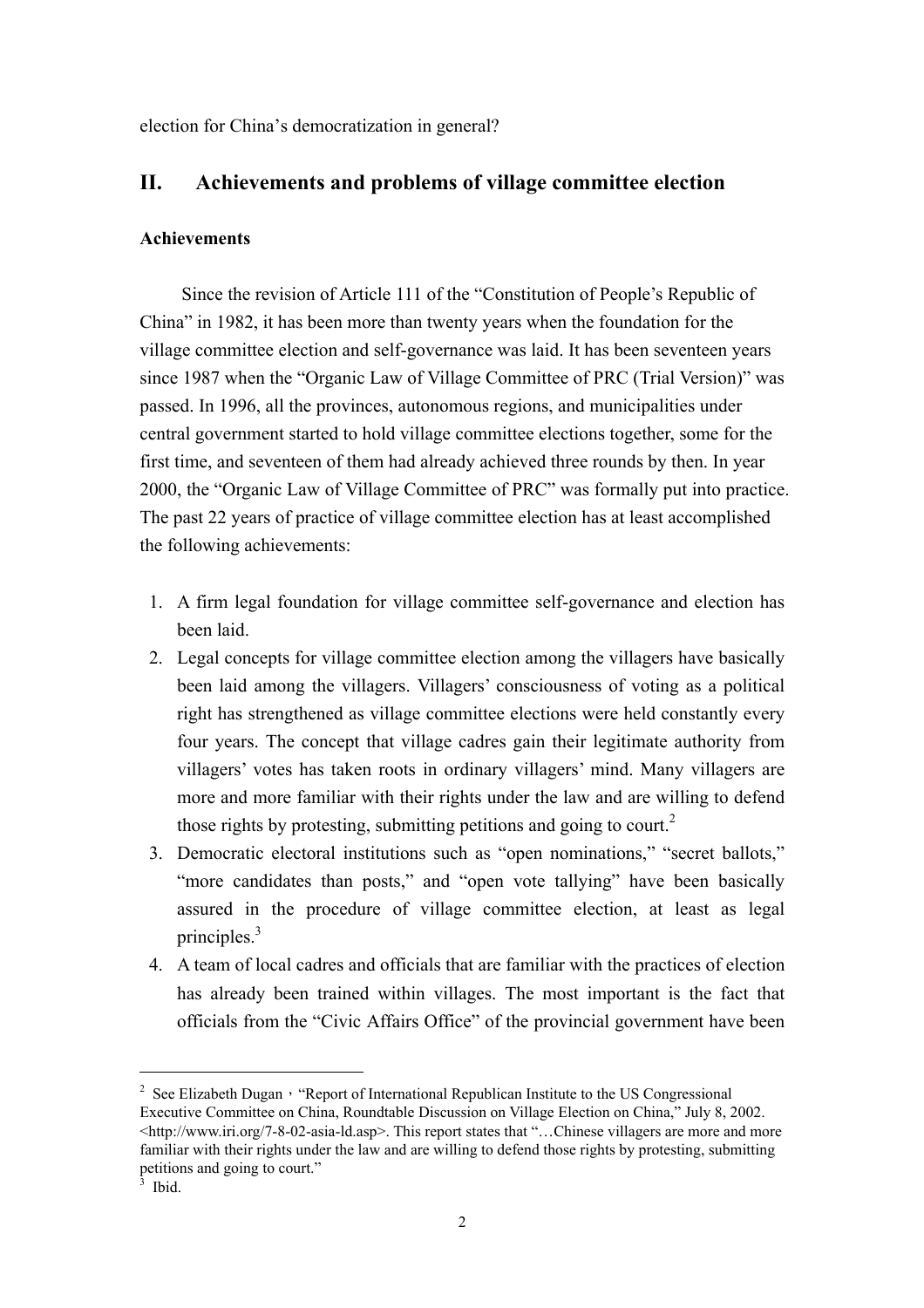election for China's democratization in general?

### **II. Achievements and problems of village committee election**

#### **Achievements**

Since the revision of Article 111 of the "Constitution of People's Republic of China" in 1982, it has been more than twenty years when the foundation for the village committee election and self-governance was laid. It has been seventeen years since 1987 when the "Organic Law of Village Committee of PRC (Trial Version)" was passed. In 1996, all the provinces, autonomous regions, and municipalities under central government started to hold village committee elections together, some for the first time, and seventeen of them had already achieved three rounds by then. In year 2000, the "Organic Law of Village Committee of PRC" was formally put into practice. The past 22 years of practice of village committee election has at least accomplished the following achievements:

- 1. A firm legal foundation for village committee self-governance and election has been laid.
- 2. Legal concepts for village committee election among the villagers have basically been laid among the villagers. Villagers' consciousness of voting as a political right has strengthened as village committee elections were held constantly every four years. The concept that village cadres gain their legitimate authority from villagers' votes has taken roots in ordinary villagers' mind. Many villagers are more and more familiar with their rights under the law and are willing to defend those rights by protesting, submitting petitions and going to court.<sup>2</sup>
- 3. Democratic electoral institutions such as "open nominations," "secret ballots," "more candidates than posts," and "open vote tallying" have been basically assured in the procedure of village committee election, at least as legal principles.<sup>3</sup>
- 4. A team of local cadres and officials that are familiar with the practices of election has already been trained within villages. The most important is the fact that officials from the "Civic Affairs Office" of the provincial government have been

<sup>&</sup>lt;sup>2</sup> See Elizabeth Dugan, "Report of International Republican Institute to the US Congressional Executive Committee on China, Roundtable Discussion on Village Election on China," July 8, 2002. <http://www.iri.org/7-8-02-asia-ld.asp>. This report states that "…Chinese villagers are more and more familiar with their rights under the law and are willing to defend those rights by protesting, submitting petitions and going to court."<br> $\frac{3}{3}$  Ibid

Ibid.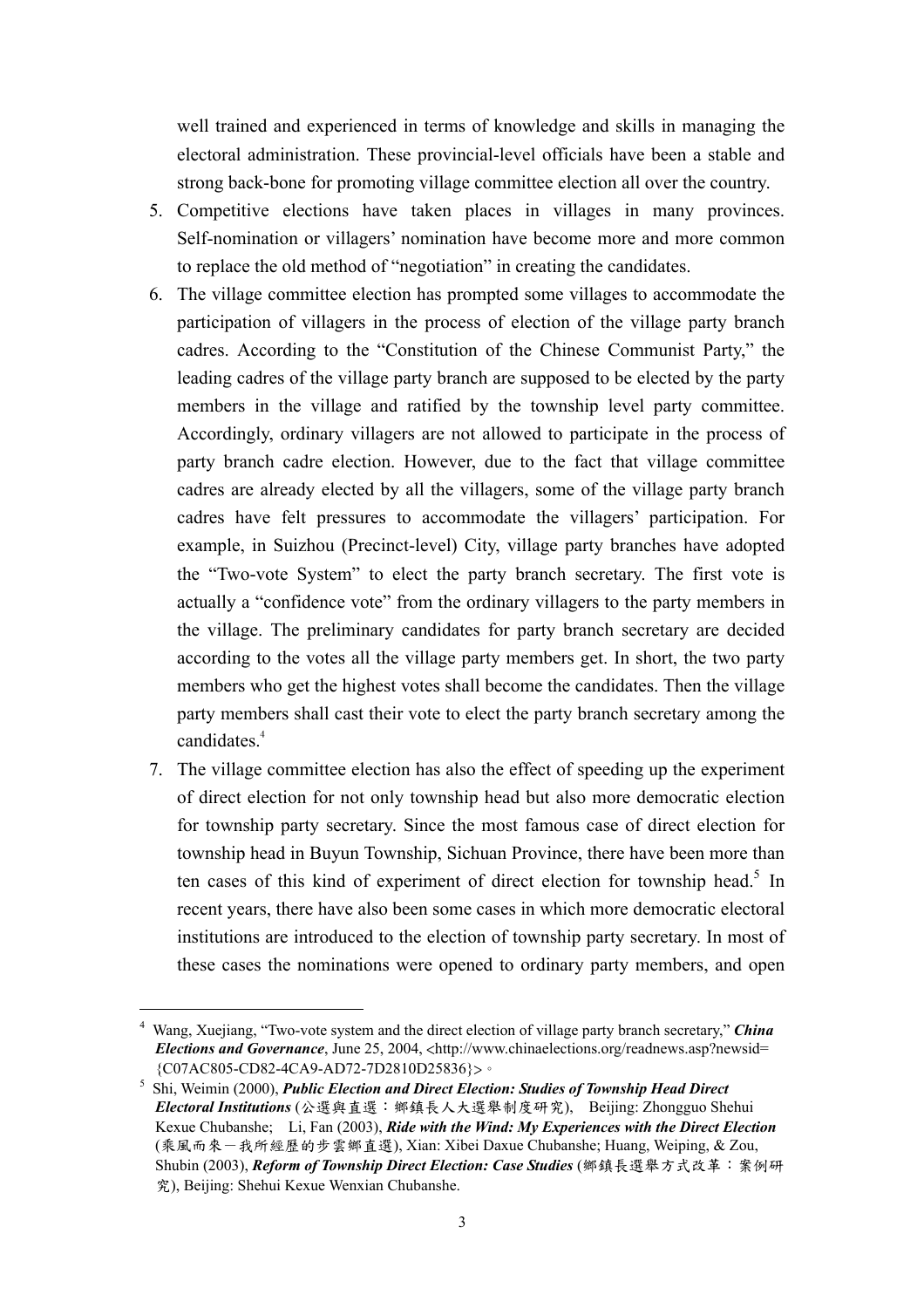well trained and experienced in terms of knowledge and skills in managing the electoral administration. These provincial-level officials have been a stable and strong back-bone for promoting village committee election all over the country.

- 5. Competitive elections have taken places in villages in many provinces. Self-nomination or villagers' nomination have become more and more common to replace the old method of "negotiation" in creating the candidates.
- 6. The village committee election has prompted some villages to accommodate the participation of villagers in the process of election of the village party branch cadres. According to the "Constitution of the Chinese Communist Party," the leading cadres of the village party branch are supposed to be elected by the party members in the village and ratified by the township level party committee. Accordingly, ordinary villagers are not allowed to participate in the process of party branch cadre election. However, due to the fact that village committee cadres are already elected by all the villagers, some of the village party branch cadres have felt pressures to accommodate the villagers' participation. For example, in Suizhou (Precinct-level) City, village party branches have adopted the "Two-vote System" to elect the party branch secretary. The first vote is actually a "confidence vote" from the ordinary villagers to the party members in the village. The preliminary candidates for party branch secretary are decided according to the votes all the village party members get. In short, the two party members who get the highest votes shall become the candidates. Then the village party members shall cast their vote to elect the party branch secretary among the candidates.<sup>4</sup>
- 7. The village committee election has also the effect of speeding up the experiment of direct election for not only township head but also more democratic election for township party secretary. Since the most famous case of direct election for township head in Buyun Township, Sichuan Province, there have been more than ten cases of this kind of experiment of direct election for township head.<sup>5</sup> In recent years, there have also been some cases in which more democratic electoral institutions are introduced to the election of township party secretary. In most of these cases the nominations were opened to ordinary party members, and open

<sup>4</sup> Wang, Xuejiang, "Two-vote system and the direct election of village party branch secretary," *China Elections and Governance*, June 25, 2004, <http://www.chinaelections.org/readnews.asp?newsid= {C07AC805-CD82-4CA9-AD72-7D2810D25836}>。

<sup>&</sup>lt;sup>5</sup> Shi, Weimin (2000), *Public Election and Direct Election: Studies of Township Head Direct Electoral Institutions* (公選與直選:鄉鎮長人大選舉制度研究), Beijing: Zhongguo Shehui Kexue Chubanshe; Li, Fan (2003), *Ride with the Wind: My Experiences with the Direct Election*  (乘風而來-我所經歷的步雲鄉直選), Xian: Xibei Daxue Chubanshe; Huang, Weiping, & Zou, Shubin (2003), *Reform of Township Direct Election: Case Studies* (鄉鎮長選舉方式改革:案例研 究), Beijing: Shehui Kexue Wenxian Chubanshe.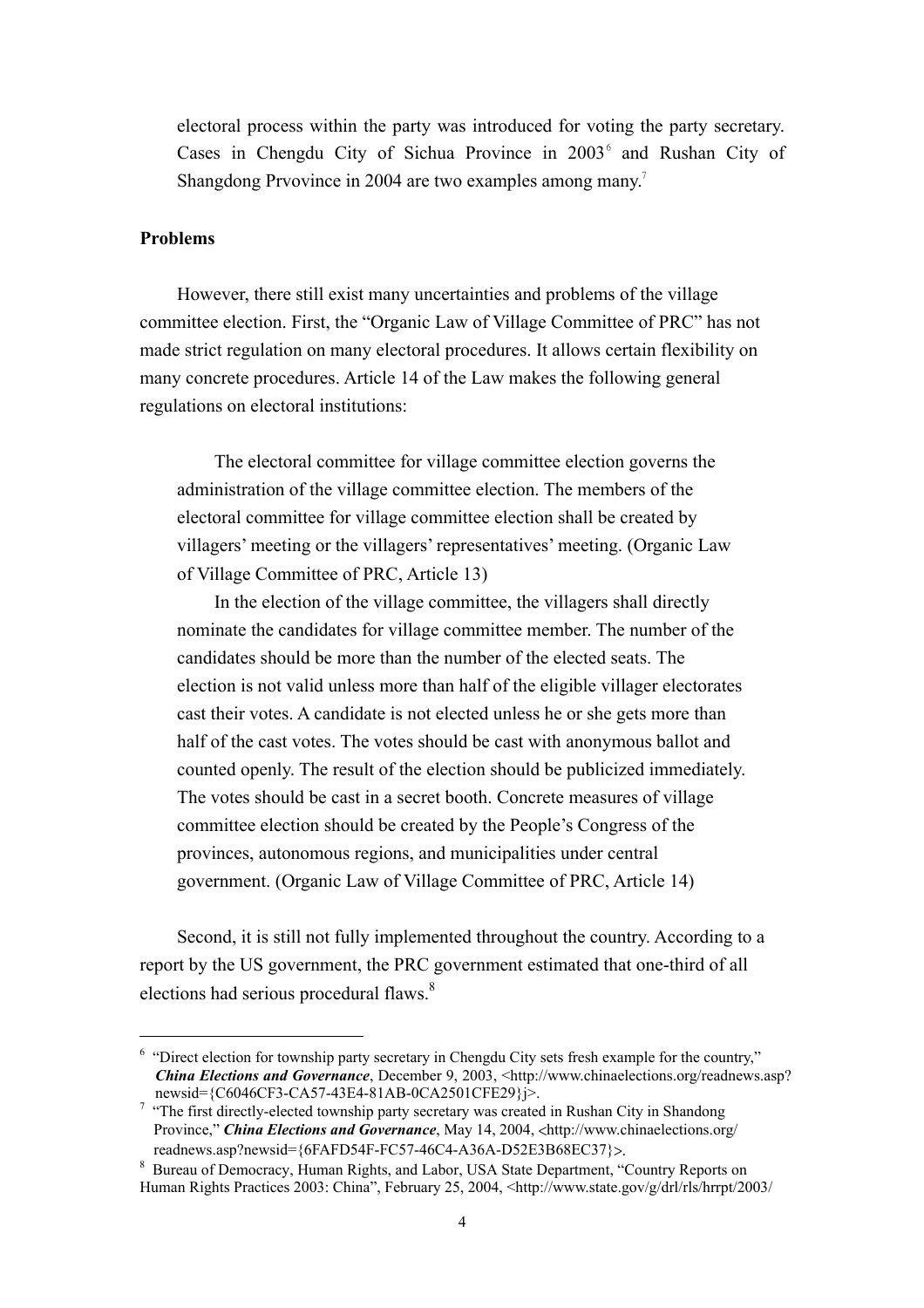electoral process within the party was introduced for voting the party secretary. Cases in Chengdu City of Sichua Province in  $2003<sup>6</sup>$  and Rushan City of Shangdong Prvovince in 2004 are two examples among many.<sup>7</sup>

#### **Problems**

 $\overline{a}$ 

However, there still exist many uncertainties and problems of the village committee election. First, the "Organic Law of Village Committee of PRC" has not made strict regulation on many electoral procedures. It allows certain flexibility on many concrete procedures. Article 14 of the Law makes the following general regulations on electoral institutions:

The electoral committee for village committee election governs the administration of the village committee election. The members of the electoral committee for village committee election shall be created by villagers' meeting or the villagers' representatives' meeting. (Organic Law of Village Committee of PRC, Article 13)

In the election of the village committee, the villagers shall directly nominate the candidates for village committee member. The number of the candidates should be more than the number of the elected seats. The election is not valid unless more than half of the eligible villager electorates cast their votes. A candidate is not elected unless he or she gets more than half of the cast votes. The votes should be cast with anonymous ballot and counted openly. The result of the election should be publicized immediately. The votes should be cast in a secret booth. Concrete measures of village committee election should be created by the People's Congress of the provinces, autonomous regions, and municipalities under central government. (Organic Law of Village Committee of PRC, Article 14)

Second, it is still not fully implemented throughout the country. According to a report by the US government, the PRC government estimated that one-third of all elections had serious procedural flaws.<sup>8</sup>

<sup>&</sup>lt;sup>6</sup> "Direct election for township party secretary in Chengdu City sets fresh example for the country," *China Elections and Governance*, December 9, 2003, <http://www.chinaelections.org/readnews.asp? newsid={C6046CF3-CA57-43E4-81AB-0CA2501CFE29}j>.<br><sup>7</sup> "The first directly-elected township party secretary was created in Rushan City in Shandong

Province," *China Elections and Governance*, May 14, 2004, <http://www.chinaelections.org/ readnews.asp?newsid={6FAFD54F-FC57-46C4-A36A-D52E3B68EC37}>.

<sup>&</sup>lt;sup>8</sup> Bureau of Democracy, Human Rights, and Labor, USA State Department, "Country Reports on Human Rights Practices 2003: China", February 25, 2004, <http://www.state.gov/g/drl/rls/hrrpt/2003/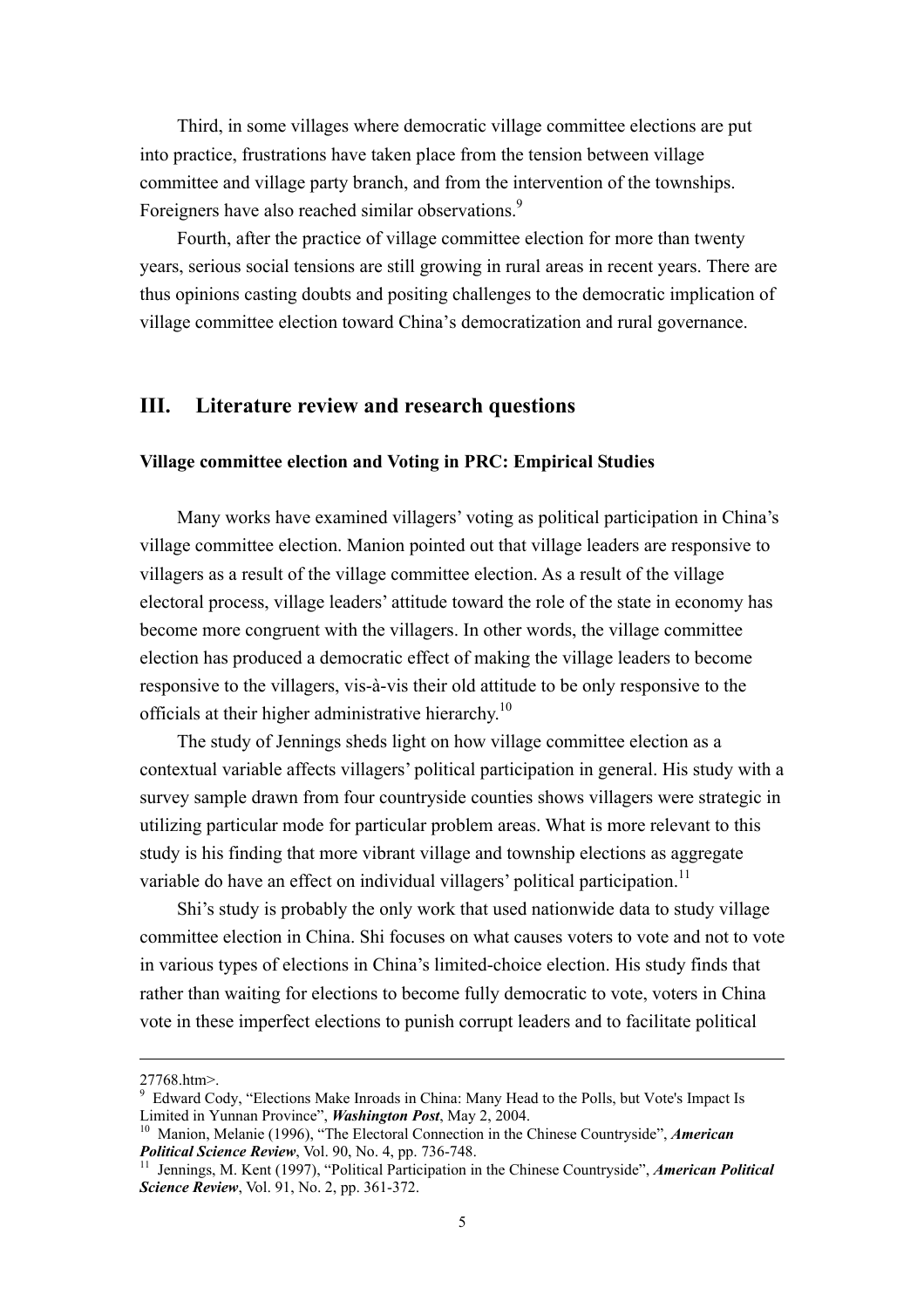Third, in some villages where democratic village committee elections are put into practice, frustrations have taken place from the tension between village committee and village party branch, and from the intervention of the townships. Foreigners have also reached similar observations.<sup>9</sup>

Fourth, after the practice of village committee election for more than twenty years, serious social tensions are still growing in rural areas in recent years. There are thus opinions casting doubts and positing challenges to the democratic implication of village committee election toward China's democratization and rural governance.

#### **III. Literature review and research questions**

#### **Village committee election and Voting in PRC: Empirical Studies**

Many works have examined villagers' voting as political participation in China's village committee election. Manion pointed out that village leaders are responsive to villagers as a result of the village committee election. As a result of the village electoral process, village leaders' attitude toward the role of the state in economy has become more congruent with the villagers. In other words, the village committee election has produced a democratic effect of making the village leaders to become responsive to the villagers, vis-à-vis their old attitude to be only responsive to the officials at their higher administrative hierarchy.<sup>10</sup>

The study of Jennings sheds light on how village committee election as a contextual variable affects villagers' political participation in general. His study with a survey sample drawn from four countryside counties shows villagers were strategic in utilizing particular mode for particular problem areas. What is more relevant to this study is his finding that more vibrant village and township elections as aggregate variable do have an effect on individual villagers' political participation.<sup>11</sup>

Shi's study is probably the only work that used nationwide data to study village committee election in China. Shi focuses on what causes voters to vote and not to vote in various types of elections in China's limited-choice election. His study finds that rather than waiting for elections to become fully democratic to vote, voters in China vote in these imperfect elections to punish corrupt leaders and to facilitate political

<sup>27768.</sup>htm>.

<sup>&</sup>lt;sup>9</sup> Edward Cody, "Elections Make Inroads in China: Many Head to the Polls, but Vote's Impact Is

Limited in Yunnan Province", *Washington Post*, May 2, 2004.<br><sup>10</sup> Manion, Melanie (1996), "The Electoral Connection in the Chinese Countryside", *American Political Science Review*. Vol. 90. No. 4. pp. 736-748.

<sup>&</sup>lt;sup>11</sup> Jennings, M. Kent (1997), "Political Participation in the Chinese Countryside", *American Political Science Review*, Vol. 91, No. 2, pp. 361-372.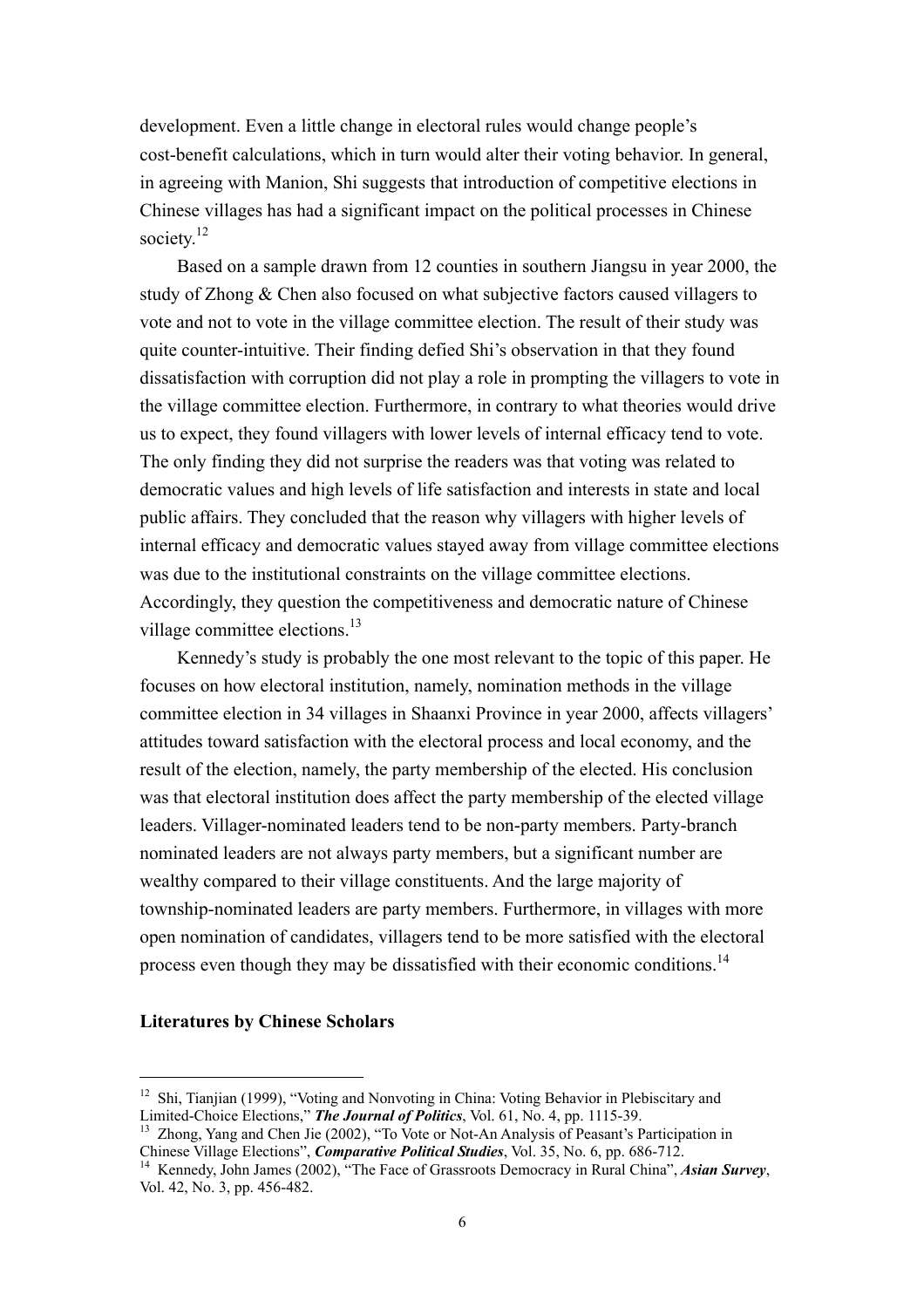development. Even a little change in electoral rules would change people's cost-benefit calculations, which in turn would alter their voting behavior. In general, in agreeing with Manion, Shi suggests that introduction of competitive elections in Chinese villages has had a significant impact on the political processes in Chinese society.<sup>12</sup>

Based on a sample drawn from 12 counties in southern Jiangsu in year 2000, the study of Zhong & Chen also focused on what subjective factors caused villagers to vote and not to vote in the village committee election. The result of their study was quite counter-intuitive. Their finding defied Shi's observation in that they found dissatisfaction with corruption did not play a role in prompting the villagers to vote in the village committee election. Furthermore, in contrary to what theories would drive us to expect, they found villagers with lower levels of internal efficacy tend to vote. The only finding they did not surprise the readers was that voting was related to democratic values and high levels of life satisfaction and interests in state and local public affairs. They concluded that the reason why villagers with higher levels of internal efficacy and democratic values stayed away from village committee elections was due to the institutional constraints on the village committee elections. Accordingly, they question the competitiveness and democratic nature of Chinese village committee elections.<sup>13</sup>

Kennedy's study is probably the one most relevant to the topic of this paper. He focuses on how electoral institution, namely, nomination methods in the village committee election in 34 villages in Shaanxi Province in year 2000, affects villagers' attitudes toward satisfaction with the electoral process and local economy, and the result of the election, namely, the party membership of the elected. His conclusion was that electoral institution does affect the party membership of the elected village leaders. Villager-nominated leaders tend to be non-party members. Party-branch nominated leaders are not always party members, but a significant number are wealthy compared to their village constituents. And the large majority of township-nominated leaders are party members. Furthermore, in villages with more open nomination of candidates, villagers tend to be more satisfied with the electoral process even though they may be dissatisfied with their economic conditions.<sup>14</sup>

#### **Literatures by Chinese Scholars**

<sup>&</sup>lt;sup>12</sup> Shi, Tianiian (1999), "Voting and Nonvoting in China: Voting Behavior in Plebiscitary and Limited-Choice Elections," **The Journal of Politics**, Vol. 61, No. 4, pp. 1115-39.<br><sup>13</sup> Zhong, Yang and Chen Jie (2002), "To Vote or Not-An Analysis of Peasant's Participation in

Chinese Village Elections", *Comparative Political Studies*, Vol. 35, No. 6, pp. 686-712. 14 Kennedy, John James (2002), "The Face of Grassroots Democracy in Rural China", *Asian Survey*, Vol. 42, No. 3, pp. 456-482.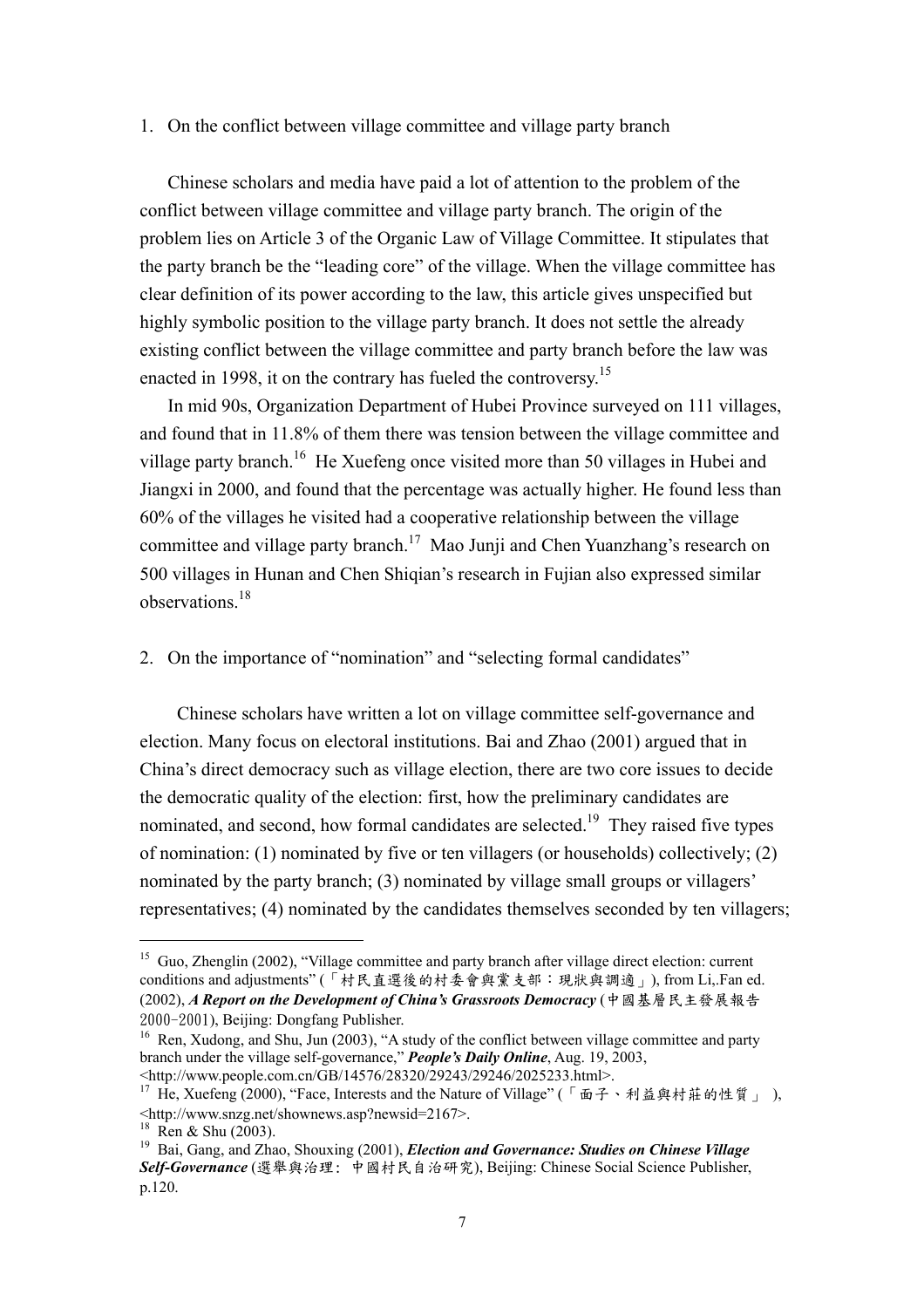#### 1. On the conflict between village committee and village party branch

Chinese scholars and media have paid a lot of attention to the problem of the conflict between village committee and village party branch. The origin of the problem lies on Article 3 of the Organic Law of Village Committee. It stipulates that the party branch be the "leading core" of the village. When the village committee has clear definition of its power according to the law, this article gives unspecified but highly symbolic position to the village party branch. It does not settle the already existing conflict between the village committee and party branch before the law was enacted in 1998, it on the contrary has fueled the controversy.<sup>15</sup>

In mid 90s, Organization Department of Hubei Province surveyed on 111 villages, and found that in 11.8% of them there was tension between the village committee and village party branch.<sup>16</sup> He Xuefeng once visited more than 50 villages in Hubei and Jiangxi in 2000, and found that the percentage was actually higher. He found less than 60% of the villages he visited had a cooperative relationship between the village committee and village party branch.17 Mao Junji and Chen Yuanzhang's research on 500 villages in Hunan and Chen Shiqian's research in Fujian also expressed similar observations.18

2. On the importance of "nomination" and "selecting formal candidates"

Chinese scholars have written a lot on village committee self-governance and election. Many focus on electoral institutions. Bai and Zhao (2001) argued that in China's direct democracy such as village election, there are two core issues to decide the democratic quality of the election: first, how the preliminary candidates are nominated, and second, how formal candidates are selected.<sup>19</sup> They raised five types of nomination: (1) nominated by five or ten villagers (or households) collectively; (2) nominated by the party branch; (3) nominated by village small groups or villagers' representatives; (4) nominated by the candidates themselves seconded by ten villagers;

<sup>&</sup>lt;sup>15</sup> Guo, Zhenglin (2002), "Village committee and party branch after village direct election: current conditions and adjustments" (「村民直選後的村委會與黨支部:現狀與調適」), from Li,.Fan ed. (2002), *A Report on the Development of China's Grassroots Democracy* (中國基層民主發展報告 2000-2001), Beijing: Dongfang Publisher.<br><sup>16</sup> Ren, Xudong, and Shu, Jun (2003), "A study of the conflict between village committee and party

branch under the village self-governance," *People's Daily Online*, Aug. 19, 2003,

<sup>&</sup>lt;http://www.people.com.cn/GB/14576/28320/29243/29246/2025233.html>. 17 He, Xuefeng (2000), "Face, Interests and the Nature of Village" (「面子、利益與村莊的性質」 ), <http://www.snzg.net/shownews.asp?newsid=2167>.

 $18$  Ren & Shu (2003).

<sup>19</sup> Bai, Gang, and Zhao, Shouxing (2001), *Election and Governance: Studies on Chinese Village Self-Governance* (選舉與治理: 中國村民自治研究), Beijing: Chinese Social Science Publisher, p.120.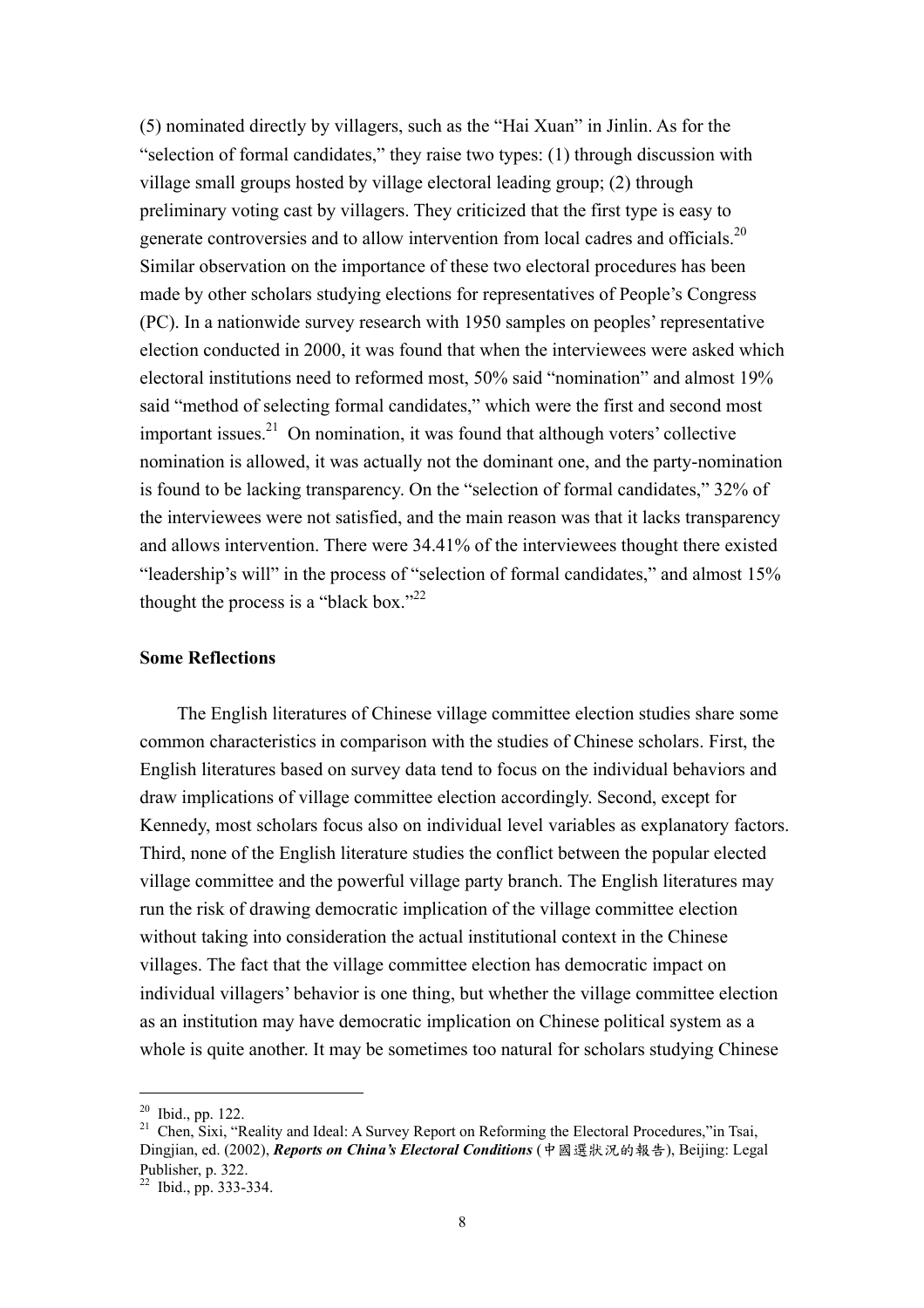(5) nominated directly by villagers, such as the "Hai Xuan" in Jinlin. As for the "selection of formal candidates," they raise two types: (1) through discussion with village small groups hosted by village electoral leading group; (2) through preliminary voting cast by villagers. They criticized that the first type is easy to generate controversies and to allow intervention from local cadres and officials.<sup>20</sup> Similar observation on the importance of these two electoral procedures has been made by other scholars studying elections for representatives of People's Congress (PC). In a nationwide survey research with 1950 samples on peoples' representative election conducted in 2000, it was found that when the interviewees were asked which electoral institutions need to reformed most, 50% said "nomination" and almost 19% said "method of selecting formal candidates," which were the first and second most important issues.<sup>21</sup> On nomination, it was found that although voters' collective nomination is allowed, it was actually not the dominant one, and the party-nomination is found to be lacking transparency. On the "selection of formal candidates," 32% of the interviewees were not satisfied, and the main reason was that it lacks transparency and allows intervention. There were 34.41% of the interviewees thought there existed "leadership's will" in the process of "selection of formal candidates," and almost 15% thought the process is a "black box."<sup>22</sup>

#### **Some Reflections**

The English literatures of Chinese village committee election studies share some common characteristics in comparison with the studies of Chinese scholars. First, the English literatures based on survey data tend to focus on the individual behaviors and draw implications of village committee election accordingly. Second, except for Kennedy, most scholars focus also on individual level variables as explanatory factors. Third, none of the English literature studies the conflict between the popular elected village committee and the powerful village party branch. The English literatures may run the risk of drawing democratic implication of the village committee election without taking into consideration the actual institutional context in the Chinese villages. The fact that the village committee election has democratic impact on individual villagers' behavior is one thing, but whether the village committee election as an institution may have democratic implication on Chinese political system as a whole is quite another. It may be sometimes too natural for scholars studying Chinese

<sup>20</sup> Ibid., pp. 122.

<sup>&</sup>lt;sup>21</sup> Chen, Sixi, "Reality and Ideal: A Survey Report on Reforming the Electoral Procedures," in Tsai, Dingjian, ed. (2002), *Reports on China's Electoral Conditions* (中國選狀況的報告), Beijing: Legal Publisher, p. 322.

<sup>22</sup> Ibid., pp. 333-334.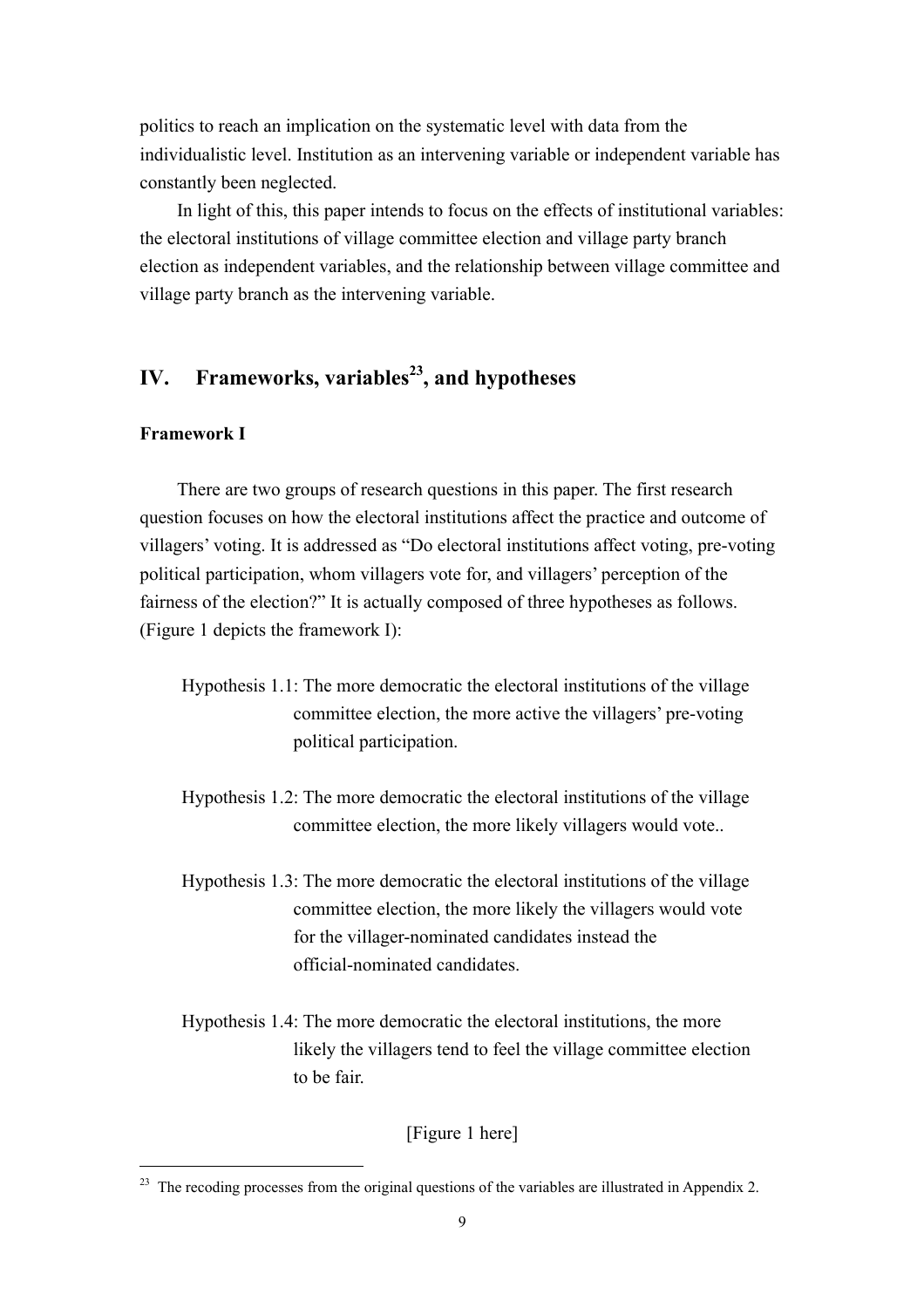politics to reach an implication on the systematic level with data from the individualistic level. Institution as an intervening variable or independent variable has constantly been neglected.

In light of this, this paper intends to focus on the effects of institutional variables: the electoral institutions of village committee election and village party branch election as independent variables, and the relationship between village committee and village party branch as the intervening variable.

## **IV.** Frameworks, variables<sup>23</sup>, and hypotheses

#### **Framework I**

 $\overline{a}$ 

There are two groups of research questions in this paper. The first research question focuses on how the electoral institutions affect the practice and outcome of villagers' voting. It is addressed as "Do electoral institutions affect voting, pre-voting political participation, whom villagers vote for, and villagers' perception of the fairness of the election?" It is actually composed of three hypotheses as follows. (Figure 1 depicts the framework I):

- Hypothesis 1.1: The more democratic the electoral institutions of the village committee election, the more active the villagers' pre-voting political participation.
- Hypothesis 1.2: The more democratic the electoral institutions of the village committee election, the more likely villagers would vote..
- Hypothesis 1.3: The more democratic the electoral institutions of the village committee election, the more likely the villagers would vote for the villager-nominated candidates instead the official-nominated candidates.
- Hypothesis 1.4: The more democratic the electoral institutions, the more likely the villagers tend to feel the village committee election to be fair.

[Figure 1 here]

<sup>&</sup>lt;sup>23</sup> The recoding processes from the original questions of the variables are illustrated in Appendix 2.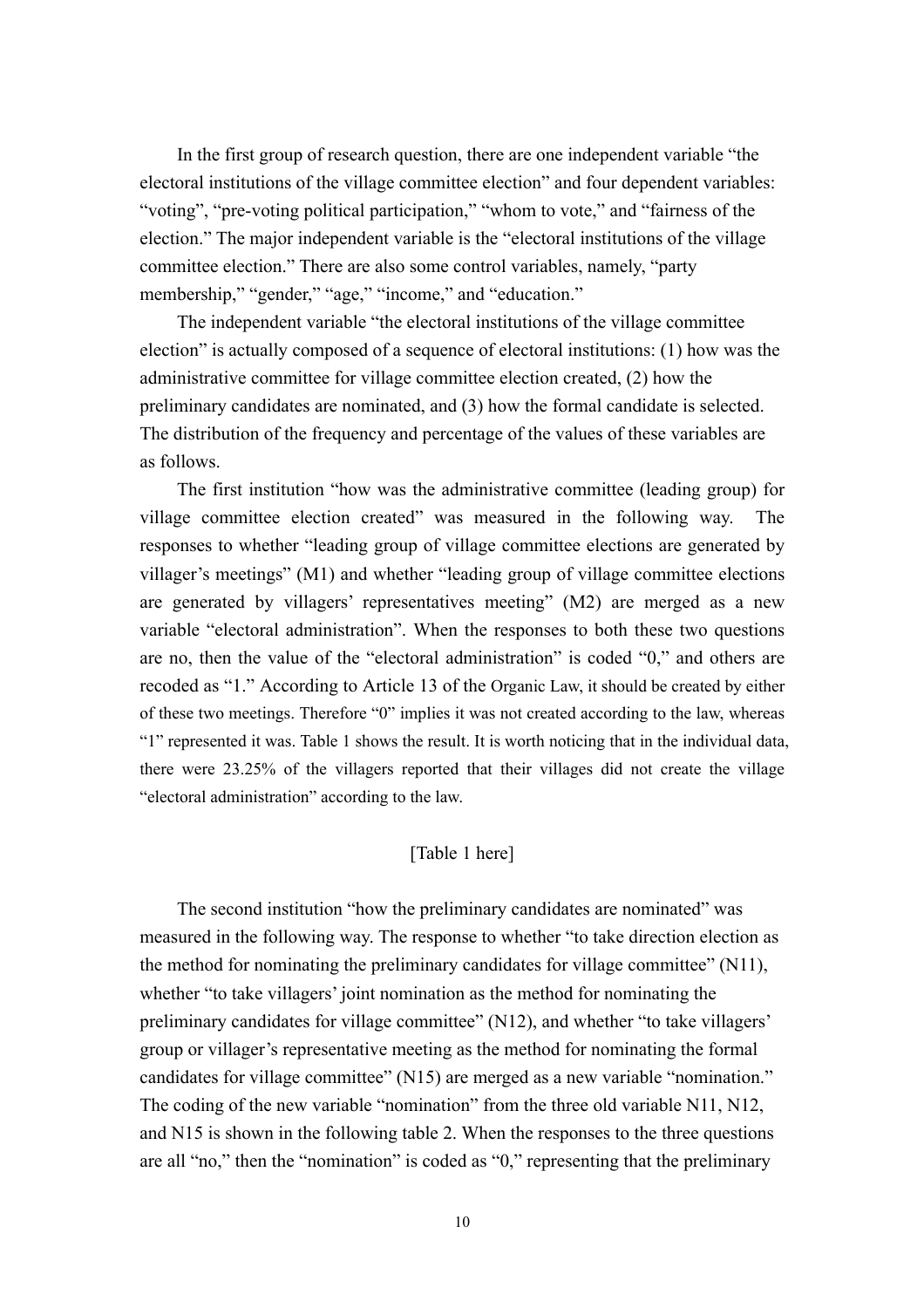In the first group of research question, there are one independent variable "the electoral institutions of the village committee election" and four dependent variables: "voting", "pre-voting political participation," "whom to vote," and "fairness of the election." The major independent variable is the "electoral institutions of the village committee election." There are also some control variables, namely, "party membership," "gender," "age," "income," and "education."

The independent variable "the electoral institutions of the village committee election" is actually composed of a sequence of electoral institutions: (1) how was the administrative committee for village committee election created, (2) how the preliminary candidates are nominated, and (3) how the formal candidate is selected. The distribution of the frequency and percentage of the values of these variables are as follows.

The first institution "how was the administrative committee (leading group) for village committee election created" was measured in the following way. The responses to whether "leading group of village committee elections are generated by villager's meetings" (M1) and whether "leading group of village committee elections are generated by villagers' representatives meeting" (M2) are merged as a new variable "electoral administration". When the responses to both these two questions are no, then the value of the "electoral administration" is coded "0," and others are recoded as "1." According to Article 13 of the Organic Law, it should be created by either of these two meetings. Therefore "0" implies it was not created according to the law, whereas "1" represented it was. Table 1 shows the result. It is worth noticing that in the individual data, there were 23.25% of the villagers reported that their villages did not create the village "electoral administration" according to the law.

#### [Table 1 here]

The second institution "how the preliminary candidates are nominated" was measured in the following way. The response to whether "to take direction election as the method for nominating the preliminary candidates for village committee" (N11), whether "to take villagers' joint nomination as the method for nominating the preliminary candidates for village committee" (N12), and whether "to take villagers' group or villager's representative meeting as the method for nominating the formal candidates for village committee" (N15) are merged as a new variable "nomination." The coding of the new variable "nomination" from the three old variable N11, N12, and N15 is shown in the following table 2. When the responses to the three questions are all "no," then the "nomination" is coded as "0," representing that the preliminary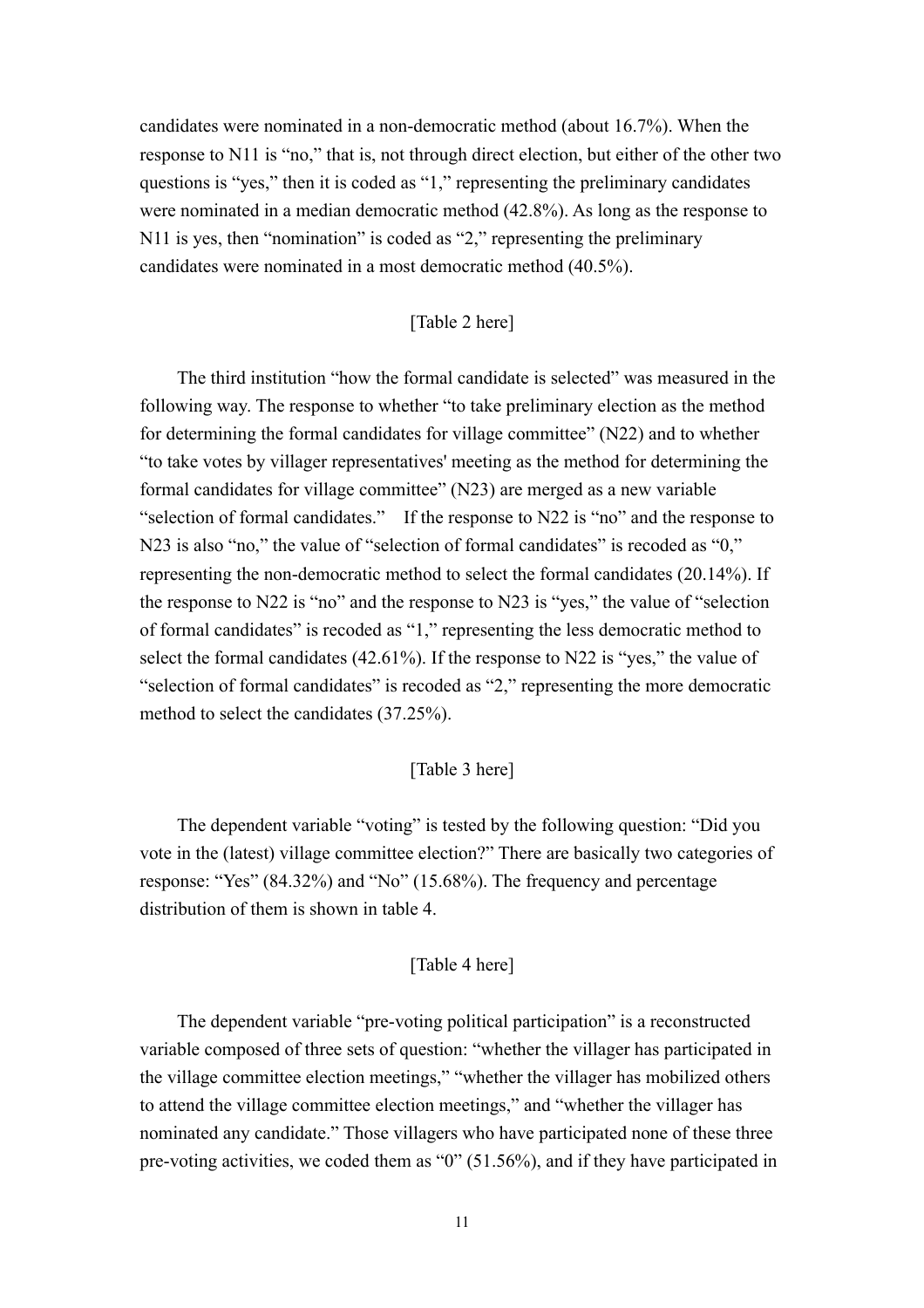candidates were nominated in a non-democratic method (about 16.7%). When the response to N11 is "no," that is, not through direct election, but either of the other two questions is "yes," then it is coded as "1," representing the preliminary candidates were nominated in a median democratic method (42.8%). As long as the response to N11 is yes, then "nomination" is coded as "2," representing the preliminary candidates were nominated in a most democratic method (40.5%).

#### [Table 2 here]

The third institution "how the formal candidate is selected" was measured in the following way. The response to whether "to take preliminary election as the method for determining the formal candidates for village committee" (N22) and to whether "to take votes by villager representatives' meeting as the method for determining the formal candidates for village committee" (N23) are merged as a new variable "selection of formal candidates." If the response to N22 is "no" and the response to N23 is also "no," the value of "selection of formal candidates" is recoded as "0," representing the non-democratic method to select the formal candidates (20.14%). If the response to N22 is "no" and the response to N23 is "yes," the value of "selection of formal candidates" is recoded as "1," representing the less democratic method to select the formal candidates (42.61%). If the response to N22 is "yes," the value of "selection of formal candidates" is recoded as "2," representing the more democratic method to select the candidates (37.25%).

#### [Table 3 here]

The dependent variable "voting" is tested by the following question: "Did you vote in the (latest) village committee election?" There are basically two categories of response: "Yes" (84.32%) and "No" (15.68%). The frequency and percentage distribution of them is shown in table 4.

#### [Table 4 here]

 The dependent variable "pre-voting political participation" is a reconstructed variable composed of three sets of question: "whether the villager has participated in the village committee election meetings," "whether the villager has mobilized others to attend the village committee election meetings," and "whether the villager has nominated any candidate." Those villagers who have participated none of these three pre-voting activities, we coded them as "0" (51.56%), and if they have participated in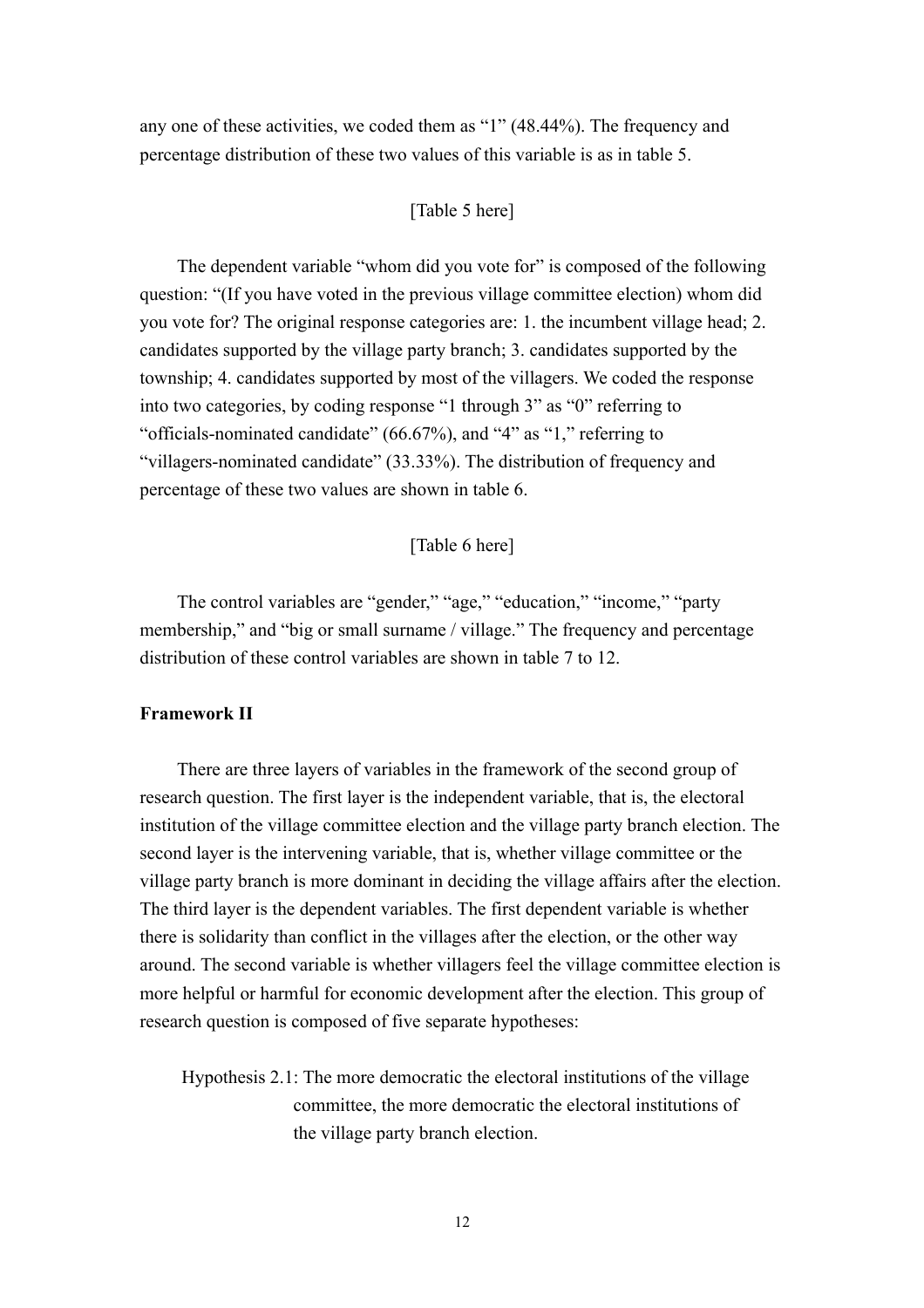any one of these activities, we coded them as "1" (48.44%). The frequency and percentage distribution of these two values of this variable is as in table 5.

#### [Table 5 here]

The dependent variable "whom did you vote for" is composed of the following question: "(If you have voted in the previous village committee election) whom did you vote for? The original response categories are: 1. the incumbent village head; 2. candidates supported by the village party branch; 3. candidates supported by the township; 4. candidates supported by most of the villagers. We coded the response into two categories, by coding response "1 through 3" as "0" referring to "officials-nominated candidate" (66.67%), and "4" as "1," referring to "villagers-nominated candidate" (33.33%). The distribution of frequency and percentage of these two values are shown in table 6.

#### [Table 6 here]

The control variables are "gender," "age," "education," "income," "party membership," and "big or small surname / village." The frequency and percentage distribution of these control variables are shown in table 7 to 12.

#### **Framework II**

There are three layers of variables in the framework of the second group of research question. The first layer is the independent variable, that is, the electoral institution of the village committee election and the village party branch election. The second layer is the intervening variable, that is, whether village committee or the village party branch is more dominant in deciding the village affairs after the election. The third layer is the dependent variables. The first dependent variable is whether there is solidarity than conflict in the villages after the election, or the other way around. The second variable is whether villagers feel the village committee election is more helpful or harmful for economic development after the election. This group of research question is composed of five separate hypotheses:

Hypothesis 2.1: The more democratic the electoral institutions of the village committee, the more democratic the electoral institutions of the village party branch election.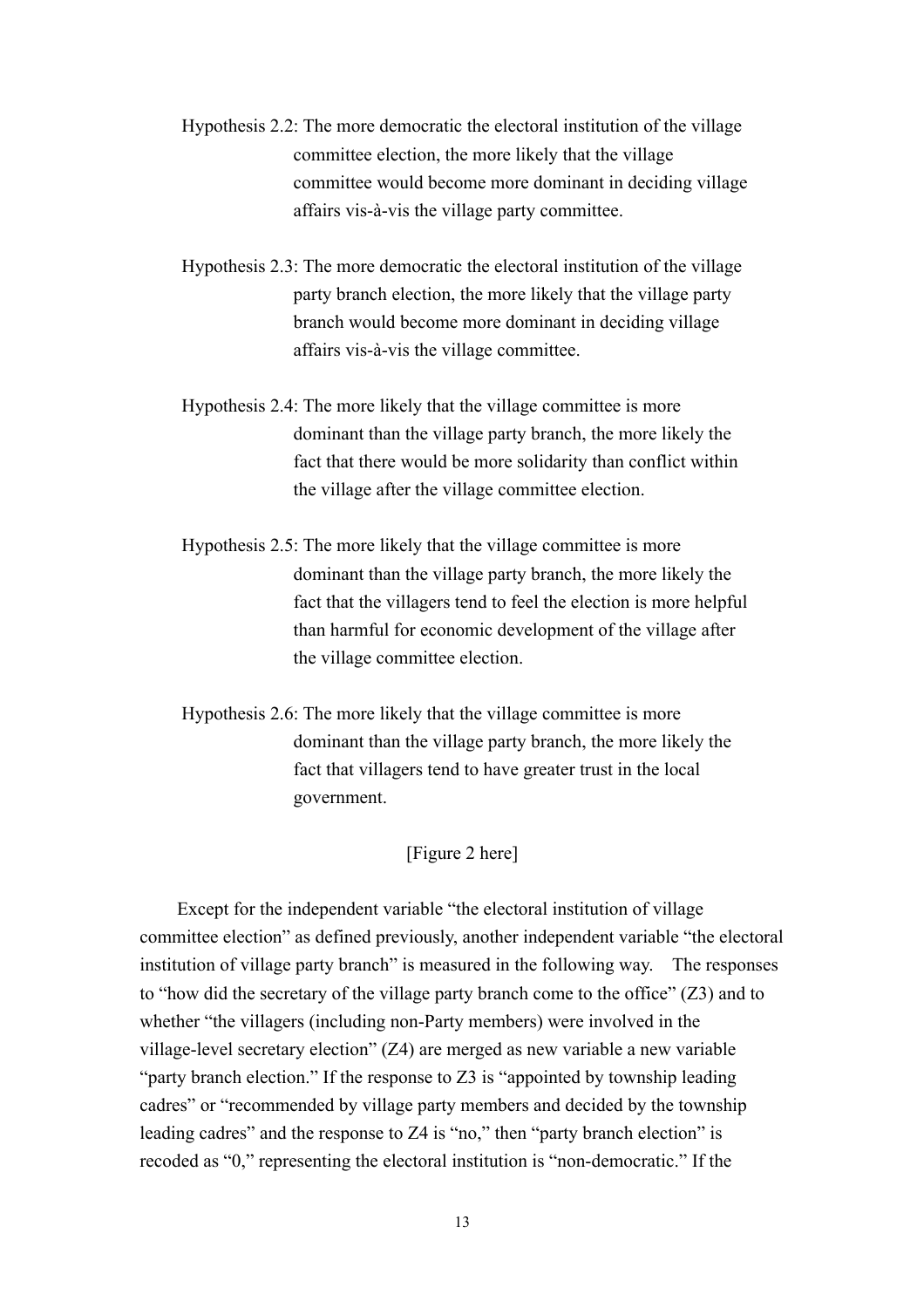- Hypothesis 2.2: The more democratic the electoral institution of the village committee election, the more likely that the village committee would become more dominant in deciding village affairs vis-à-vis the village party committee.
- Hypothesis 2.3: The more democratic the electoral institution of the village party branch election, the more likely that the village party branch would become more dominant in deciding village affairs vis-à-vis the village committee.
- Hypothesis 2.4: The more likely that the village committee is more dominant than the village party branch, the more likely the fact that there would be more solidarity than conflict within the village after the village committee election.
- Hypothesis 2.5: The more likely that the village committee is more dominant than the village party branch, the more likely the fact that the villagers tend to feel the election is more helpful than harmful for economic development of the village after the village committee election.
- Hypothesis 2.6: The more likely that the village committee is more dominant than the village party branch, the more likely the fact that villagers tend to have greater trust in the local government.

#### [Figure 2 here]

Except for the independent variable "the electoral institution of village committee election" as defined previously, another independent variable "the electoral institution of village party branch" is measured in the following way. The responses to "how did the secretary of the village party branch come to the office" (Z3) and to whether "the villagers (including non-Party members) were involved in the village-level secretary election" (Z4) are merged as new variable a new variable "party branch election." If the response to Z3 is "appointed by township leading cadres" or "recommended by village party members and decided by the township leading cadres" and the response to Z4 is "no," then "party branch election" is recoded as "0," representing the electoral institution is "non-democratic." If the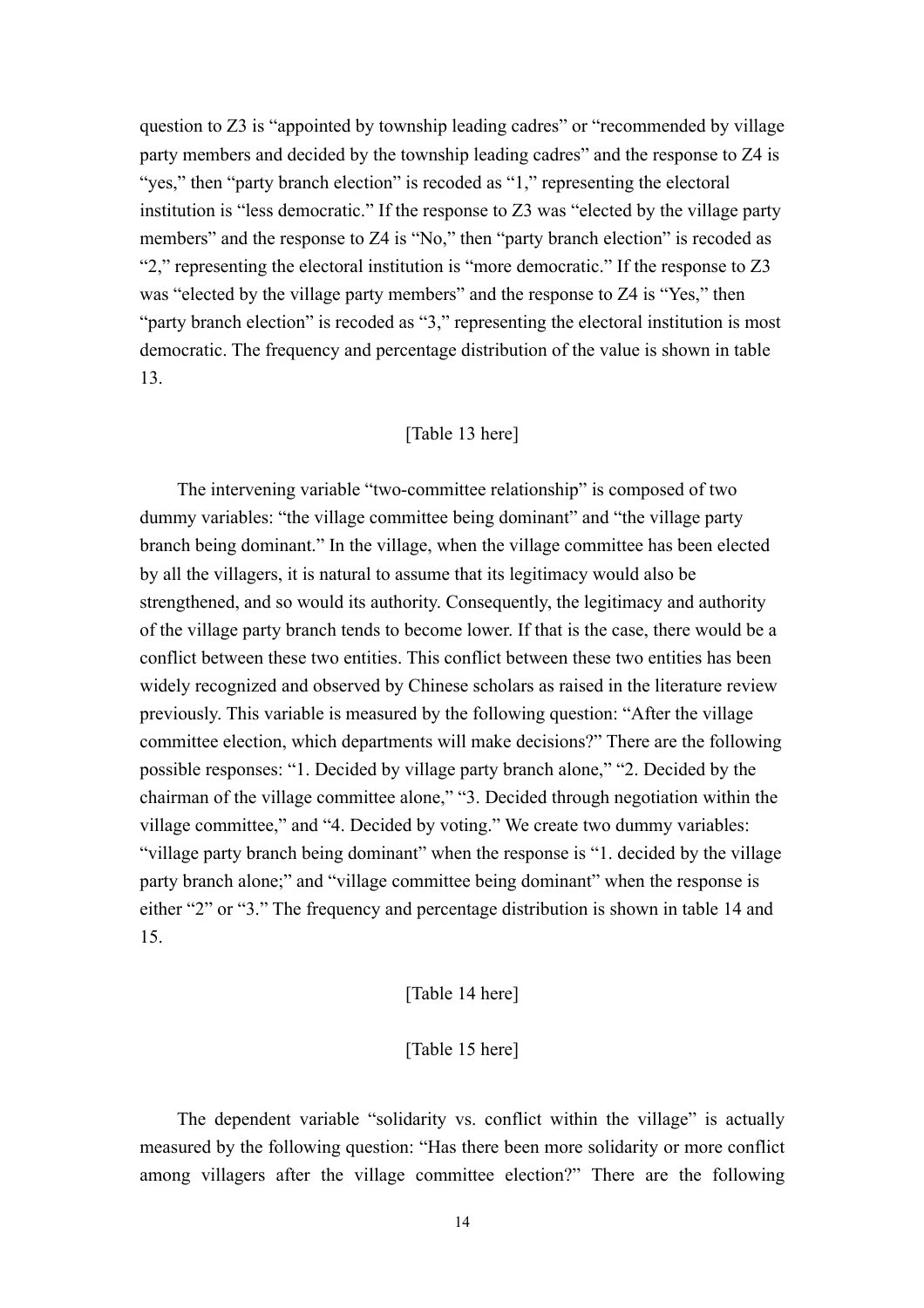question to Z3 is "appointed by township leading cadres" or "recommended by village party members and decided by the township leading cadres" and the response to Z4 is "yes," then "party branch election" is recoded as "1," representing the electoral institution is "less democratic." If the response to Z3 was "elected by the village party members" and the response to Z4 is "No," then "party branch election" is recoded as "2," representing the electoral institution is "more democratic." If the response to Z3 was "elected by the village party members" and the response to Z4 is "Yes," then "party branch election" is recoded as "3," representing the electoral institution is most democratic. The frequency and percentage distribution of the value is shown in table 13.

#### [Table 13 here]

The intervening variable "two-committee relationship" is composed of two dummy variables: "the village committee being dominant" and "the village party branch being dominant." In the village, when the village committee has been elected by all the villagers, it is natural to assume that its legitimacy would also be strengthened, and so would its authority. Consequently, the legitimacy and authority of the village party branch tends to become lower. If that is the case, there would be a conflict between these two entities. This conflict between these two entities has been widely recognized and observed by Chinese scholars as raised in the literature review previously. This variable is measured by the following question: "After the village committee election, which departments will make decisions?" There are the following possible responses: "1. Decided by village party branch alone," "2. Decided by the chairman of the village committee alone," "3. Decided through negotiation within the village committee," and "4. Decided by voting." We create two dummy variables: "village party branch being dominant" when the response is "1. decided by the village party branch alone;" and "village committee being dominant" when the response is either "2" or "3." The frequency and percentage distribution is shown in table 14 and 15.

#### [Table 14 here]

#### [Table 15 here]

The dependent variable "solidarity vs. conflict within the village" is actually measured by the following question: "Has there been more solidarity or more conflict among villagers after the village committee election?" There are the following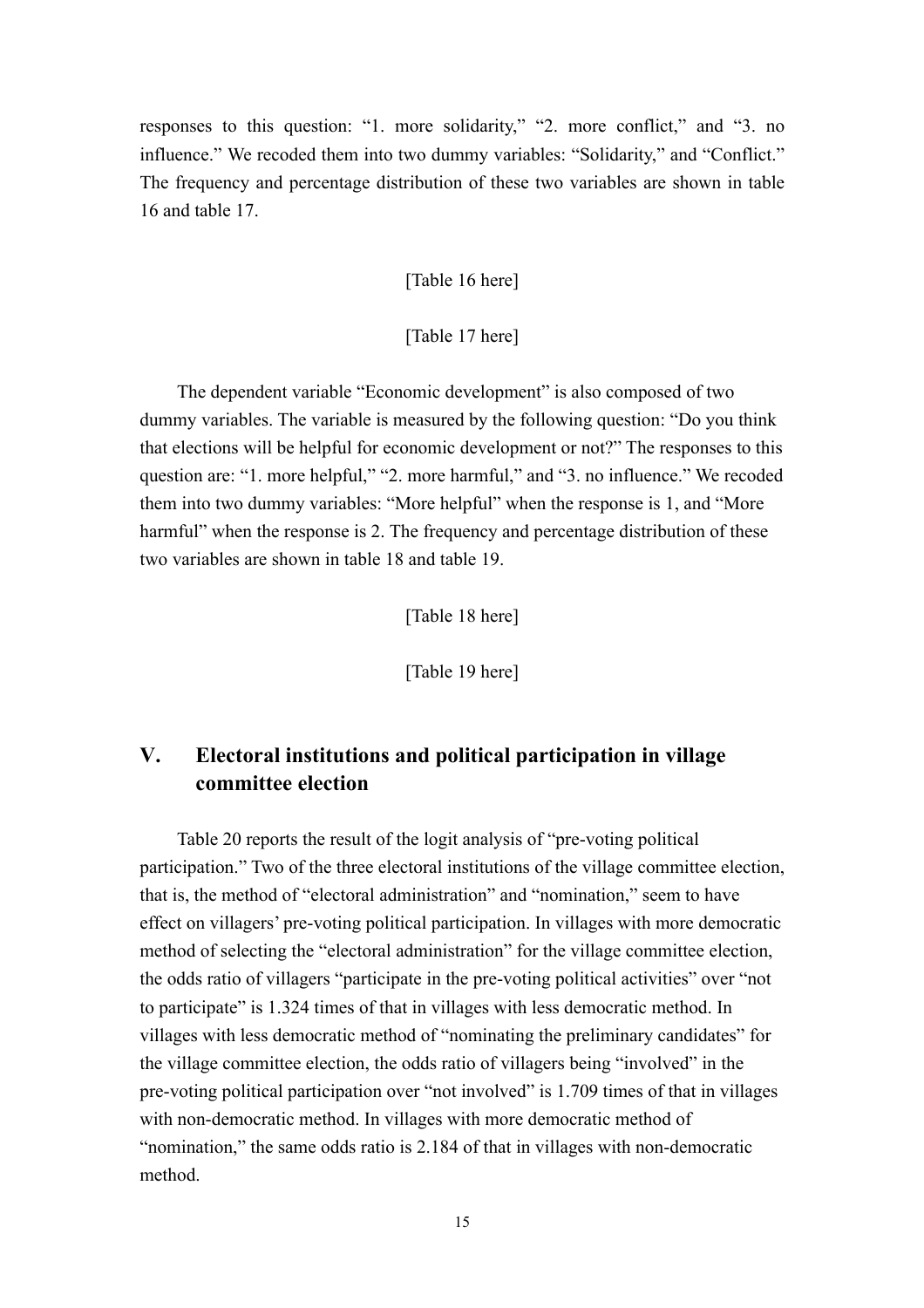responses to this question: "1. more solidarity," "2. more conflict," and "3. no influence." We recoded them into two dummy variables: "Solidarity," and "Conflict." The frequency and percentage distribution of these two variables are shown in table 16 and table 17.

[Table 16 here]

[Table 17 here]

The dependent variable "Economic development" is also composed of two dummy variables. The variable is measured by the following question: "Do you think that elections will be helpful for economic development or not?" The responses to this question are: "1. more helpful," "2. more harmful," and "3. no influence." We recoded them into two dummy variables: "More helpful" when the response is 1, and "More harmful" when the response is 2. The frequency and percentage distribution of these two variables are shown in table 18 and table 19.

[Table 18 here]

[Table 19 here]

## **V. Electoral institutions and political participation in village committee election**

Table 20 reports the result of the logit analysis of "pre-voting political participation." Two of the three electoral institutions of the village committee election, that is, the method of "electoral administration" and "nomination," seem to have effect on villagers' pre-voting political participation. In villages with more democratic method of selecting the "electoral administration" for the village committee election, the odds ratio of villagers "participate in the pre-voting political activities" over "not to participate" is 1.324 times of that in villages with less democratic method. In villages with less democratic method of "nominating the preliminary candidates" for the village committee election, the odds ratio of villagers being "involved" in the pre-voting political participation over "not involved" is 1.709 times of that in villages with non-democratic method. In villages with more democratic method of "nomination," the same odds ratio is 2.184 of that in villages with non-democratic method.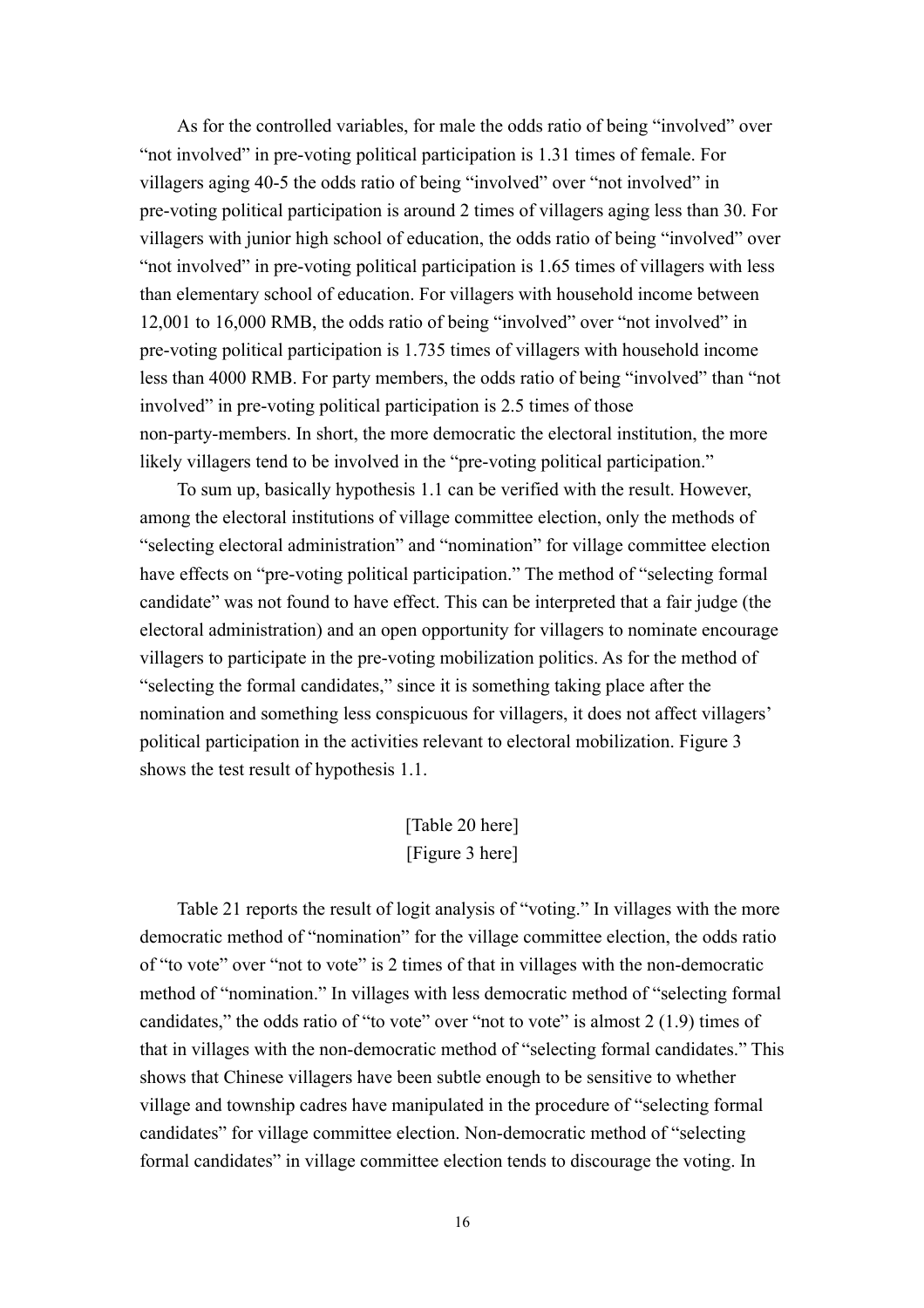As for the controlled variables, for male the odds ratio of being "involved" over "not involved" in pre-voting political participation is 1.31 times of female. For villagers aging 40-5 the odds ratio of being "involved" over "not involved" in pre-voting political participation is around 2 times of villagers aging less than 30. For villagers with junior high school of education, the odds ratio of being "involved" over "not involved" in pre-voting political participation is 1.65 times of villagers with less than elementary school of education. For villagers with household income between 12,001 to 16,000 RMB, the odds ratio of being "involved" over "not involved" in pre-voting political participation is 1.735 times of villagers with household income less than 4000 RMB. For party members, the odds ratio of being "involved" than "not involved" in pre-voting political participation is 2.5 times of those non-party-members. In short, the more democratic the electoral institution, the more likely villagers tend to be involved in the "pre-voting political participation."

To sum up, basically hypothesis 1.1 can be verified with the result. However, among the electoral institutions of village committee election, only the methods of "selecting electoral administration" and "nomination" for village committee election have effects on "pre-voting political participation." The method of "selecting formal candidate" was not found to have effect. This can be interpreted that a fair judge (the electoral administration) and an open opportunity for villagers to nominate encourage villagers to participate in the pre-voting mobilization politics. As for the method of "selecting the formal candidates," since it is something taking place after the nomination and something less conspicuous for villagers, it does not affect villagers' political participation in the activities relevant to electoral mobilization. Figure 3 shows the test result of hypothesis 1.1.

## [Table 20 here] [Figure 3 here]

Table 21 reports the result of logit analysis of "voting." In villages with the more democratic method of "nomination" for the village committee election, the odds ratio of "to vote" over "not to vote" is 2 times of that in villages with the non-democratic method of "nomination." In villages with less democratic method of "selecting formal candidates," the odds ratio of "to vote" over "not to vote" is almost 2 (1.9) times of that in villages with the non-democratic method of "selecting formal candidates." This shows that Chinese villagers have been subtle enough to be sensitive to whether village and township cadres have manipulated in the procedure of "selecting formal candidates" for village committee election. Non-democratic method of "selecting formal candidates" in village committee election tends to discourage the voting. In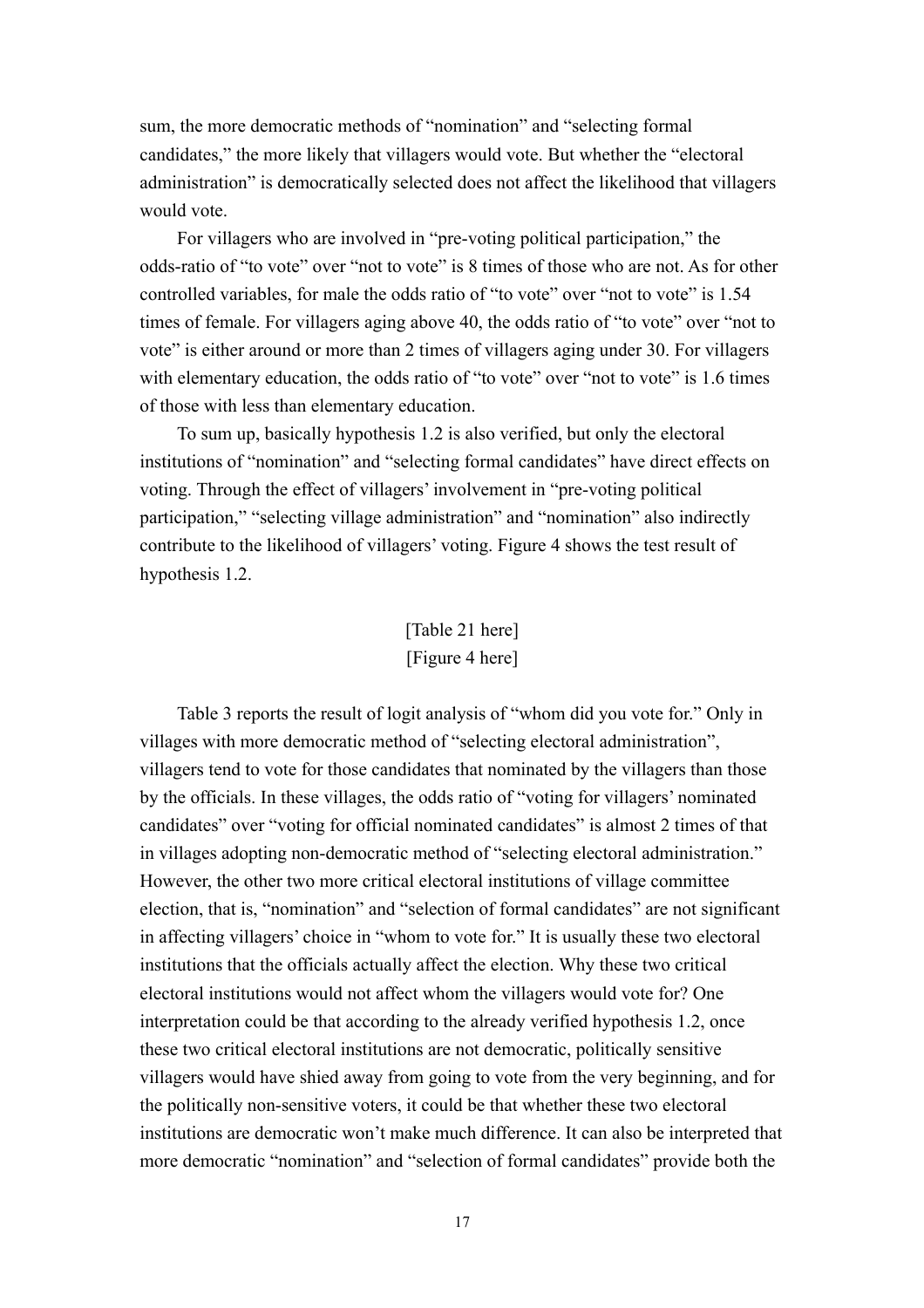sum, the more democratic methods of "nomination" and "selecting formal candidates," the more likely that villagers would vote. But whether the "electoral administration" is democratically selected does not affect the likelihood that villagers would vote.

For villagers who are involved in "pre-voting political participation," the odds-ratio of "to vote" over "not to vote" is 8 times of those who are not. As for other controlled variables, for male the odds ratio of "to vote" over "not to vote" is 1.54 times of female. For villagers aging above 40, the odds ratio of "to vote" over "not to vote" is either around or more than 2 times of villagers aging under 30. For villagers with elementary education, the odds ratio of "to vote" over "not to vote" is 1.6 times of those with less than elementary education.

To sum up, basically hypothesis 1.2 is also verified, but only the electoral institutions of "nomination" and "selecting formal candidates" have direct effects on voting. Through the effect of villagers' involvement in "pre-voting political participation," "selecting village administration" and "nomination" also indirectly contribute to the likelihood of villagers' voting. Figure 4 shows the test result of hypothesis 1.2.

## [Table 21 here] [Figure 4 here]

Table 3 reports the result of logit analysis of "whom did you vote for." Only in villages with more democratic method of "selecting electoral administration", villagers tend to vote for those candidates that nominated by the villagers than those by the officials. In these villages, the odds ratio of "voting for villagers' nominated candidates" over "voting for official nominated candidates" is almost 2 times of that in villages adopting non-democratic method of "selecting electoral administration." However, the other two more critical electoral institutions of village committee election, that is, "nomination" and "selection of formal candidates" are not significant in affecting villagers' choice in "whom to vote for." It is usually these two electoral institutions that the officials actually affect the election. Why these two critical electoral institutions would not affect whom the villagers would vote for? One interpretation could be that according to the already verified hypothesis 1.2, once these two critical electoral institutions are not democratic, politically sensitive villagers would have shied away from going to vote from the very beginning, and for the politically non-sensitive voters, it could be that whether these two electoral institutions are democratic won't make much difference. It can also be interpreted that more democratic "nomination" and "selection of formal candidates" provide both the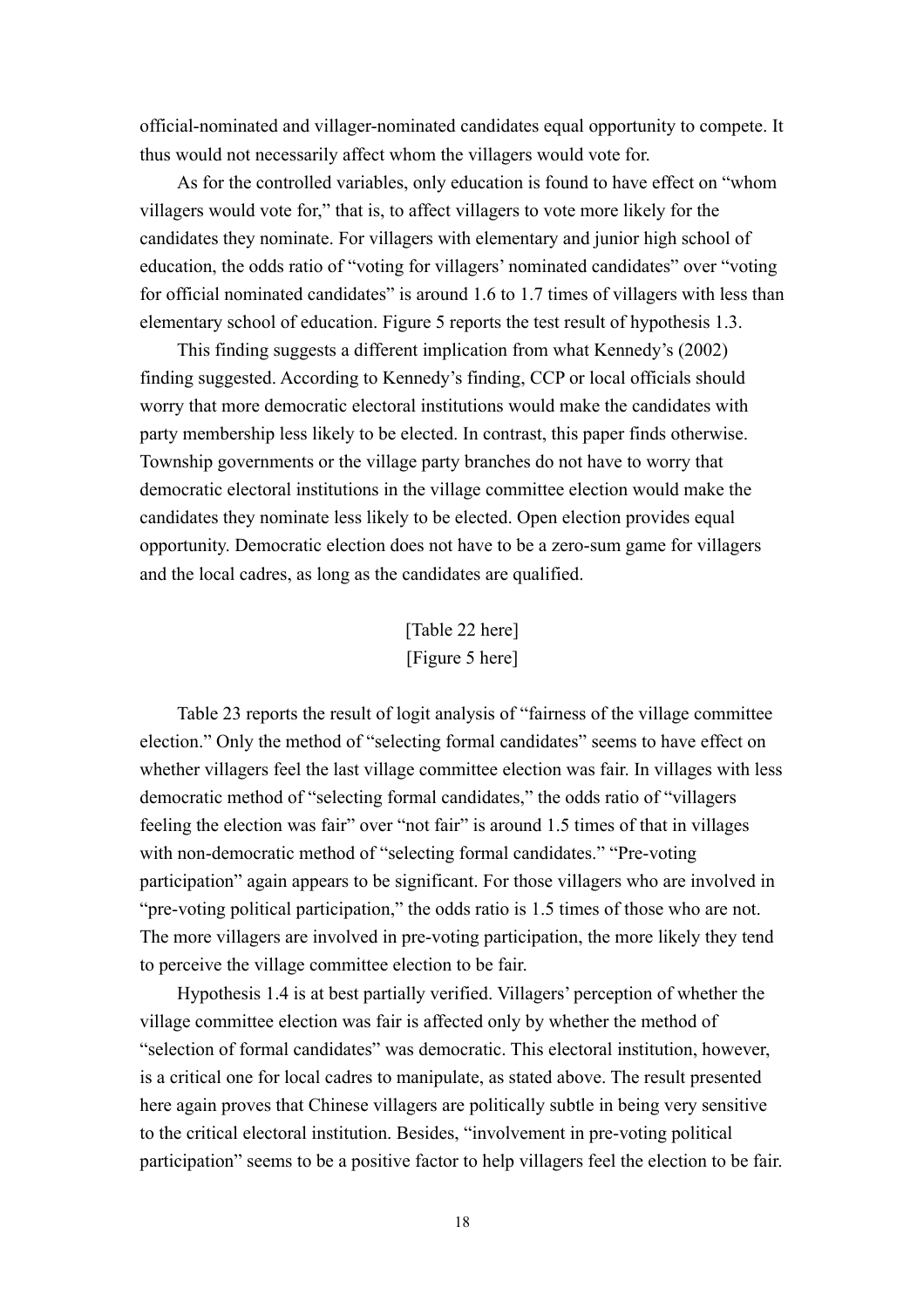official-nominated and villager-nominated candidates equal opportunity to compete. It thus would not necessarily affect whom the villagers would vote for.

As for the controlled variables, only education is found to have effect on "whom villagers would vote for," that is, to affect villagers to vote more likely for the candidates they nominate. For villagers with elementary and junior high school of education, the odds ratio of "voting for villagers' nominated candidates" over "voting for official nominated candidates" is around 1.6 to 1.7 times of villagers with less than elementary school of education. Figure 5 reports the test result of hypothesis 1.3.

This finding suggests a different implication from what Kennedy's (2002) finding suggested. According to Kennedy's finding, CCP or local officials should worry that more democratic electoral institutions would make the candidates with party membership less likely to be elected. In contrast, this paper finds otherwise. Township governments or the village party branches do not have to worry that democratic electoral institutions in the village committee election would make the candidates they nominate less likely to be elected. Open election provides equal opportunity. Democratic election does not have to be a zero-sum game for villagers and the local cadres, as long as the candidates are qualified.

> [Table 22 here] [Figure 5 here]

Table 23 reports the result of logit analysis of "fairness of the village committee election." Only the method of "selecting formal candidates" seems to have effect on whether villagers feel the last village committee election was fair. In villages with less democratic method of "selecting formal candidates," the odds ratio of "villagers feeling the election was fair" over "not fair" is around 1.5 times of that in villages with non-democratic method of "selecting formal candidates." "Pre-voting participation" again appears to be significant. For those villagers who are involved in "pre-voting political participation," the odds ratio is 1.5 times of those who are not. The more villagers are involved in pre-voting participation, the more likely they tend to perceive the village committee election to be fair.

Hypothesis 1.4 is at best partially verified. Villagers' perception of whether the village committee election was fair is affected only by whether the method of "selection of formal candidates" was democratic. This electoral institution, however, is a critical one for local cadres to manipulate, as stated above. The result presented here again proves that Chinese villagers are politically subtle in being very sensitive to the critical electoral institution. Besides, "involvement in pre-voting political participation" seems to be a positive factor to help villagers feel the election to be fair.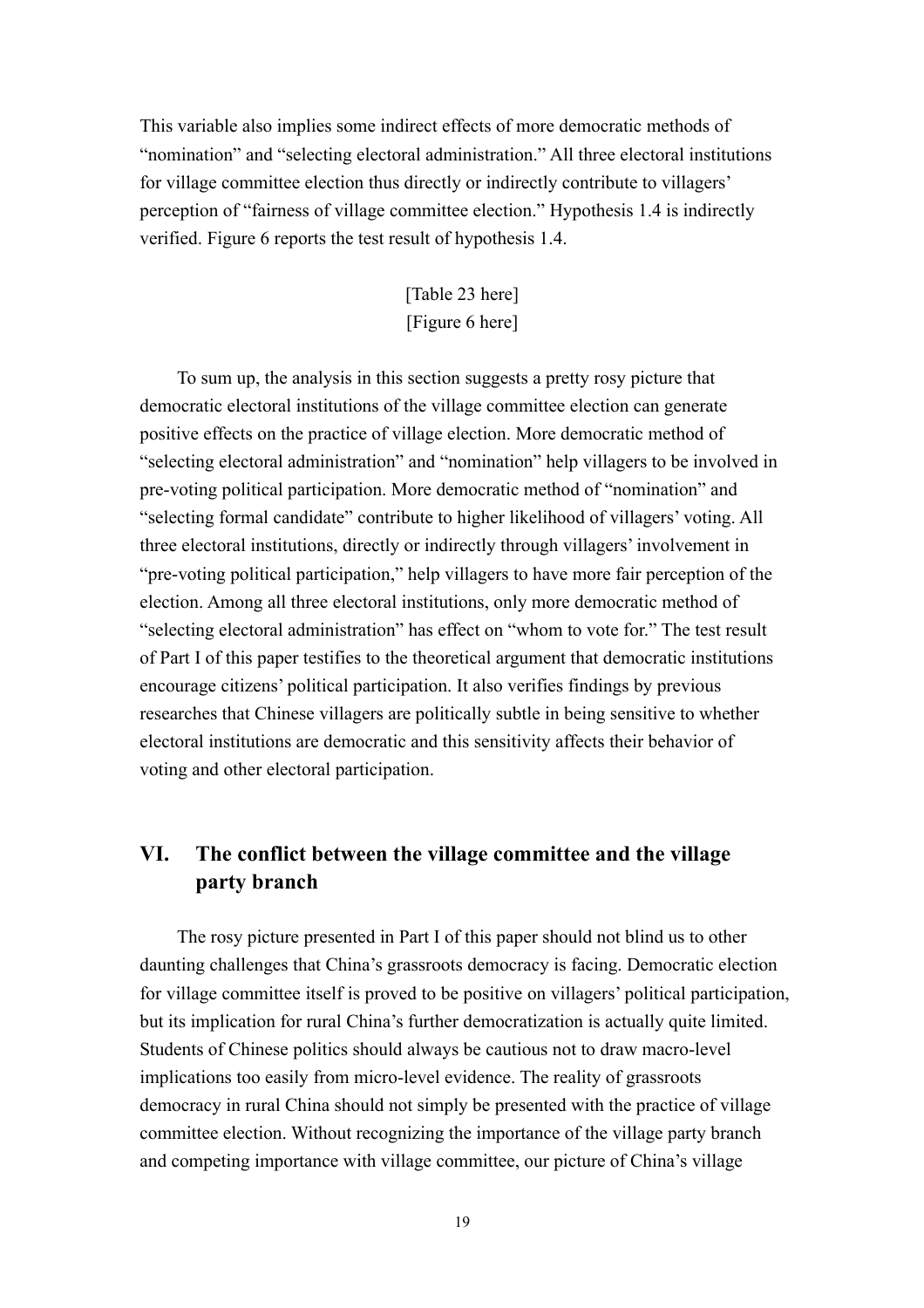This variable also implies some indirect effects of more democratic methods of "nomination" and "selecting electoral administration." All three electoral institutions for village committee election thus directly or indirectly contribute to villagers' perception of "fairness of village committee election." Hypothesis 1.4 is indirectly verified. Figure 6 reports the test result of hypothesis 1.4.

## [Table 23 here] [Figure 6 here]

To sum up, the analysis in this section suggests a pretty rosy picture that democratic electoral institutions of the village committee election can generate positive effects on the practice of village election. More democratic method of "selecting electoral administration" and "nomination" help villagers to be involved in pre-voting political participation. More democratic method of "nomination" and "selecting formal candidate" contribute to higher likelihood of villagers' voting. All three electoral institutions, directly or indirectly through villagers' involvement in "pre-voting political participation," help villagers to have more fair perception of the election. Among all three electoral institutions, only more democratic method of "selecting electoral administration" has effect on "whom to vote for." The test result of Part I of this paper testifies to the theoretical argument that democratic institutions encourage citizens' political participation. It also verifies findings by previous researches that Chinese villagers are politically subtle in being sensitive to whether electoral institutions are democratic and this sensitivity affects their behavior of voting and other electoral participation.

## **VI. The conflict between the village committee and the village party branch**

The rosy picture presented in Part I of this paper should not blind us to other daunting challenges that China's grassroots democracy is facing. Democratic election for village committee itself is proved to be positive on villagers' political participation, but its implication for rural China's further democratization is actually quite limited. Students of Chinese politics should always be cautious not to draw macro-level implications too easily from micro-level evidence. The reality of grassroots democracy in rural China should not simply be presented with the practice of village committee election. Without recognizing the importance of the village party branch and competing importance with village committee, our picture of China's village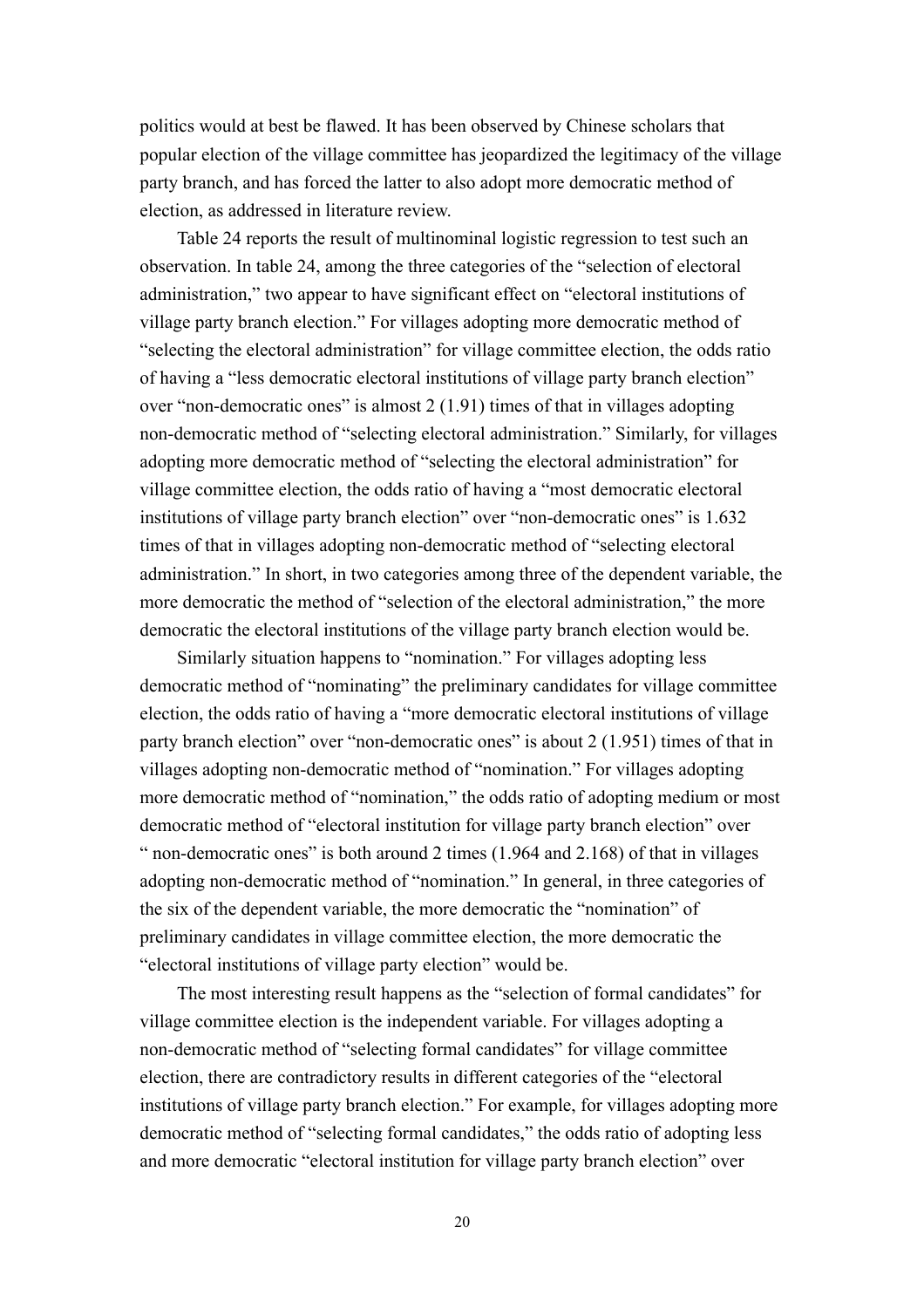politics would at best be flawed. It has been observed by Chinese scholars that popular election of the village committee has jeopardized the legitimacy of the village party branch, and has forced the latter to also adopt more democratic method of election, as addressed in literature review.

Table 24 reports the result of multinominal logistic regression to test such an observation. In table 24, among the three categories of the "selection of electoral administration," two appear to have significant effect on "electoral institutions of village party branch election." For villages adopting more democratic method of "selecting the electoral administration" for village committee election, the odds ratio of having a "less democratic electoral institutions of village party branch election" over "non-democratic ones" is almost 2 (1.91) times of that in villages adopting non-democratic method of "selecting electoral administration." Similarly, for villages adopting more democratic method of "selecting the electoral administration" for village committee election, the odds ratio of having a "most democratic electoral institutions of village party branch election" over "non-democratic ones" is 1.632 times of that in villages adopting non-democratic method of "selecting electoral administration." In short, in two categories among three of the dependent variable, the more democratic the method of "selection of the electoral administration," the more democratic the electoral institutions of the village party branch election would be.

Similarly situation happens to "nomination." For villages adopting less democratic method of "nominating" the preliminary candidates for village committee election, the odds ratio of having a "more democratic electoral institutions of village party branch election" over "non-democratic ones" is about 2 (1.951) times of that in villages adopting non-democratic method of "nomination." For villages adopting more democratic method of "nomination," the odds ratio of adopting medium or most democratic method of "electoral institution for village party branch election" over " non-democratic ones" is both around 2 times (1.964 and 2.168) of that in villages adopting non-democratic method of "nomination." In general, in three categories of the six of the dependent variable, the more democratic the "nomination" of preliminary candidates in village committee election, the more democratic the "electoral institutions of village party election" would be.

The most interesting result happens as the "selection of formal candidates" for village committee election is the independent variable. For villages adopting a non-democratic method of "selecting formal candidates" for village committee election, there are contradictory results in different categories of the "electoral institutions of village party branch election." For example, for villages adopting more democratic method of "selecting formal candidates," the odds ratio of adopting less and more democratic "electoral institution for village party branch election" over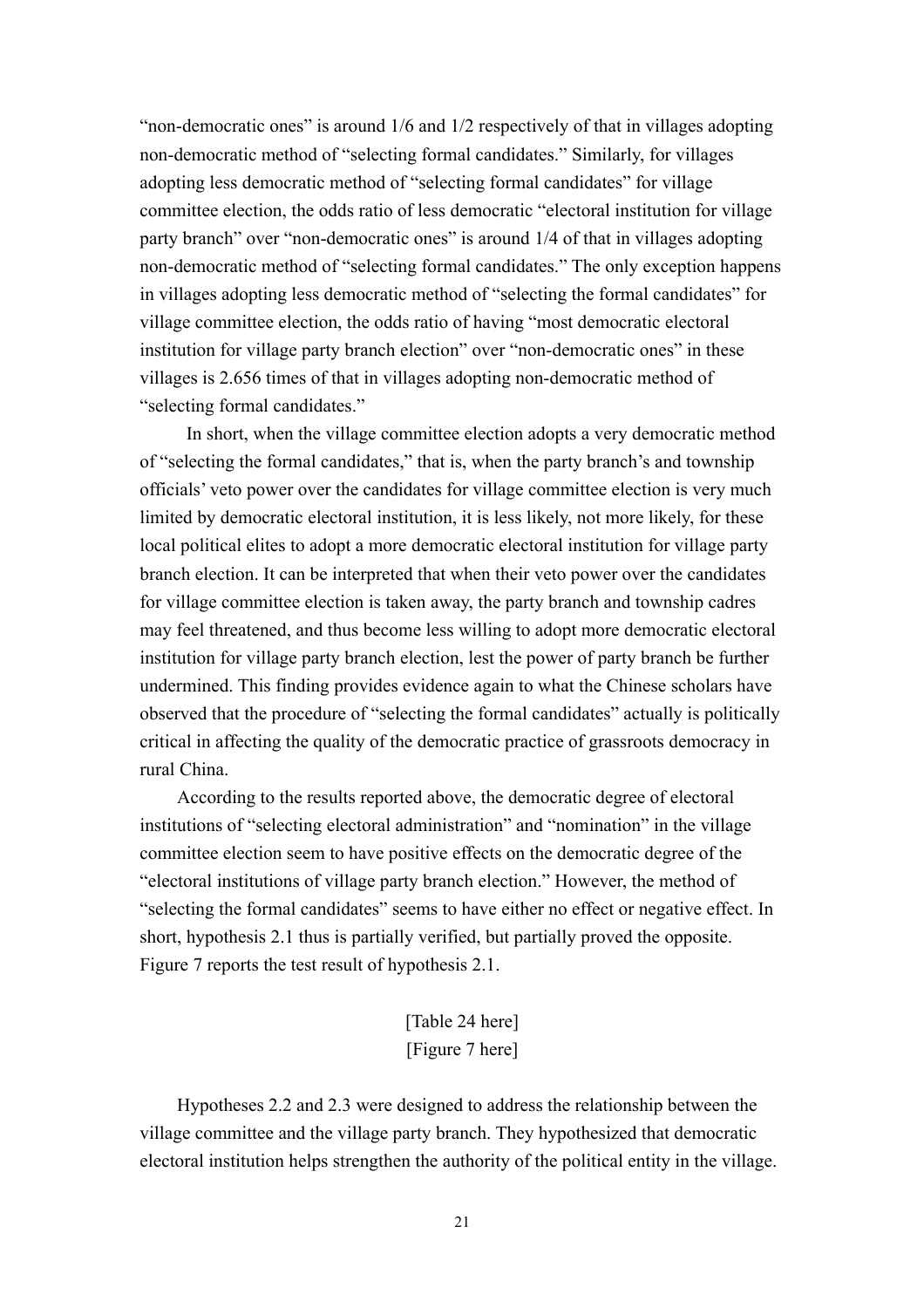"non-democratic ones" is around 1/6 and 1/2 respectively of that in villages adopting non-democratic method of "selecting formal candidates." Similarly, for villages adopting less democratic method of "selecting formal candidates" for village committee election, the odds ratio of less democratic "electoral institution for village party branch" over "non-democratic ones" is around 1/4 of that in villages adopting non-democratic method of "selecting formal candidates." The only exception happens in villages adopting less democratic method of "selecting the formal candidates" for village committee election, the odds ratio of having "most democratic electoral institution for village party branch election" over "non-democratic ones" in these villages is 2.656 times of that in villages adopting non-democratic method of "selecting formal candidates."

 In short, when the village committee election adopts a very democratic method of "selecting the formal candidates," that is, when the party branch's and township officials' veto power over the candidates for village committee election is very much limited by democratic electoral institution, it is less likely, not more likely, for these local political elites to adopt a more democratic electoral institution for village party branch election. It can be interpreted that when their veto power over the candidates for village committee election is taken away, the party branch and township cadres may feel threatened, and thus become less willing to adopt more democratic electoral institution for village party branch election, lest the power of party branch be further undermined. This finding provides evidence again to what the Chinese scholars have observed that the procedure of "selecting the formal candidates" actually is politically critical in affecting the quality of the democratic practice of grassroots democracy in rural China.

According to the results reported above, the democratic degree of electoral institutions of "selecting electoral administration" and "nomination" in the village committee election seem to have positive effects on the democratic degree of the "electoral institutions of village party branch election." However, the method of "selecting the formal candidates" seems to have either no effect or negative effect. In short, hypothesis 2.1 thus is partially verified, but partially proved the opposite. Figure 7 reports the test result of hypothesis 2.1.

> [Table 24 here] [Figure 7 here]

Hypotheses 2.2 and 2.3 were designed to address the relationship between the village committee and the village party branch. They hypothesized that democratic electoral institution helps strengthen the authority of the political entity in the village.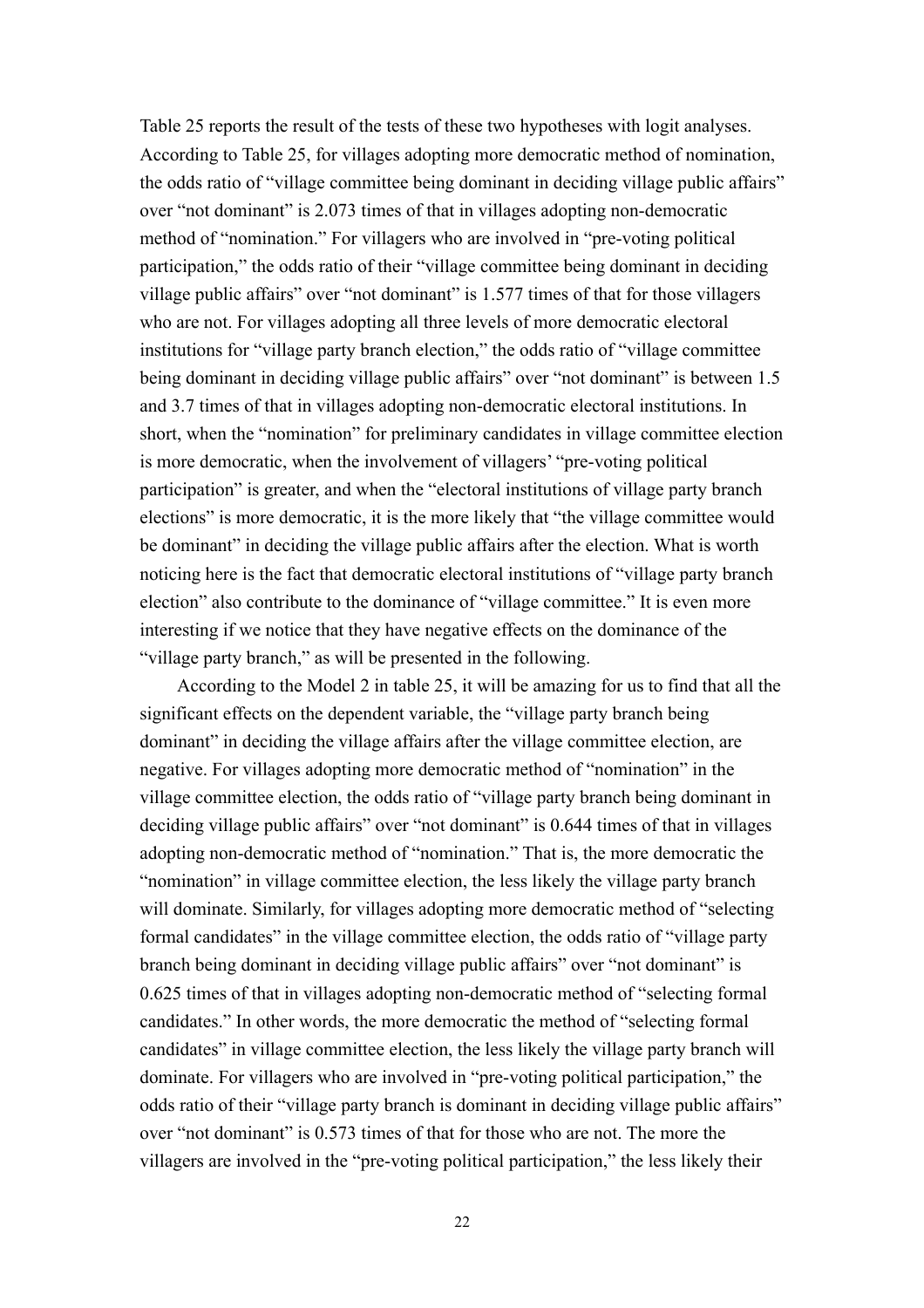Table 25 reports the result of the tests of these two hypotheses with logit analyses. According to Table 25, for villages adopting more democratic method of nomination, the odds ratio of "village committee being dominant in deciding village public affairs" over "not dominant" is 2.073 times of that in villages adopting non-democratic method of "nomination." For villagers who are involved in "pre-voting political participation," the odds ratio of their "village committee being dominant in deciding village public affairs" over "not dominant" is 1.577 times of that for those villagers who are not. For villages adopting all three levels of more democratic electoral institutions for "village party branch election," the odds ratio of "village committee being dominant in deciding village public affairs" over "not dominant" is between 1.5 and 3.7 times of that in villages adopting non-democratic electoral institutions. In short, when the "nomination" for preliminary candidates in village committee election is more democratic, when the involvement of villagers' "pre-voting political participation" is greater, and when the "electoral institutions of village party branch elections" is more democratic, it is the more likely that "the village committee would be dominant" in deciding the village public affairs after the election. What is worth noticing here is the fact that democratic electoral institutions of "village party branch election" also contribute to the dominance of "village committee." It is even more interesting if we notice that they have negative effects on the dominance of the "village party branch," as will be presented in the following.

According to the Model 2 in table 25, it will be amazing for us to find that all the significant effects on the dependent variable, the "village party branch being dominant" in deciding the village affairs after the village committee election, are negative. For villages adopting more democratic method of "nomination" in the village committee election, the odds ratio of "village party branch being dominant in deciding village public affairs" over "not dominant" is 0.644 times of that in villages adopting non-democratic method of "nomination." That is, the more democratic the "nomination" in village committee election, the less likely the village party branch will dominate. Similarly, for villages adopting more democratic method of "selecting" formal candidates" in the village committee election, the odds ratio of "village party branch being dominant in deciding village public affairs" over "not dominant" is 0.625 times of that in villages adopting non-democratic method of "selecting formal candidates." In other words, the more democratic the method of "selecting formal candidates" in village committee election, the less likely the village party branch will dominate. For villagers who are involved in "pre-voting political participation," the odds ratio of their "village party branch is dominant in deciding village public affairs" over "not dominant" is 0.573 times of that for those who are not. The more the villagers are involved in the "pre-voting political participation," the less likely their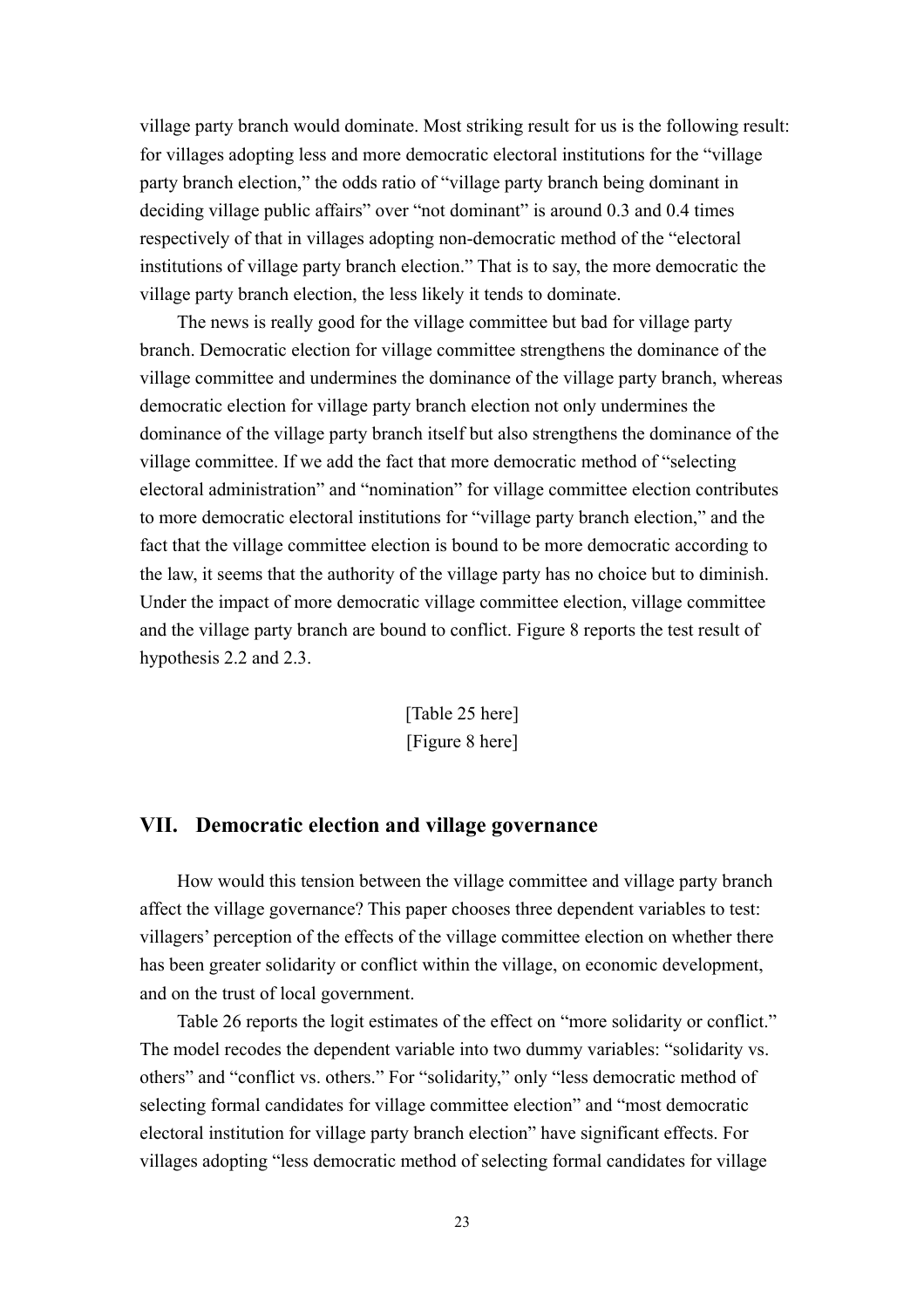village party branch would dominate. Most striking result for us is the following result: for villages adopting less and more democratic electoral institutions for the "village party branch election," the odds ratio of "village party branch being dominant in deciding village public affairs" over "not dominant" is around 0.3 and 0.4 times respectively of that in villages adopting non-democratic method of the "electoral institutions of village party branch election." That is to say, the more democratic the village party branch election, the less likely it tends to dominate.

The news is really good for the village committee but bad for village party branch. Democratic election for village committee strengthens the dominance of the village committee and undermines the dominance of the village party branch, whereas democratic election for village party branch election not only undermines the dominance of the village party branch itself but also strengthens the dominance of the village committee. If we add the fact that more democratic method of "selecting electoral administration" and "nomination" for village committee election contributes to more democratic electoral institutions for "village party branch election," and the fact that the village committee election is bound to be more democratic according to the law, it seems that the authority of the village party has no choice but to diminish. Under the impact of more democratic village committee election, village committee and the village party branch are bound to conflict. Figure 8 reports the test result of hypothesis 2.2 and 2.3.

> [Table 25 here] [Figure 8 here]

#### **VII. Democratic election and village governance**

How would this tension between the village committee and village party branch affect the village governance? This paper chooses three dependent variables to test: villagers' perception of the effects of the village committee election on whether there has been greater solidarity or conflict within the village, on economic development, and on the trust of local government.

Table 26 reports the logit estimates of the effect on "more solidarity or conflict." The model recodes the dependent variable into two dummy variables: "solidarity vs. others" and "conflict vs. others." For "solidarity," only "less democratic method of selecting formal candidates for village committee election" and "most democratic electoral institution for village party branch election" have significant effects. For villages adopting "less democratic method of selecting formal candidates for village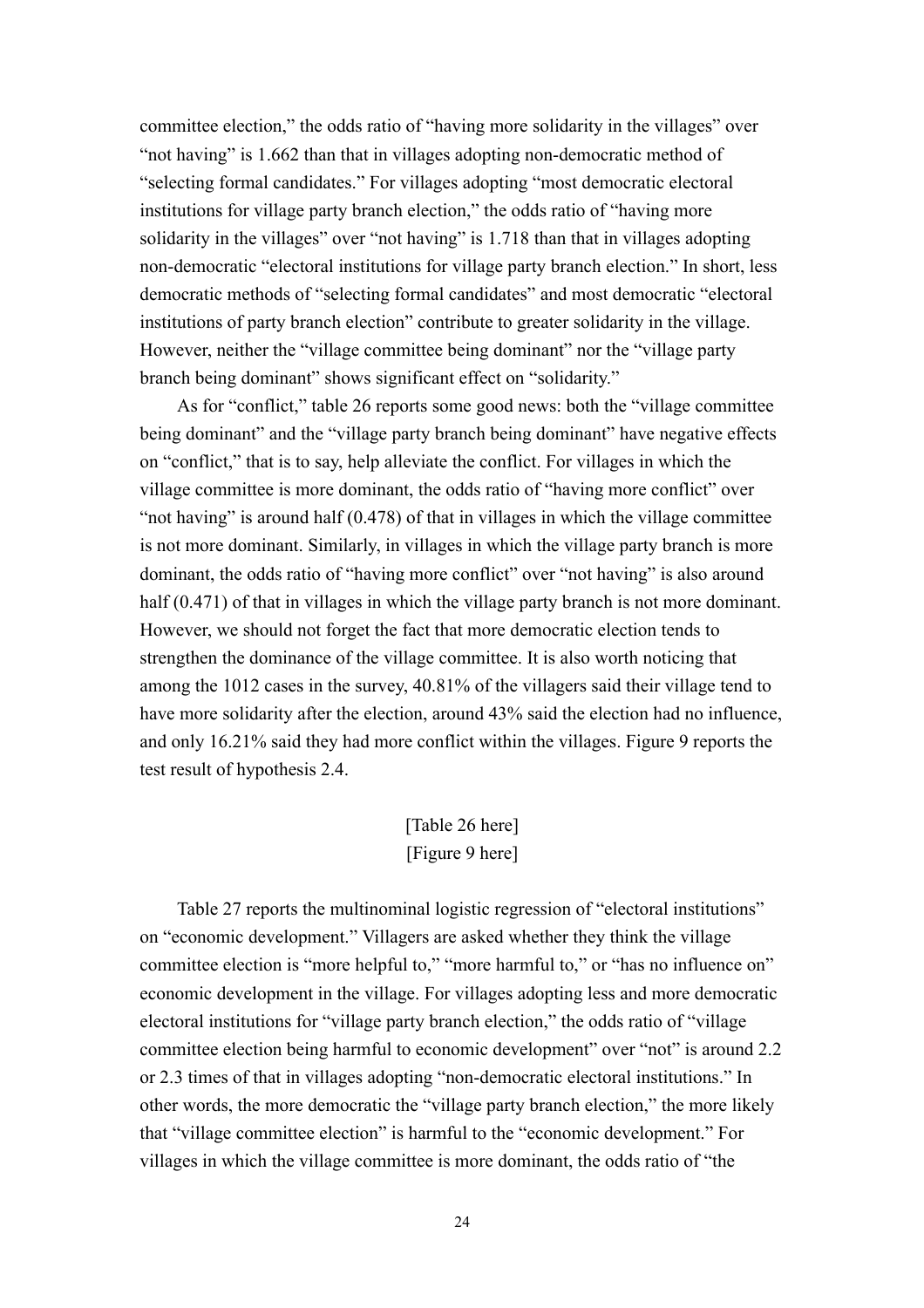committee election," the odds ratio of "having more solidarity in the villages" over "not having" is 1.662 than that in villages adopting non-democratic method of "selecting formal candidates." For villages adopting "most democratic electoral institutions for village party branch election," the odds ratio of "having more solidarity in the villages" over "not having" is 1.718 than that in villages adopting non-democratic "electoral institutions for village party branch election." In short, less democratic methods of "selecting formal candidates" and most democratic "electoral institutions of party branch election" contribute to greater solidarity in the village. However, neither the "village committee being dominant" nor the "village party branch being dominant" shows significant effect on "solidarity."

As for "conflict," table 26 reports some good news: both the "village committee being dominant" and the "village party branch being dominant" have negative effects on "conflict," that is to say, help alleviate the conflict. For villages in which the village committee is more dominant, the odds ratio of "having more conflict" over "not having" is around half (0.478) of that in villages in which the village committee is not more dominant. Similarly, in villages in which the village party branch is more dominant, the odds ratio of "having more conflict" over "not having" is also around half (0.471) of that in villages in which the village party branch is not more dominant. However, we should not forget the fact that more democratic election tends to strengthen the dominance of the village committee. It is also worth noticing that among the 1012 cases in the survey, 40.81% of the villagers said their village tend to have more solidarity after the election, around 43% said the election had no influence, and only 16.21% said they had more conflict within the villages. Figure 9 reports the test result of hypothesis 2.4.

## [Table 26 here] [Figure 9 here]

Table 27 reports the multinominal logistic regression of "electoral institutions" on "economic development." Villagers are asked whether they think the village committee election is "more helpful to," "more harmful to," or "has no influence on" economic development in the village. For villages adopting less and more democratic electoral institutions for "village party branch election," the odds ratio of "village committee election being harmful to economic development" over "not" is around 2.2 or 2.3 times of that in villages adopting "non-democratic electoral institutions." In other words, the more democratic the "village party branch election," the more likely that "village committee election" is harmful to the "economic development." For villages in which the village committee is more dominant, the odds ratio of "the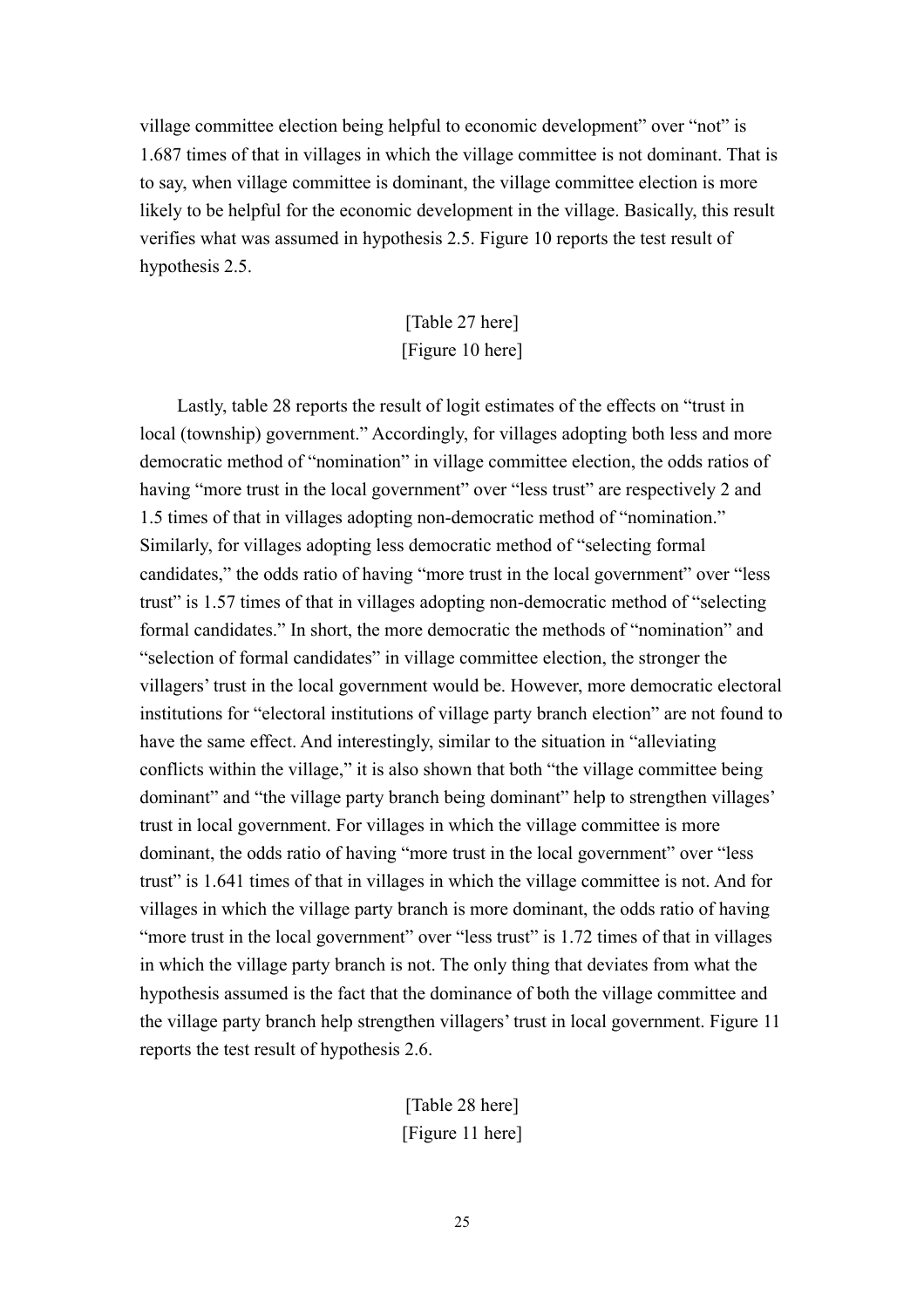village committee election being helpful to economic development" over "not" is 1.687 times of that in villages in which the village committee is not dominant. That is to say, when village committee is dominant, the village committee election is more likely to be helpful for the economic development in the village. Basically, this result verifies what was assumed in hypothesis 2.5. Figure 10 reports the test result of hypothesis 2.5.

## [Table 27 here] [Figure 10 here]

Lastly, table 28 reports the result of logit estimates of the effects on "trust in local (township) government." Accordingly, for villages adopting both less and more democratic method of "nomination" in village committee election, the odds ratios of having "more trust in the local government" over "less trust" are respectively 2 and 1.5 times of that in villages adopting non-democratic method of "nomination." Similarly, for villages adopting less democratic method of "selecting formal candidates," the odds ratio of having "more trust in the local government" over "less trust" is 1.57 times of that in villages adopting non-democratic method of "selecting formal candidates." In short, the more democratic the methods of "nomination" and "selection of formal candidates" in village committee election, the stronger the villagers' trust in the local government would be. However, more democratic electoral institutions for "electoral institutions of village party branch election" are not found to have the same effect. And interestingly, similar to the situation in "alleviating conflicts within the village," it is also shown that both "the village committee being dominant" and "the village party branch being dominant" help to strengthen villages' trust in local government. For villages in which the village committee is more dominant, the odds ratio of having "more trust in the local government" over "less trust" is 1.641 times of that in villages in which the village committee is not. And for villages in which the village party branch is more dominant, the odds ratio of having "more trust in the local government" over "less trust" is 1.72 times of that in villages in which the village party branch is not. The only thing that deviates from what the hypothesis assumed is the fact that the dominance of both the village committee and the village party branch help strengthen villagers' trust in local government. Figure 11 reports the test result of hypothesis 2.6.

> [Table 28 here] [Figure 11 here]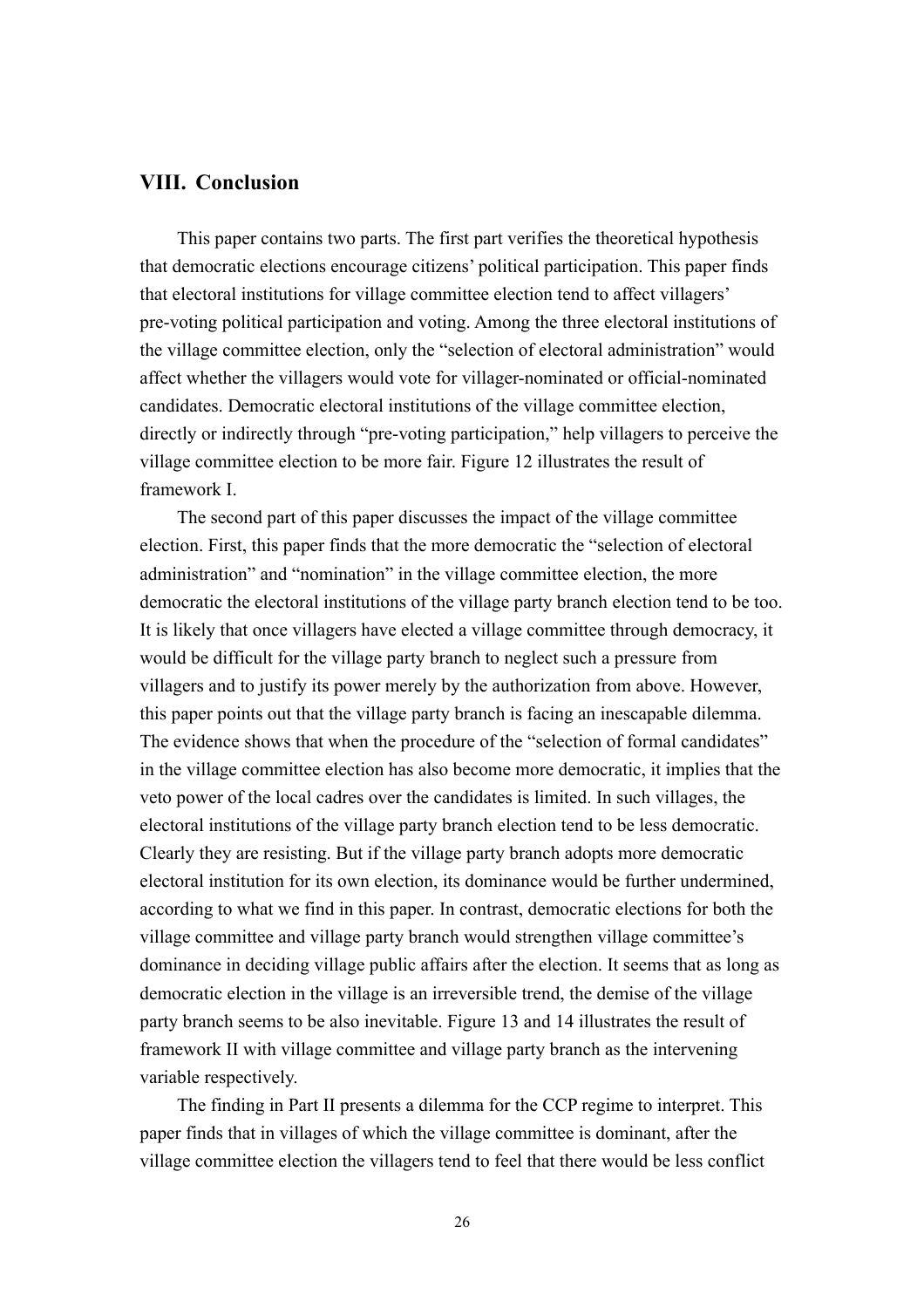#### **VIII. Conclusion**

This paper contains two parts. The first part verifies the theoretical hypothesis that democratic elections encourage citizens' political participation. This paper finds that electoral institutions for village committee election tend to affect villagers' pre-voting political participation and voting. Among the three electoral institutions of the village committee election, only the "selection of electoral administration" would affect whether the villagers would vote for villager-nominated or official-nominated candidates. Democratic electoral institutions of the village committee election, directly or indirectly through "pre-voting participation," help villagers to perceive the village committee election to be more fair. Figure 12 illustrates the result of framework I.

The second part of this paper discusses the impact of the village committee election. First, this paper finds that the more democratic the "selection of electoral administration" and "nomination" in the village committee election, the more democratic the electoral institutions of the village party branch election tend to be too. It is likely that once villagers have elected a village committee through democracy, it would be difficult for the village party branch to neglect such a pressure from villagers and to justify its power merely by the authorization from above. However, this paper points out that the village party branch is facing an inescapable dilemma. The evidence shows that when the procedure of the "selection of formal candidates" in the village committee election has also become more democratic, it implies that the veto power of the local cadres over the candidates is limited. In such villages, the electoral institutions of the village party branch election tend to be less democratic. Clearly they are resisting. But if the village party branch adopts more democratic electoral institution for its own election, its dominance would be further undermined, according to what we find in this paper. In contrast, democratic elections for both the village committee and village party branch would strengthen village committee's dominance in deciding village public affairs after the election. It seems that as long as democratic election in the village is an irreversible trend, the demise of the village party branch seems to be also inevitable. Figure 13 and 14 illustrates the result of framework II with village committee and village party branch as the intervening variable respectively.

The finding in Part II presents a dilemma for the CCP regime to interpret. This paper finds that in villages of which the village committee is dominant, after the village committee election the villagers tend to feel that there would be less conflict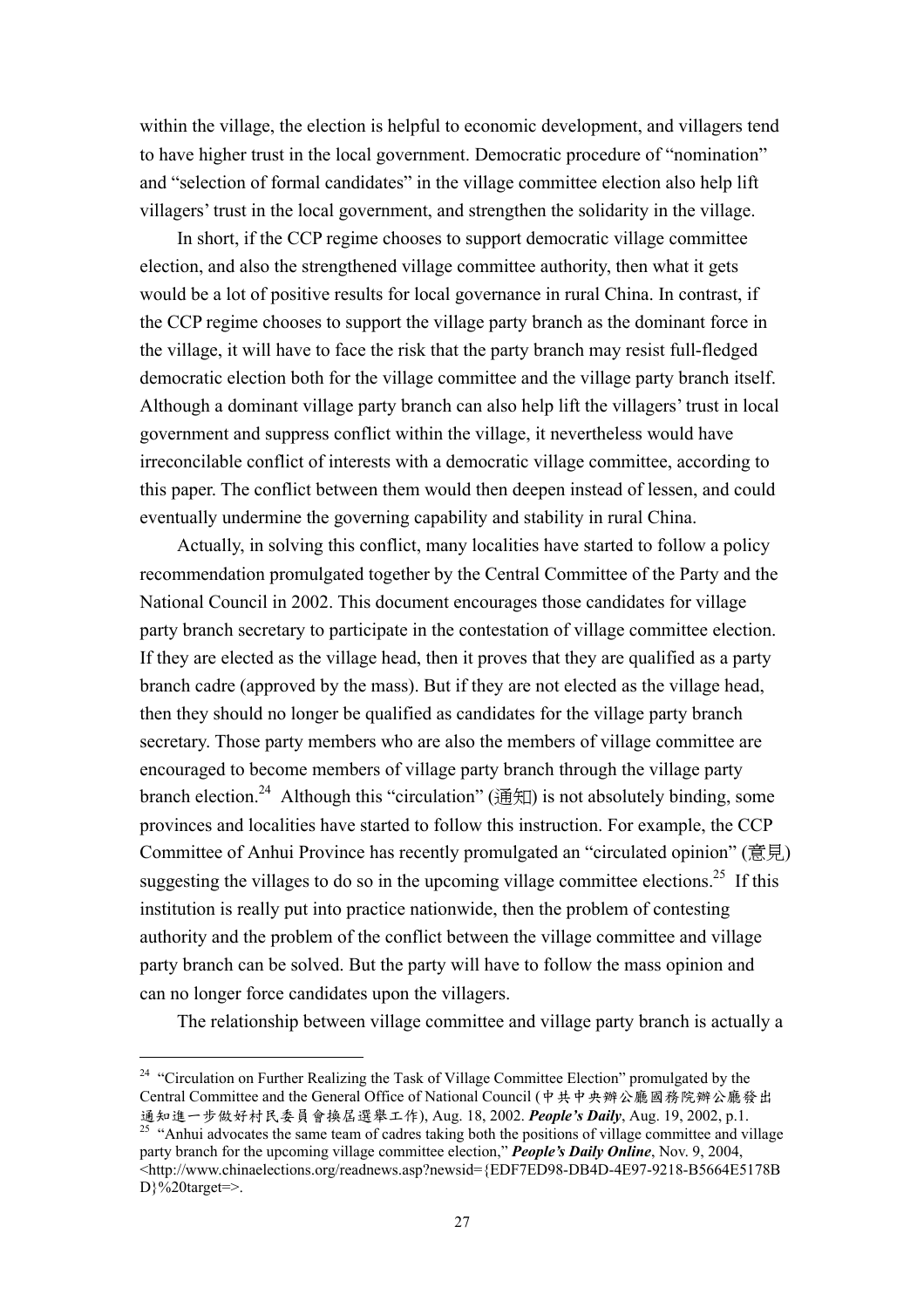within the village, the election is helpful to economic development, and villagers tend to have higher trust in the local government. Democratic procedure of "nomination" and "selection of formal candidates" in the village committee election also help lift villagers' trust in the local government, and strengthen the solidarity in the village.

In short, if the CCP regime chooses to support democratic village committee election, and also the strengthened village committee authority, then what it gets would be a lot of positive results for local governance in rural China. In contrast, if the CCP regime chooses to support the village party branch as the dominant force in the village, it will have to face the risk that the party branch may resist full-fledged democratic election both for the village committee and the village party branch itself. Although a dominant village party branch can also help lift the villagers' trust in local government and suppress conflict within the village, it nevertheless would have irreconcilable conflict of interests with a democratic village committee, according to this paper. The conflict between them would then deepen instead of lessen, and could eventually undermine the governing capability and stability in rural China.

Actually, in solving this conflict, many localities have started to follow a policy recommendation promulgated together by the Central Committee of the Party and the National Council in 2002. This document encourages those candidates for village party branch secretary to participate in the contestation of village committee election. If they are elected as the village head, then it proves that they are qualified as a party branch cadre (approved by the mass). But if they are not elected as the village head, then they should no longer be qualified as candidates for the village party branch secretary. Those party members who are also the members of village committee are encouraged to become members of village party branch through the village party branch election.<sup>24</sup> Although this "circulation" (通知) is not absolutely binding, some provinces and localities have started to follow this instruction. For example, the CCP Committee of Anhui Province has recently promulgated an "circulated opinion" (意見) suggesting the villages to do so in the upcoming village committee elections.<sup>25</sup> If this institution is really put into practice nationwide, then the problem of contesting authority and the problem of the conflict between the village committee and village party branch can be solved. But the party will have to follow the mass opinion and can no longer force candidates upon the villagers.

The relationship between village committee and village party branch is actually a

<sup>&</sup>lt;sup>24</sup> "Circulation on Further Realizing the Task of Village Committee Election" promulgated by the Central Committee and the General Office of National Council (中共中央辦公廳國務院辦公廳發出<br>通知進一步做好村民委員會換屆選舉工作), Aug. 18, 2002. People's Daily, Aug. 19, 2002, p.1.

<sup>&</sup>lt;sup>25</sup> "Anhui advocates the same team of cadres taking both the positions of village committee and village party branch for the upcoming village committee election," *People's Daily Online*, Nov. 9, 2004, <http://www.chinaelections.org/readnews.asp?newsid={EDF7ED98-DB4D-4E97-9218-B5664E5178B  $D\}$ %20target=>.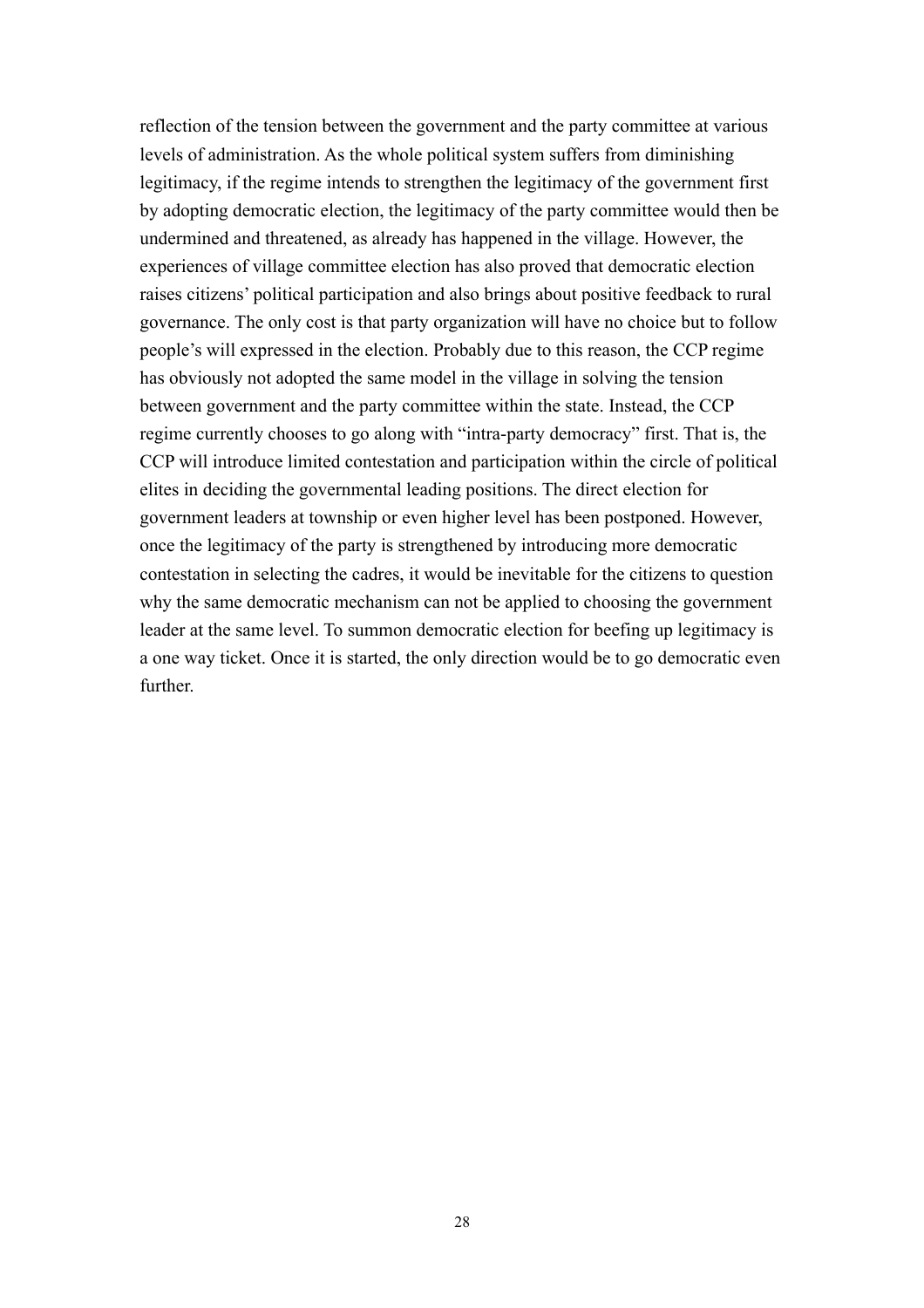reflection of the tension between the government and the party committee at various levels of administration. As the whole political system suffers from diminishing legitimacy, if the regime intends to strengthen the legitimacy of the government first by adopting democratic election, the legitimacy of the party committee would then be undermined and threatened, as already has happened in the village. However, the experiences of village committee election has also proved that democratic election raises citizens' political participation and also brings about positive feedback to rural governance. The only cost is that party organization will have no choice but to follow people's will expressed in the election. Probably due to this reason, the CCP regime has obviously not adopted the same model in the village in solving the tension between government and the party committee within the state. Instead, the CCP regime currently chooses to go along with "intra-party democracy" first. That is, the CCP will introduce limited contestation and participation within the circle of political elites in deciding the governmental leading positions. The direct election for government leaders at township or even higher level has been postponed. However, once the legitimacy of the party is strengthened by introducing more democratic contestation in selecting the cadres, it would be inevitable for the citizens to question why the same democratic mechanism can not be applied to choosing the government leader at the same level. To summon democratic election for beefing up legitimacy is a one way ticket. Once it is started, the only direction would be to go democratic even further.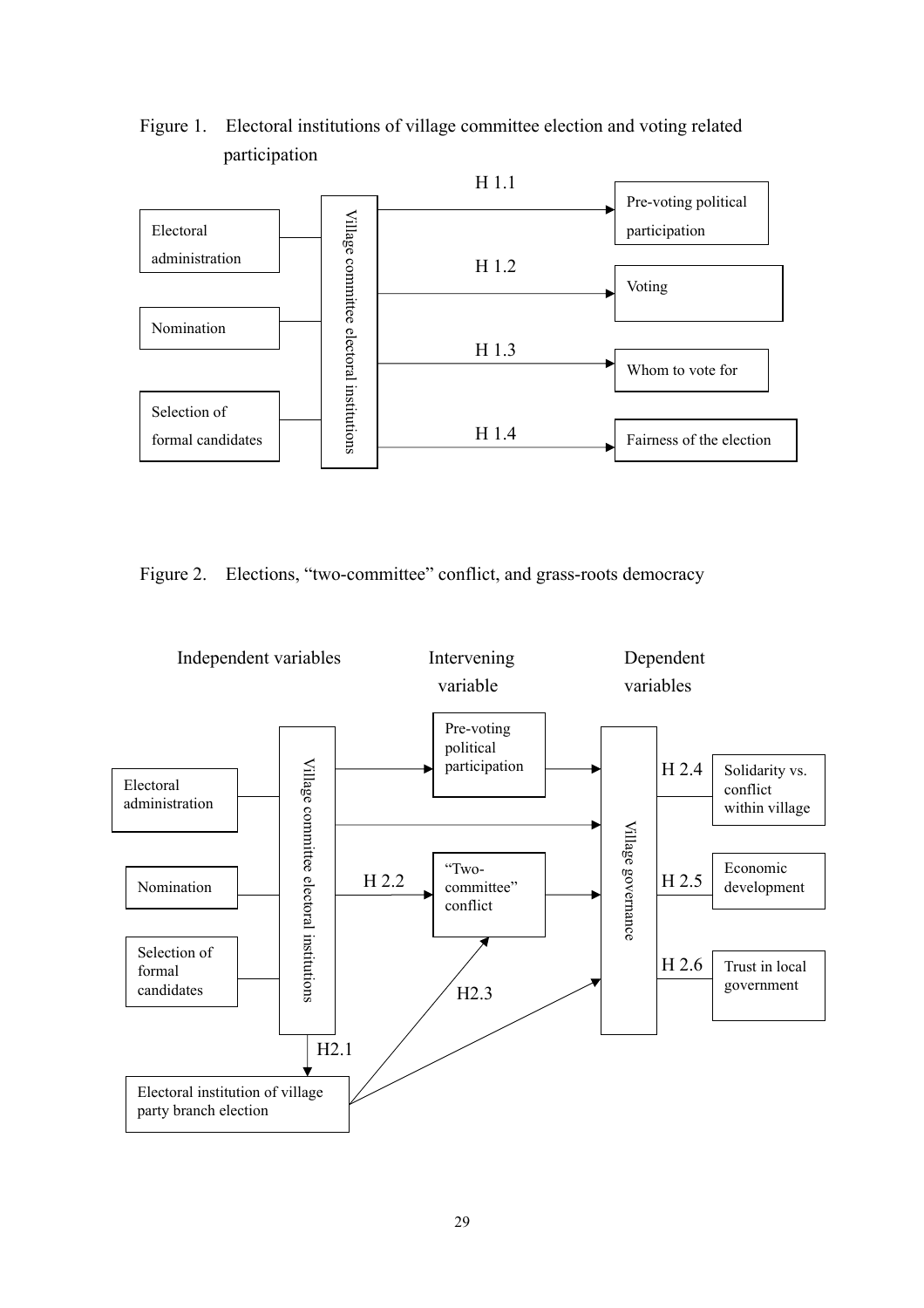

## Figure 1. Electoral institutions of village committee election and voting related participation

Figure 2. Elections, "two-committee" conflict, and grass-roots democracy

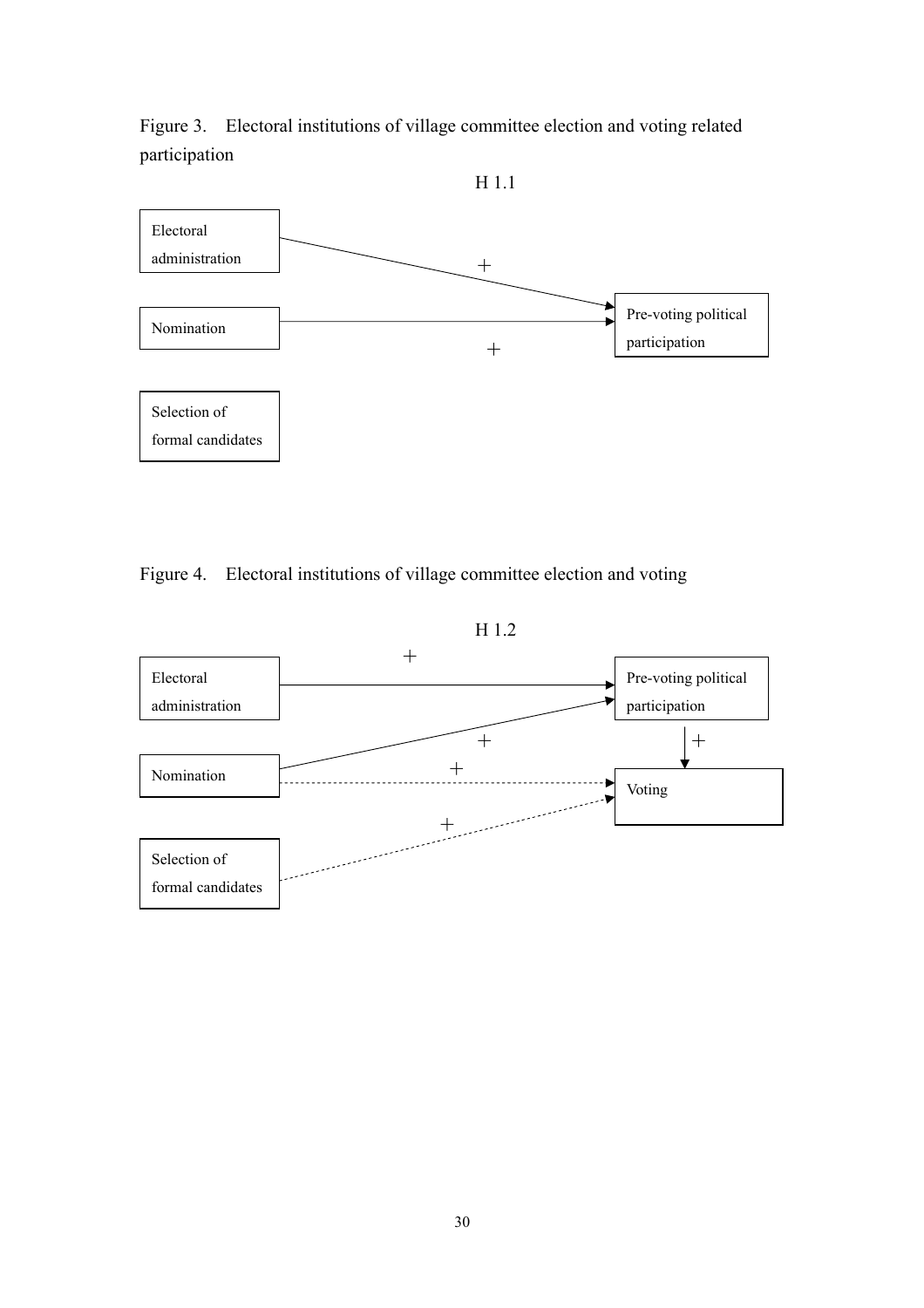Figure 3. Electoral institutions of village committee election and voting related participation



## Figure 4. Electoral institutions of village committee election and voting

H 1.2

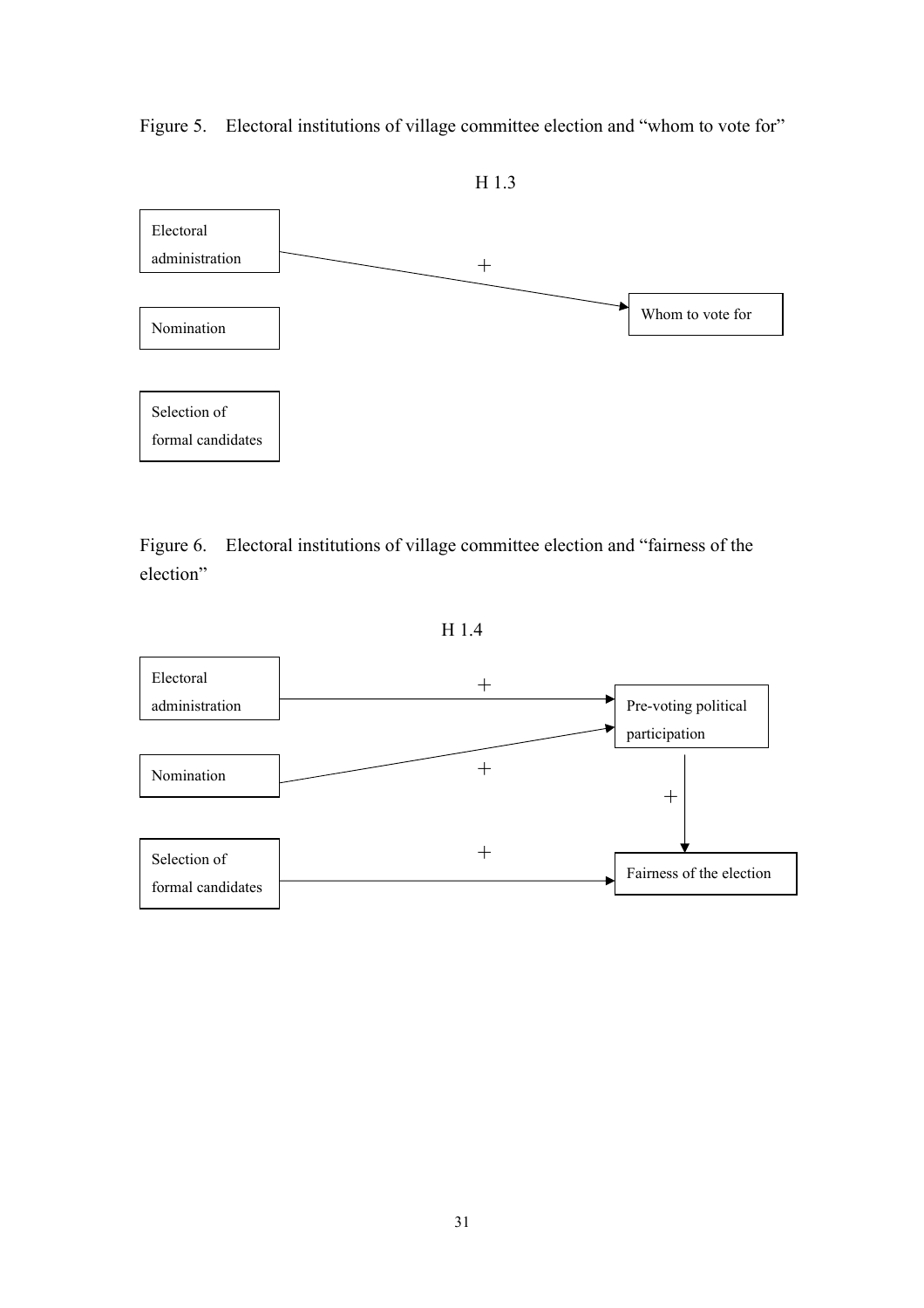Figure 5. Electoral institutions of village committee election and "whom to vote for"



Figure 6. Electoral institutions of village committee election and "fairness of the election"

H 1.4

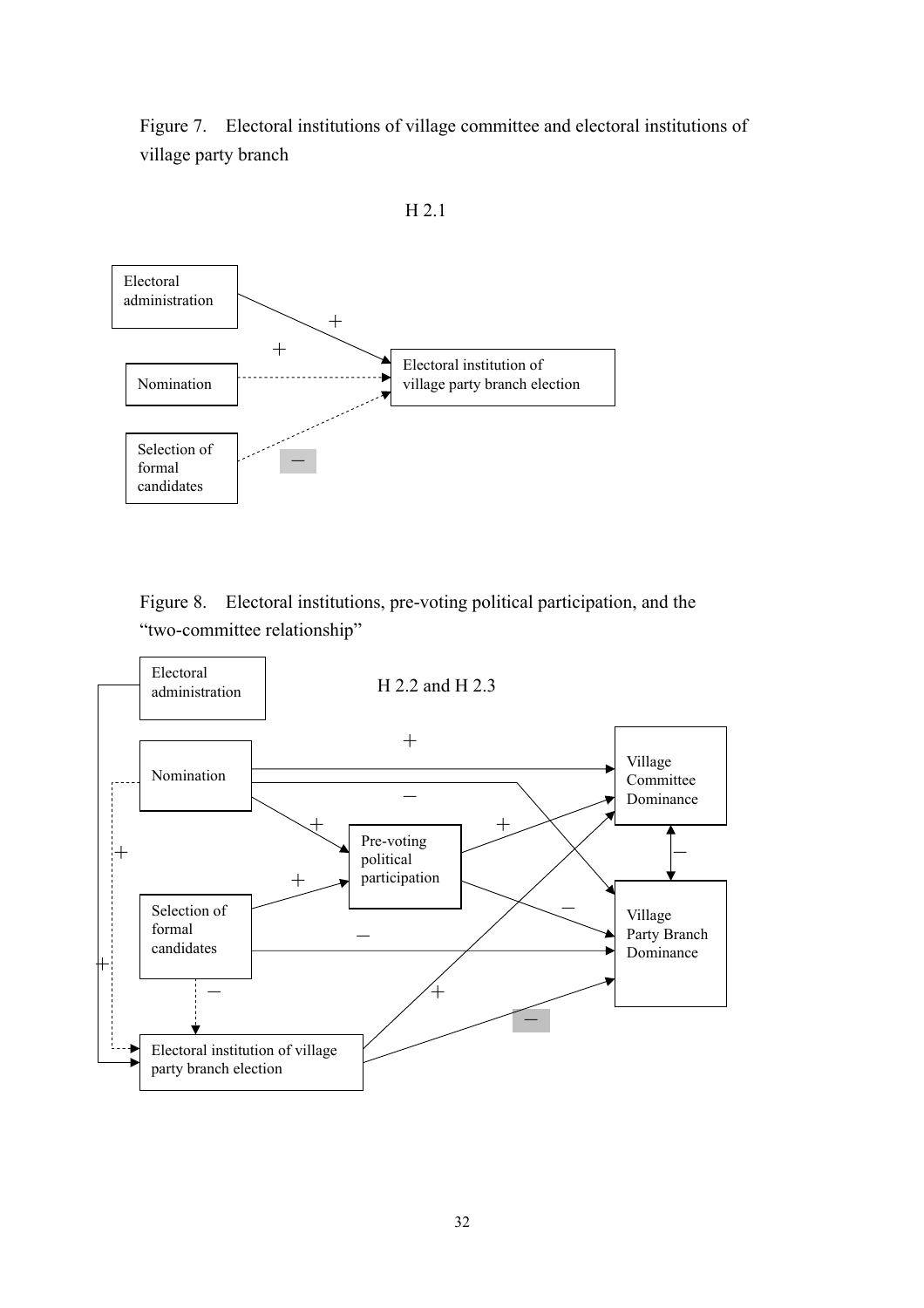Figure 7. Electoral institutions of village committee and electoral institutions of village party branch



H 2.1



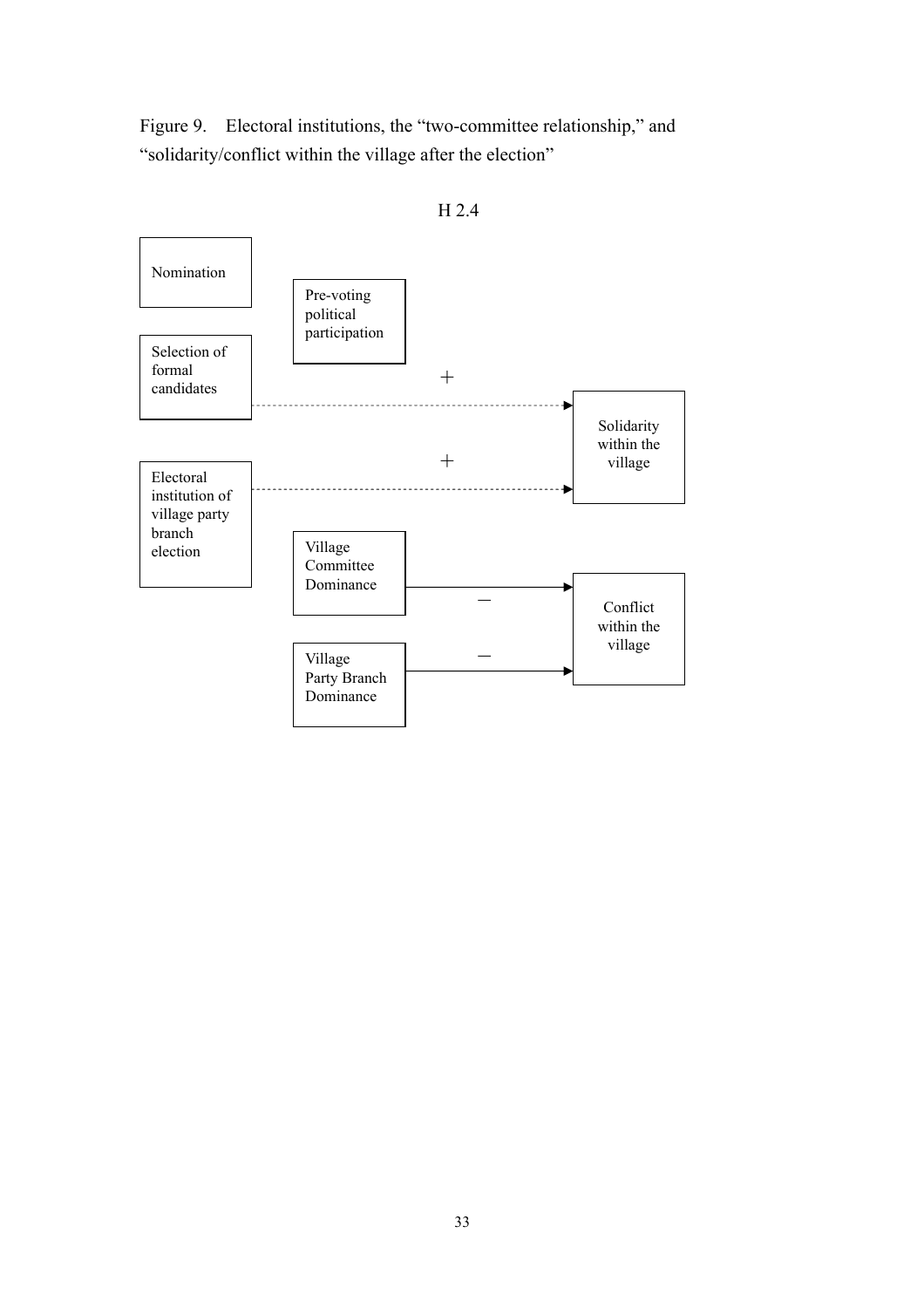Figure 9. Electoral institutions, the "two-committee relationship," and "solidarity/conflict within the village after the election"



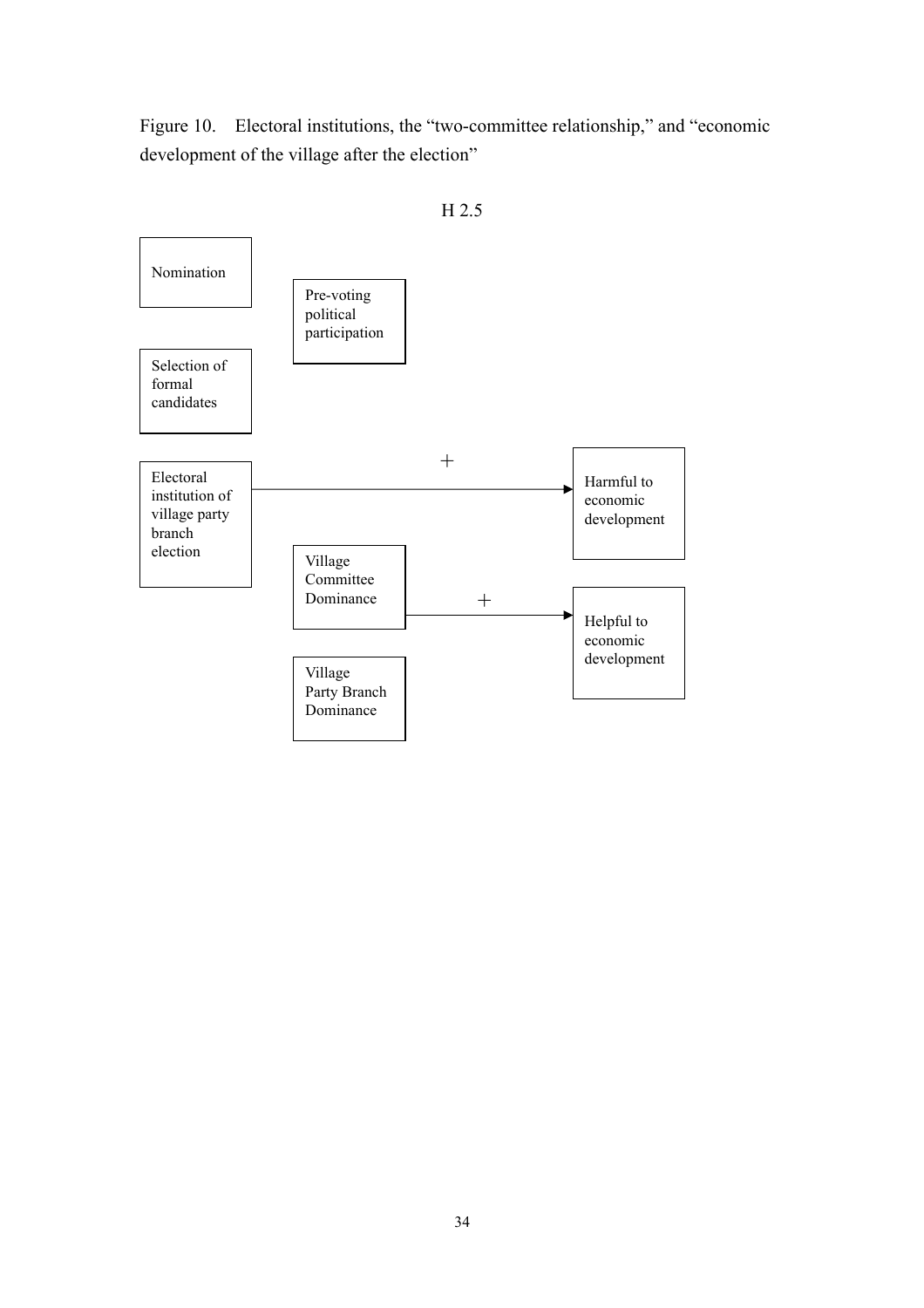Figure 10. Electoral institutions, the "two-committee relationship," and "economic development of the village after the election"



H 2.5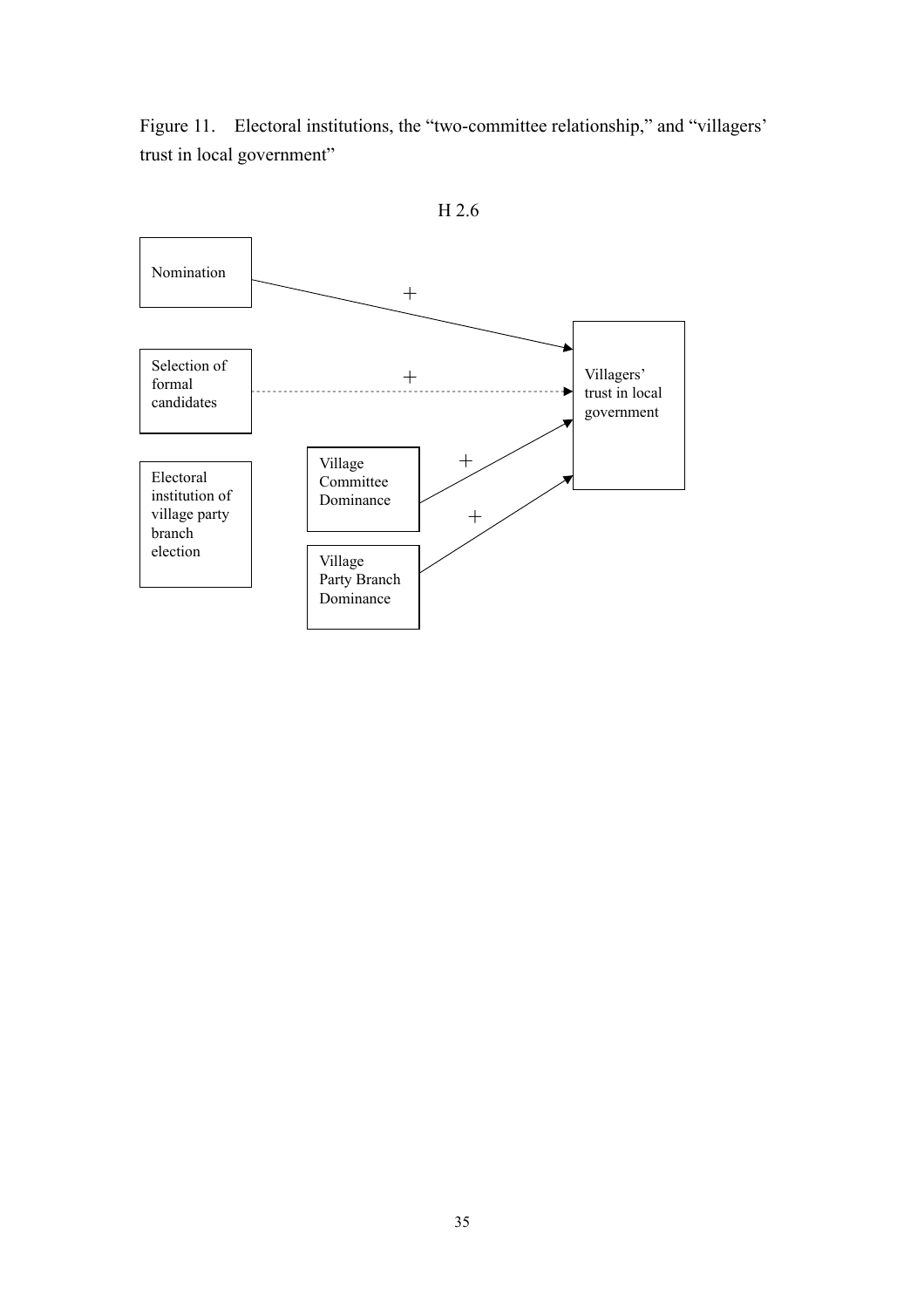Figure 11. Electoral institutions, the "two-committee relationship," and "villagers" trust in local government"



H 2.6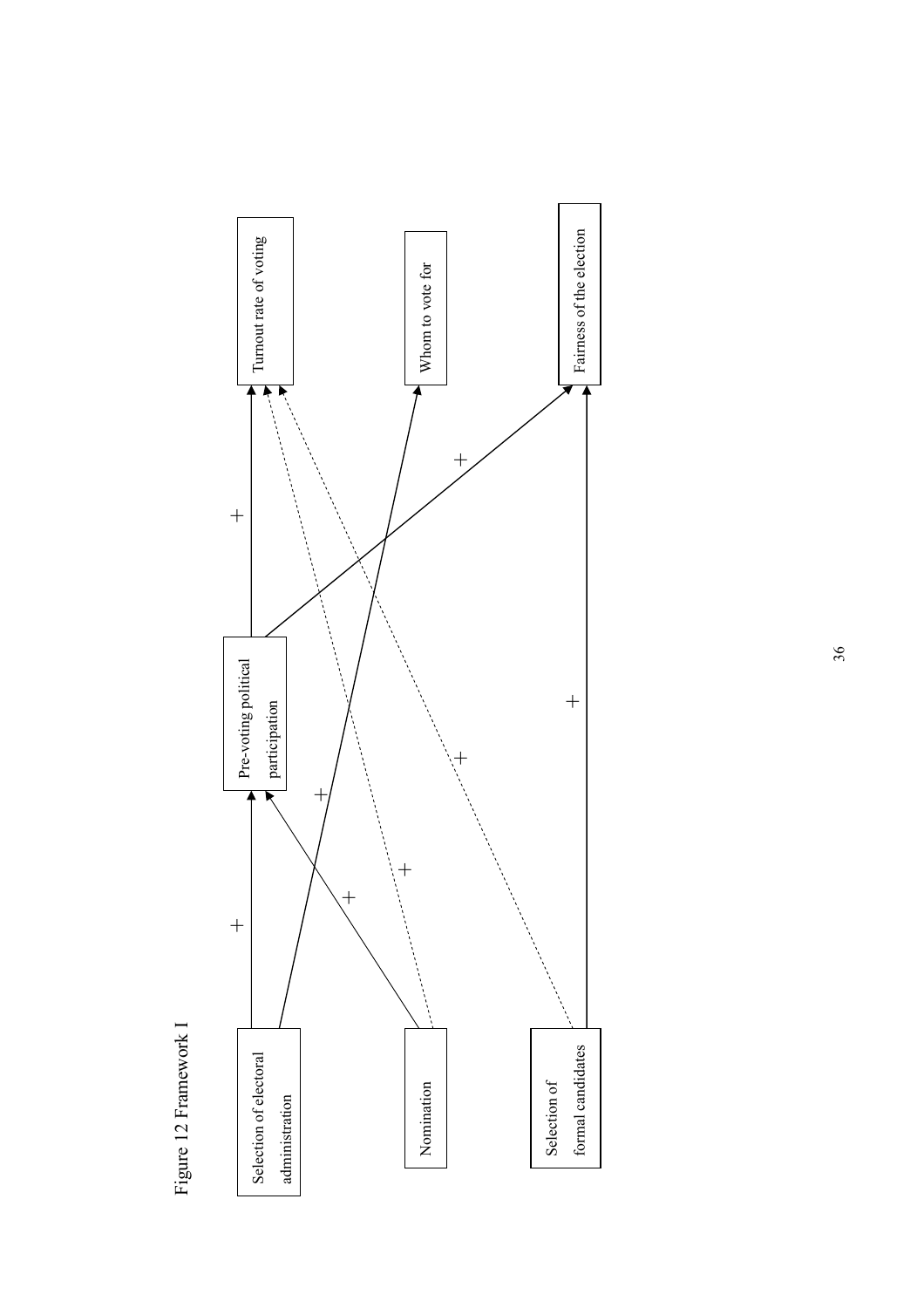



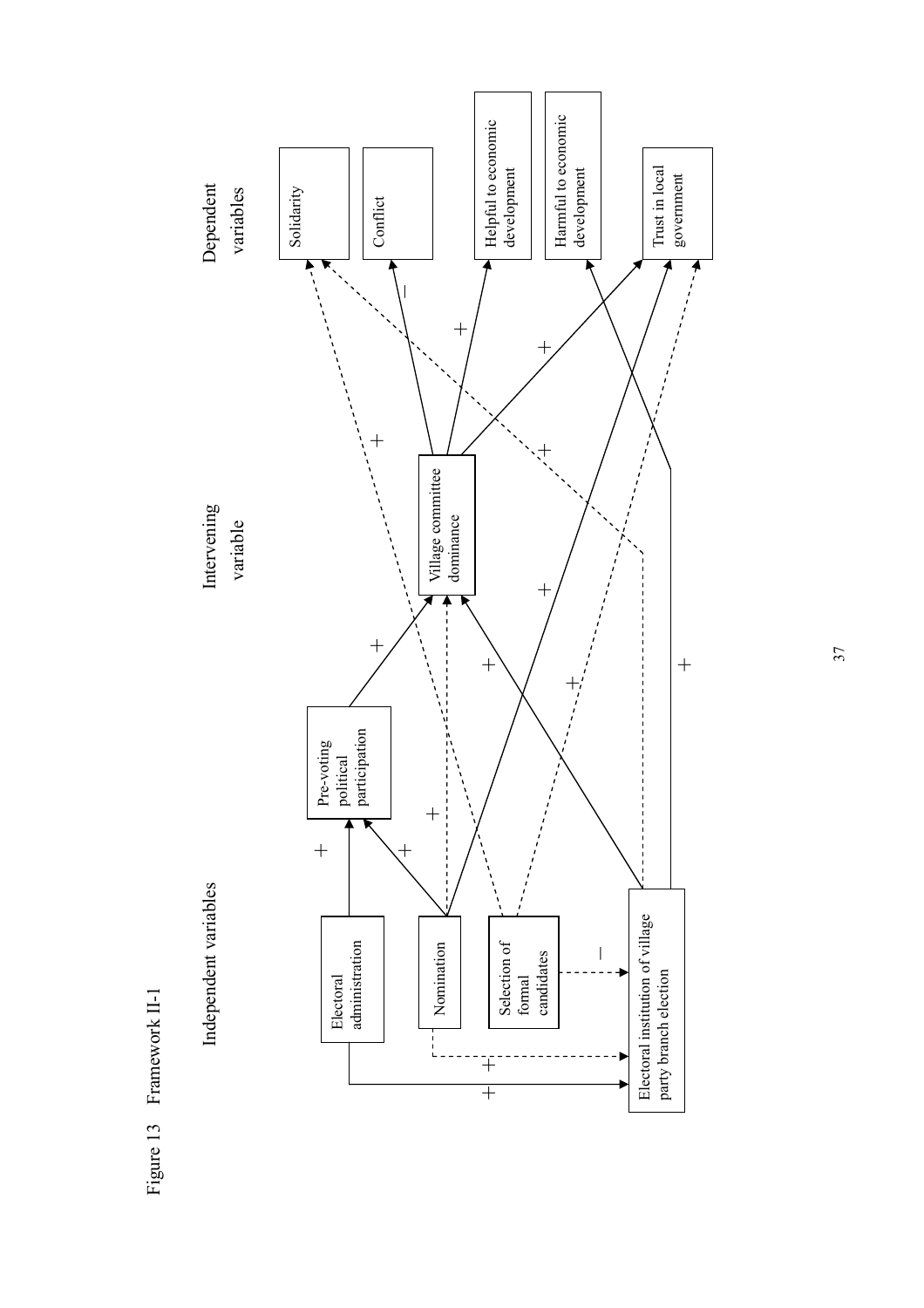



37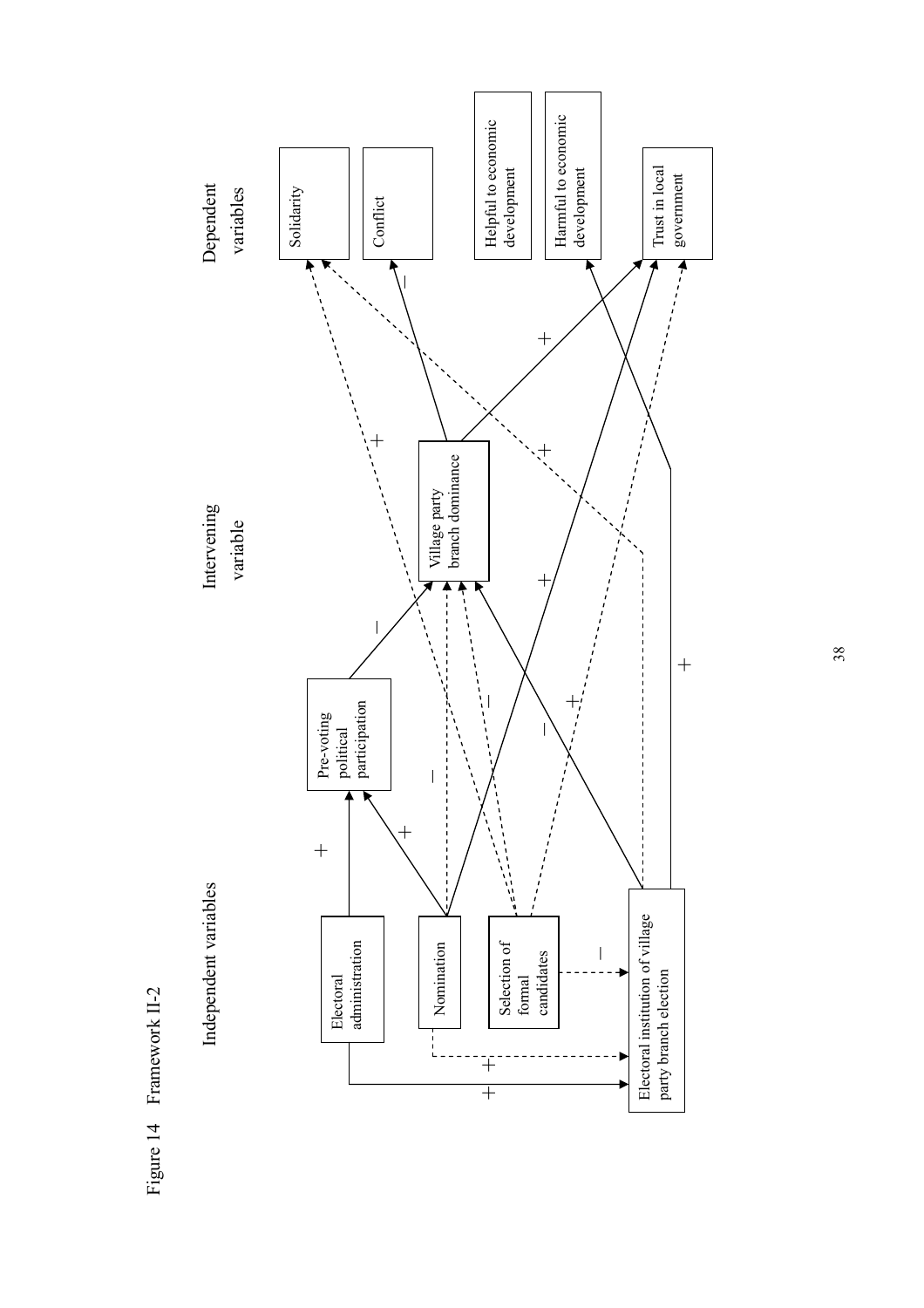

Figure 14 Framework II-2 Figure 14 Framework II-2

38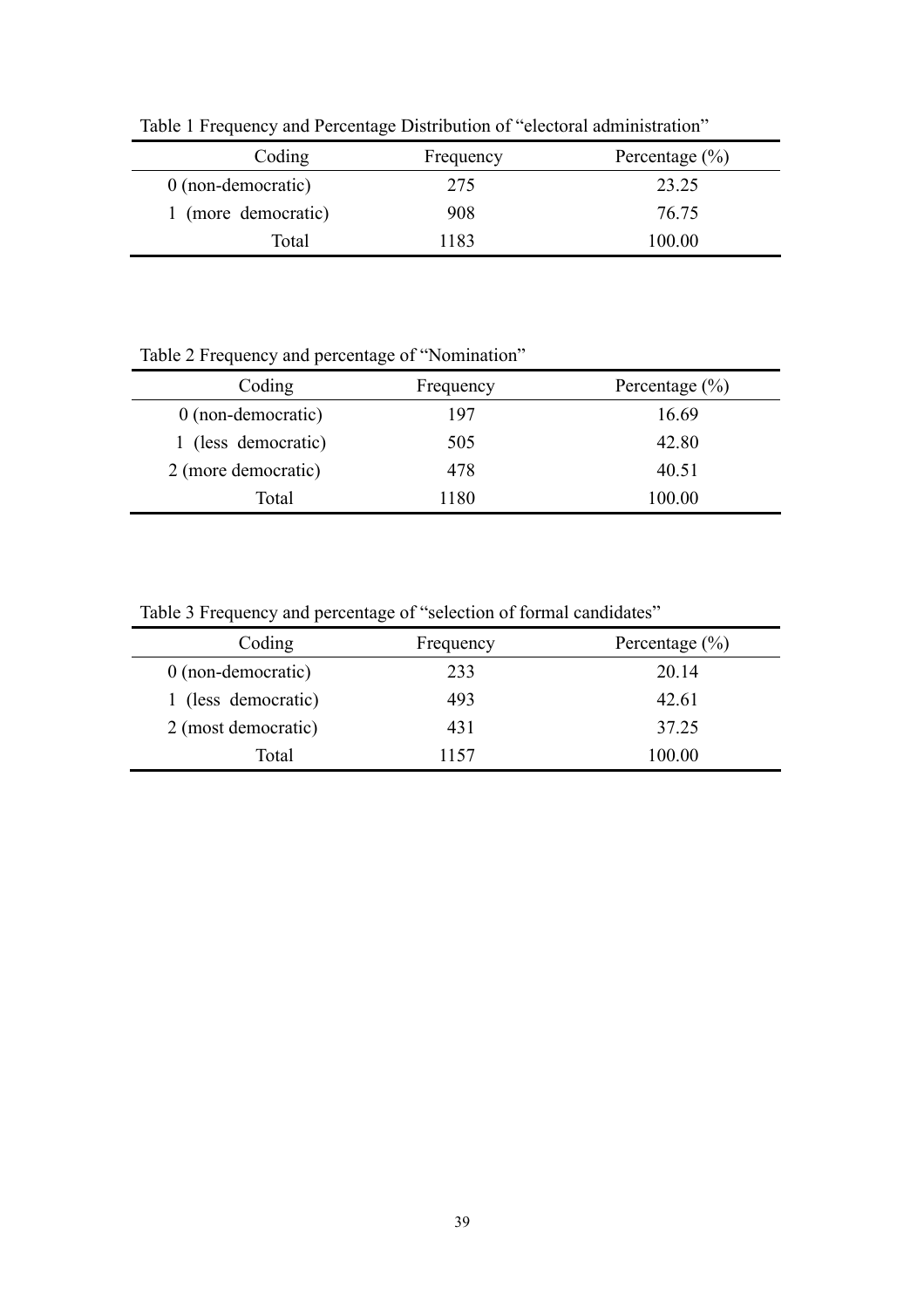| Coding               | Frequency | Percentage $(\% )$ |
|----------------------|-----------|--------------------|
| $0$ (non-democratic) | 275       | 23.25              |
| 1 (more democratic)  | 908       | 76.75              |
| Total                | 1183      | 100.00             |

Table 1 Frequency and Percentage Distribution of "electoral administration"

Table 2 Frequency and percentage of "Nomination"

| Coding              | Frequency | Percentage $(\% )$ |
|---------------------|-----------|--------------------|
| 0 (non-democratic)  | 197       | 16.69              |
| 1 (less democratic) | 505       | 42.80              |
| 2 (more democratic) | 478       | 40.51              |
| Total               | 1180      | 100.00             |

Table 3 Frequency and percentage of "selection of formal candidates"

| Coding               | Frequency | Percentage $(\% )$ |
|----------------------|-----------|--------------------|
| $0$ (non-democratic) | 233       | 20.14              |
| 1 (less democratic)  | 493       | 42.61              |
| 2 (most democratic)  | 431       | 37.25              |
| Total                | 1157      | 100.00             |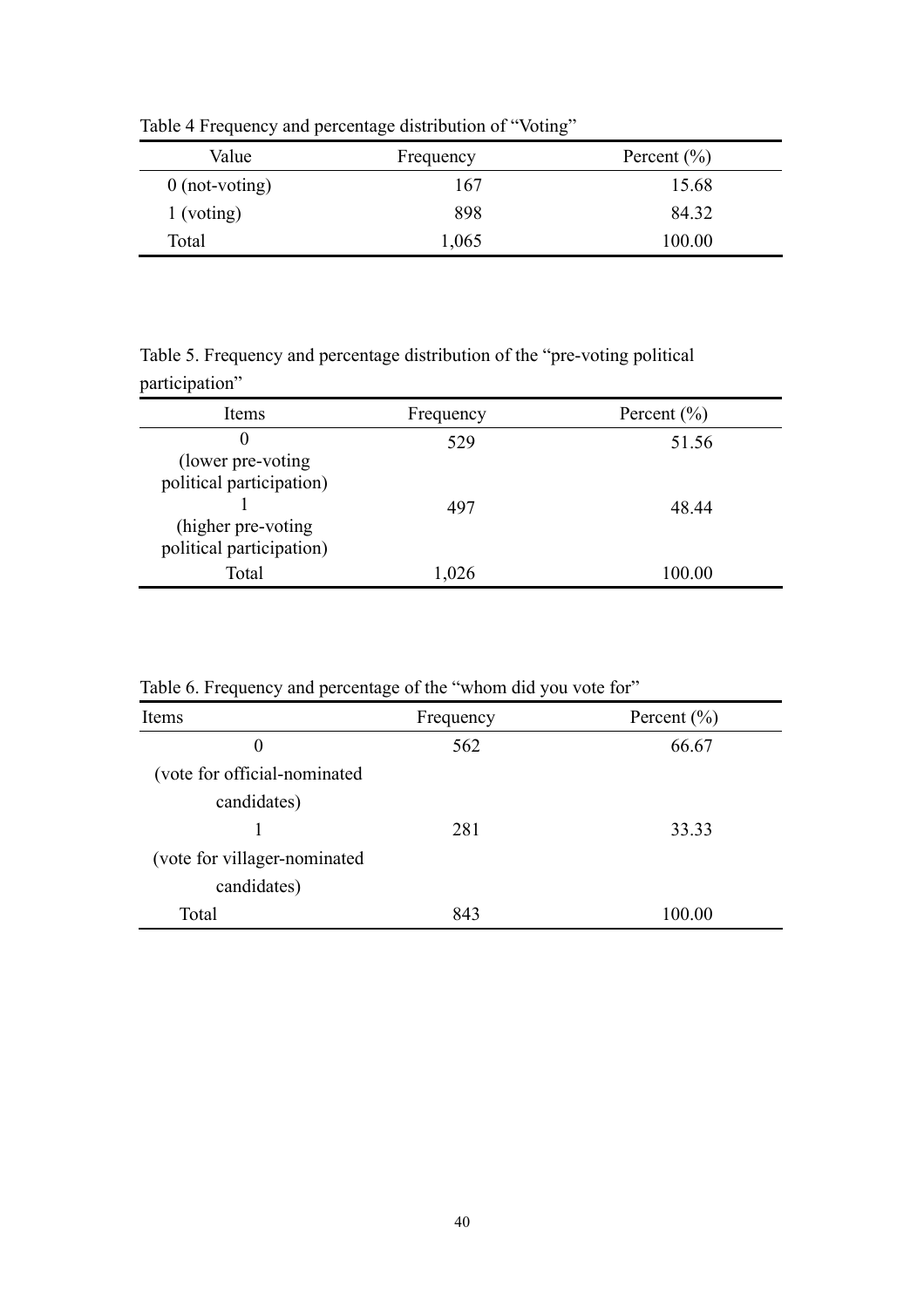| Value            | Frequency | Percent $(\% )$ |
|------------------|-----------|-----------------|
| $0$ (not-voting) | 167       | 15.68           |
| $1$ (voting)     | 898       | 84.32           |
| Total            | 1,065     | 100.00          |

Table 4 Frequency and percentage distribution of "Voting"

Table 5. Frequency and percentage distribution of the "pre-voting political participation"

| Items                                                                       | Frequency | Percent $(\% )$ |
|-----------------------------------------------------------------------------|-----------|-----------------|
| $\theta$<br>(lower pre-voting)                                              | 529       | 51.56           |
| political participation)<br>(higher pre-voting)<br>political participation) | 497       | 48 44           |
| Total                                                                       | 1,026     | 100.00          |

Table 6. Frequency and percentage of the "whom did you vote for"

| Items                         | Frequency | Percent $(\% )$ |
|-------------------------------|-----------|-----------------|
| 0                             | 562       | 66.67           |
| (vote for official-nominated  |           |                 |
| candidates)                   |           |                 |
|                               | 281       | 33.33           |
| (vote for villager-nominated) |           |                 |
| candidates)                   |           |                 |
| Total                         | 843       | 100.00          |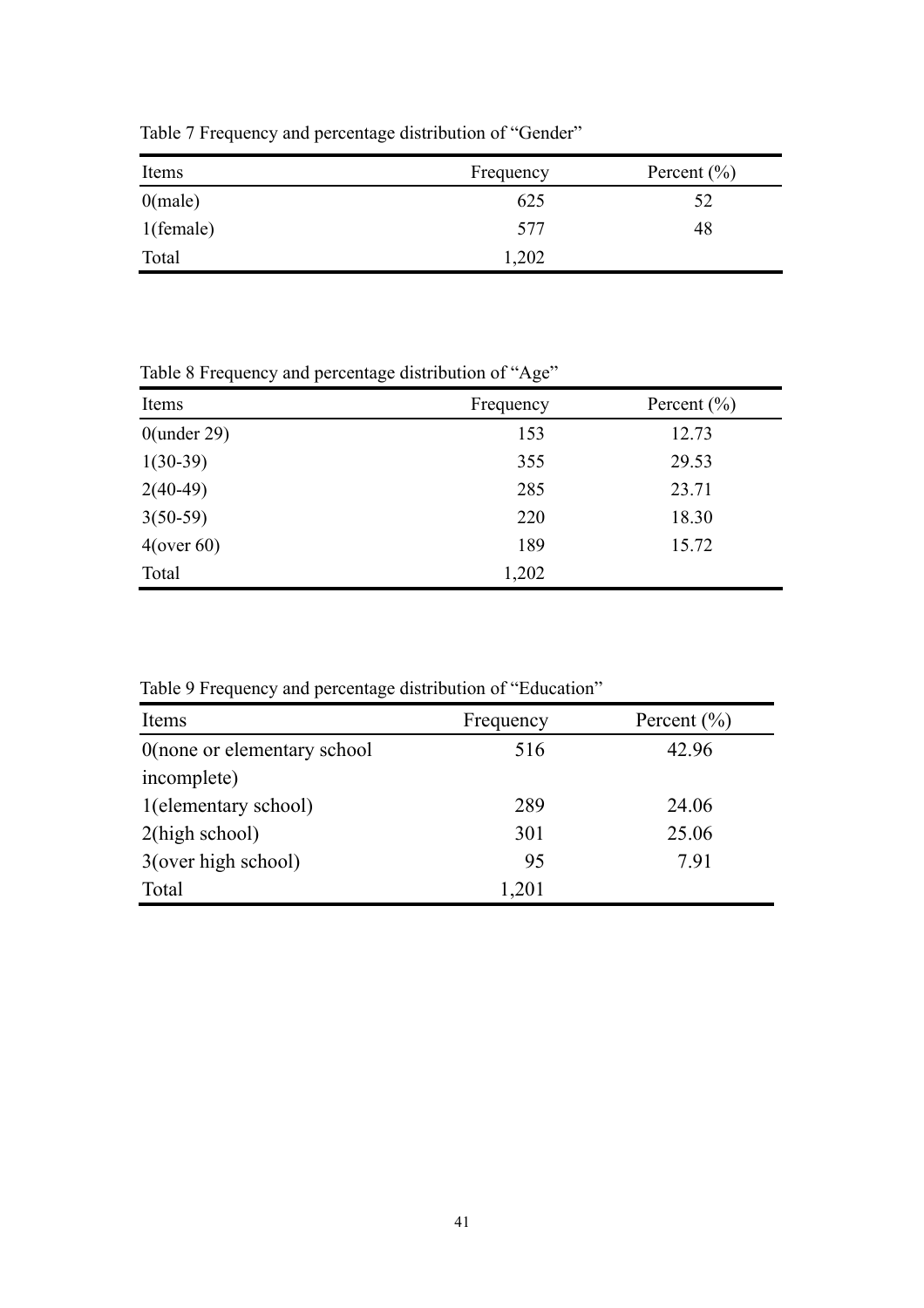| Items        | Frequency | Percent $(\% )$ |
|--------------|-----------|-----------------|
| $0$ (male)   | 625       | 52              |
| $1$ (female) | 577       | 48              |
| Total        | 1,202     |                 |

Table 7 Frequency and percentage distribution of "Gender"

Table 8 Frequency and percentage distribution of "Age"

| Items          | Frequency | Percent $(\% )$ |
|----------------|-----------|-----------------|
| $0$ (under 29) | 153       | 12.73           |
| $1(30-39)$     | 355       | 29.53           |
| $2(40-49)$     | 285       | 23.71           |
| $3(50-59)$     | 220       | 18.30           |
| $4$ (over 60)  | 189       | 15.72           |
| Total          | 1,202     |                 |

Table 9 Frequency and percentage distribution of "Education"

| Items                       | Frequency | Percent $(\% )$ |
|-----------------------------|-----------|-----------------|
| 0(none or elementary school | 516       | 42.96           |
| incomplete)                 |           |                 |
| 1(elementary school)        | 289       | 24.06           |
| $2$ (high school)           | 301       | 25.06           |
| 3(over high school)         | 95        | 7.91            |
| Total                       | 1,201     |                 |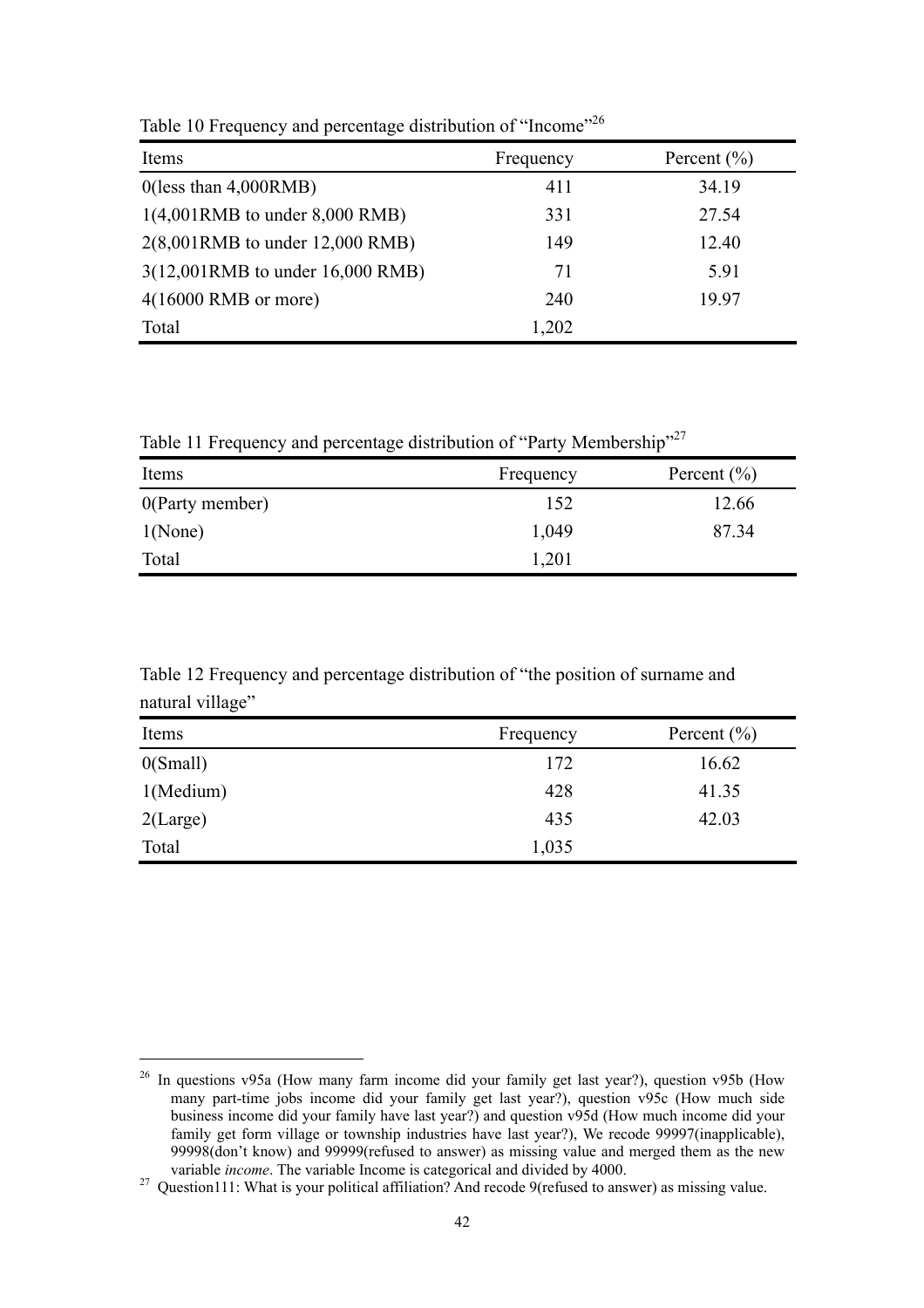| Items                              | Frequency | Percent $(\% )$ |
|------------------------------------|-----------|-----------------|
| $0$ (less than $4,000$ RMB)        | 411       | 34.19           |
| $1(4,001RMB)$ to under 8,000 RMB)  | 331       | 27.54           |
| $2(8,001RMB)$ to under 12,000 RMB) | 149       | 12.40           |
| 3(12,001RMB to under 16,000 RMB)   | 71        | 5.91            |
| $4(16000 \text{ RMB or more})$     | 240       | 19.97           |
| Total                              | 1,202     |                 |

Table 10 Frequency and percentage distribution of "Income"<sup>26</sup>

Table 11 Frequency and percentage distribution of "Party Membership"<sup>27</sup>

| Items           | Frequency | Percent $(\% )$ |
|-----------------|-----------|-----------------|
| 0(Party member) | 152       | 12.66           |
| 1(None)         | 1,049     | 87.34           |
| Total           | 1,201     |                 |

Table 12 Frequency and percentage distribution of "the position of surname and natural village"

| Items       | Frequency | Percent $(\% )$ |
|-------------|-----------|-----------------|
| 0(Small)    | 172       | 16.62           |
| 1(Medium)   | 428       | 41.35           |
| $2$ (Large) | 435       | 42.03           |
| Total       | 1,035     |                 |

<sup>&</sup>lt;sup>26</sup> In questions v95a (How many farm income did your family get last year?), question v95b (How many part-time jobs income did your family get last year?), question  $\sqrt{95c}$  (How much side business income did your family have last year?) and question v95d (How much income did your family get form village or township industries have last year?), We recode 99997(inapplicable), 99998(don't know) and 99999(refused to answer) as missing value and merged them as the new variable *income*. The variable Income is categorical and divided by 4000.

variable *literation* is categorical and divided by 10000. 27 Question111: What is your political affiliation? And recode 9(refused to answer) as missing value.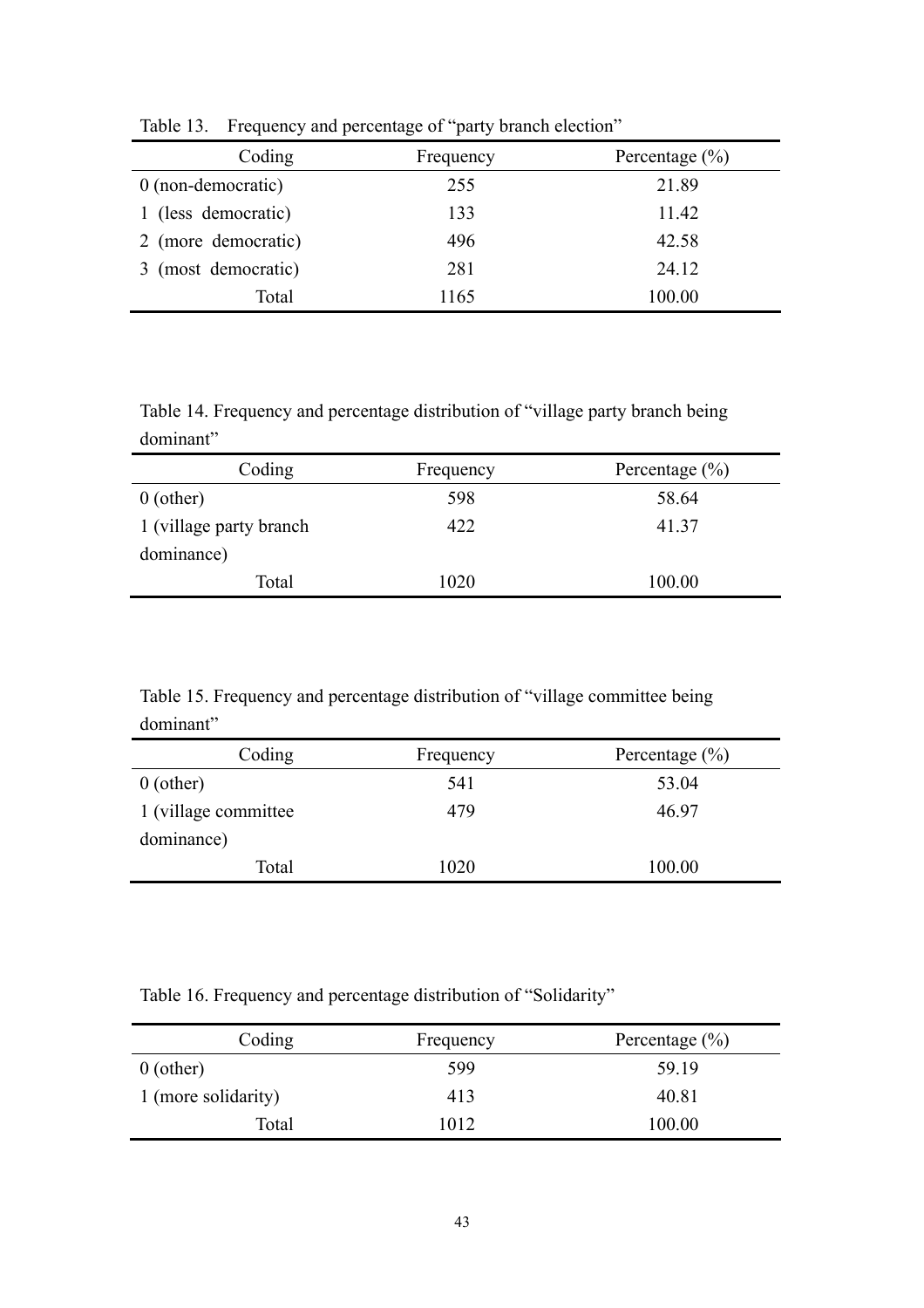| 1001                 |           |                    |
|----------------------|-----------|--------------------|
| Coding               | Frequency | Percentage $(\% )$ |
| $0$ (non-democratic) | 255       | 21.89              |
| 1 (less democratic)  | 133       | 11.42              |
| 2 (more democratic)  | 496       | 42.58              |
| 3 (most democratic)  | 281       | 24.12              |
| Total                | 1165      | 100.00             |

Table 13. Frequency and percentage of "party branch election"

Table 14. Frequency and percentage distribution of "village party branch being dominant"

| Frequency | Percentage $(\% )$ |
|-----------|--------------------|
| 598       | 58.64              |
| 422       | 41.37              |
|           |                    |
| 1020      | 100.00             |
|           |                    |

Table 15. Frequency and percentage distribution of "village committee being dominant"

| -------------         |           |                    |
|-----------------------|-----------|--------------------|
| Coding                | Frequency | Percentage $(\% )$ |
| $0$ (other)           | 541       | 53.04              |
| 1 (village committee) | 479       | 46.97              |
| dominance)            |           |                    |
| Total                 | 1020      | 100.00             |

Table 16. Frequency and percentage distribution of "Solidarity"

| Coding              | Frequency | Percentage $(\% )$ |
|---------------------|-----------|--------------------|
| $0$ (other)         | 599       | 59.19              |
| 1 (more solidarity) | 413       | 40.81              |
| Total               | 1012      | 100.00             |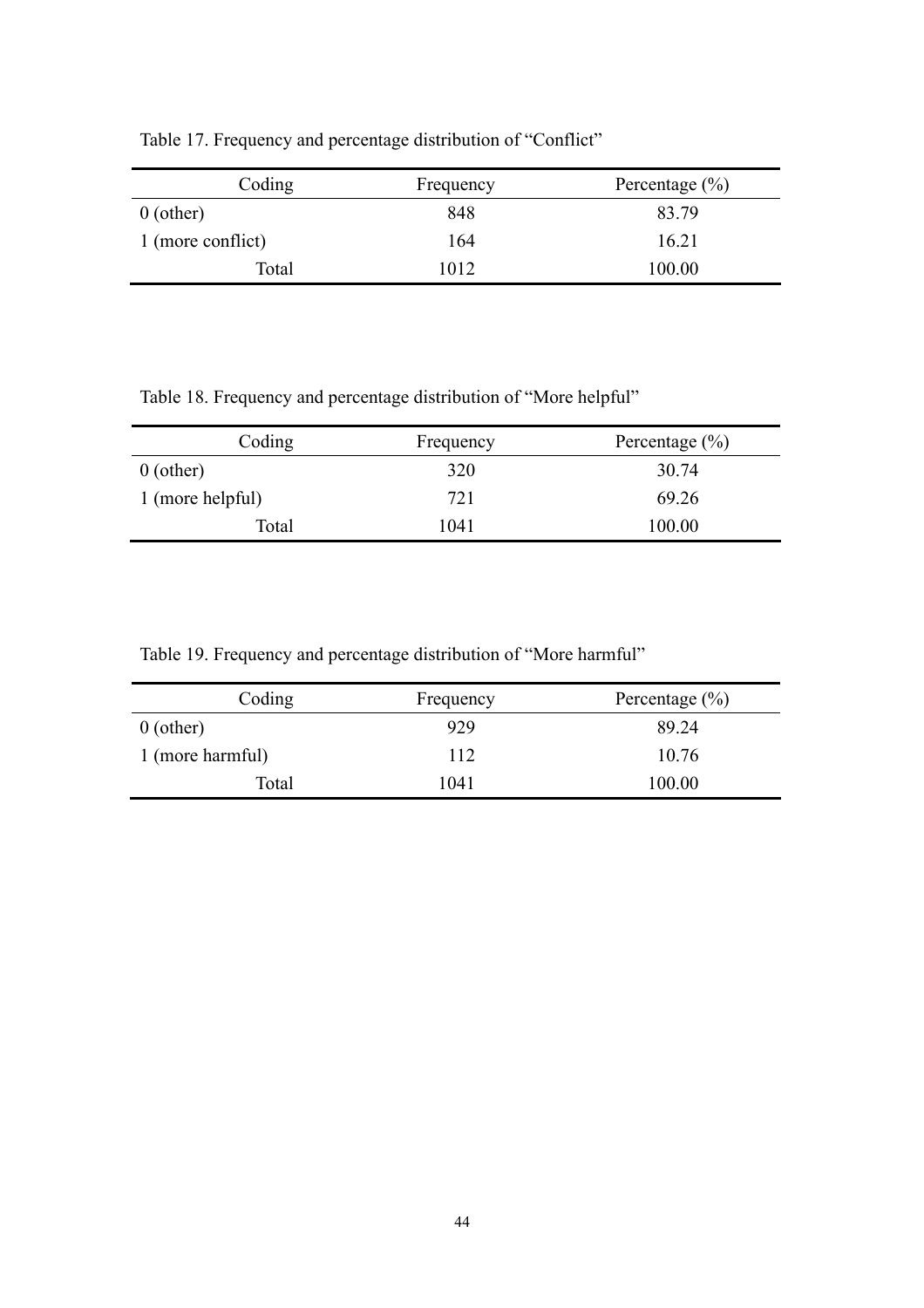| Coding            | Frequency | Percentage $(\% )$ |
|-------------------|-----------|--------------------|
| $0$ (other)       | 848       | 83.79              |
| 1 (more conflict) | 164       | 16.21              |
| Total             | 1012      | 100.00             |

Table 17. Frequency and percentage distribution of "Conflict"

Table 18. Frequency and percentage distribution of "More helpful"

| Coding           | Frequency | Percentage $(\% )$ |
|------------------|-----------|--------------------|
| $0$ (other)      | 320       | 30.74              |
| 1 (more helpful) | 721       | 69.26              |
| Total            | 1041      | 100.00             |

Table 19. Frequency and percentage distribution of "More harmful"

| Coding           | Frequency | Percentage $(\% )$ |
|------------------|-----------|--------------------|
| $0$ (other)      | 929       | 89.24              |
| 1 (more harmful) | 112       | 10.76              |
| Total            | 1041      | 100.00             |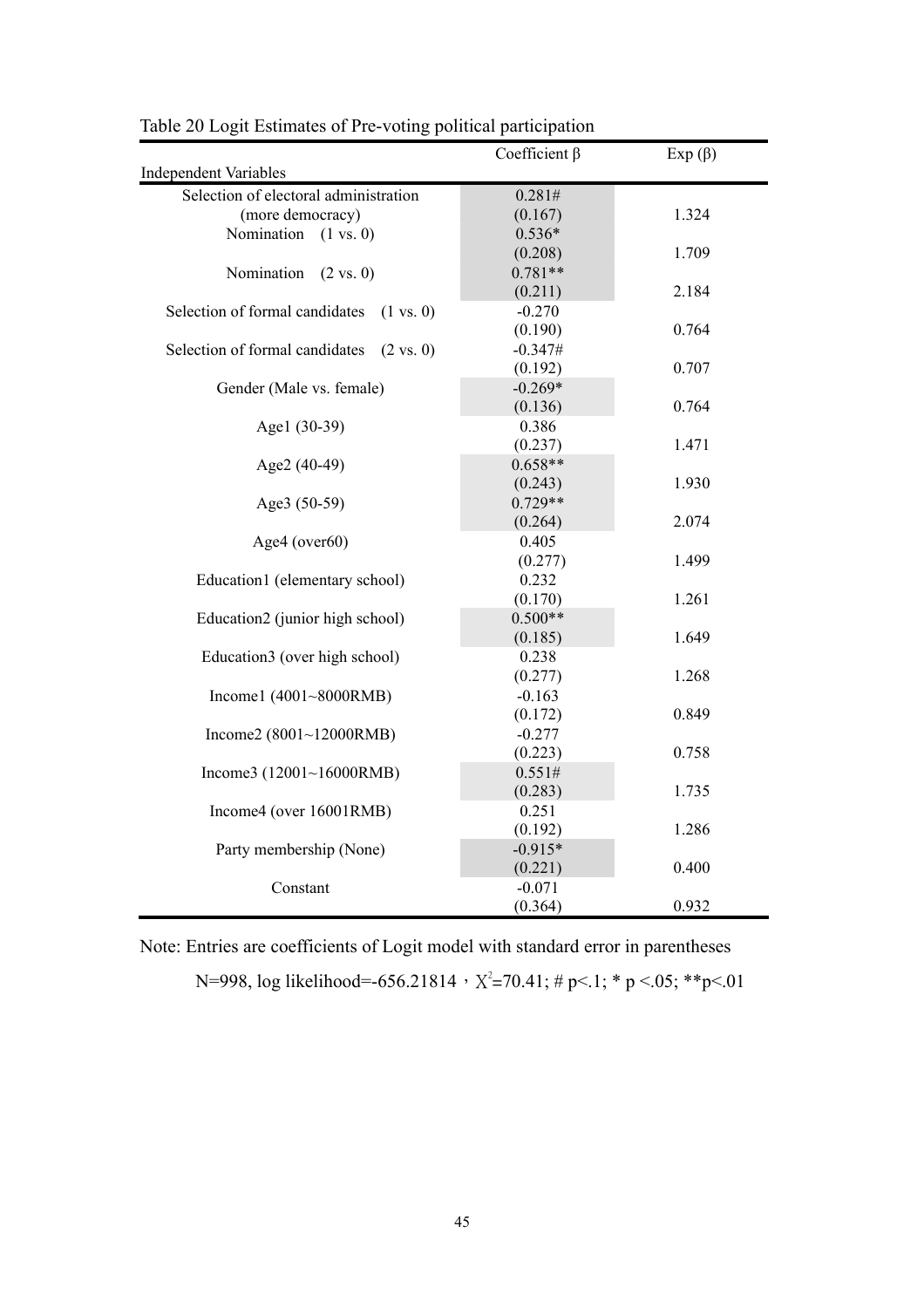| <b>Independent Variables</b>                           | Coefficient $\beta$ | $Exp(\beta)$ |
|--------------------------------------------------------|---------------------|--------------|
| Selection of electoral administration                  | 0.281#              |              |
| (more democracy)                                       | (0.167)             | 1.324        |
| Nomination<br>$(1 \text{ vs. } 0)$                     | $0.536*$            |              |
|                                                        | (0.208)             | 1.709        |
| Nomination<br>$(2 \text{ vs. } 0)$                     | $0.781**$           |              |
|                                                        | (0.211)             | 2.184        |
| Selection of formal candidates<br>$(1 \text{ vs. } 0)$ | $-0.270$            |              |
|                                                        | (0.190)             | 0.764        |
| Selection of formal candidates<br>$(2 \text{ vs. } 0)$ | $-0.347#$           |              |
|                                                        | (0.192)             | 0.707        |
| Gender (Male vs. female)                               | $-0.269*$           |              |
|                                                        | (0.136)             | 0.764        |
| Age1 (30-39)                                           | 0.386               |              |
|                                                        | (0.237)             | 1.471        |
| Age2 (40-49)                                           | $0.658**$           |              |
|                                                        | (0.243)             | 1.930        |
| Age3 (50-59)                                           | $0.729**$           |              |
|                                                        | (0.264)             | 2.074        |
| Age4 (over60)                                          | 0.405               |              |
|                                                        | (0.277)             | 1.499        |
| Education1 (elementary school)                         | 0.232               |              |
|                                                        | (0.170)             | 1.261        |
| Education2 (junior high school)                        | $0.500**$           |              |
|                                                        | (0.185)             | 1.649        |
| Education3 (over high school)                          | 0.238               |              |
|                                                        | (0.277)             | 1.268        |
| Income1 (4001~8000RMB)                                 | $-0.163$            |              |
|                                                        | (0.172)             | 0.849        |
| Income2 $(8001~12000$ RMB)                             | $-0.277$            |              |
|                                                        | (0.223)             | 0.758        |
| Income3 $(12001~16000RMB)$                             | 0.551#              |              |
|                                                        | (0.283)             | 1.735        |
| Income4 (over 16001RMB)                                | 0.251               |              |
|                                                        | (0.192)             | 1.286        |
| Party membership (None)                                | $-0.915*$           |              |
|                                                        | (0.221)             | 0.400        |
| Constant                                               | $-0.071$            |              |
|                                                        | (0.364)             | 0.932        |

Table 20 Logit Estimates of Pre-voting political participation

Note: Entries are coefficients of Logit model with standard error in parentheses N=998, log likelihood=-656.21814  $\cdot$  X<sup>2</sup>=70.41; # p<.1; \* p <.05; \*\*p<.01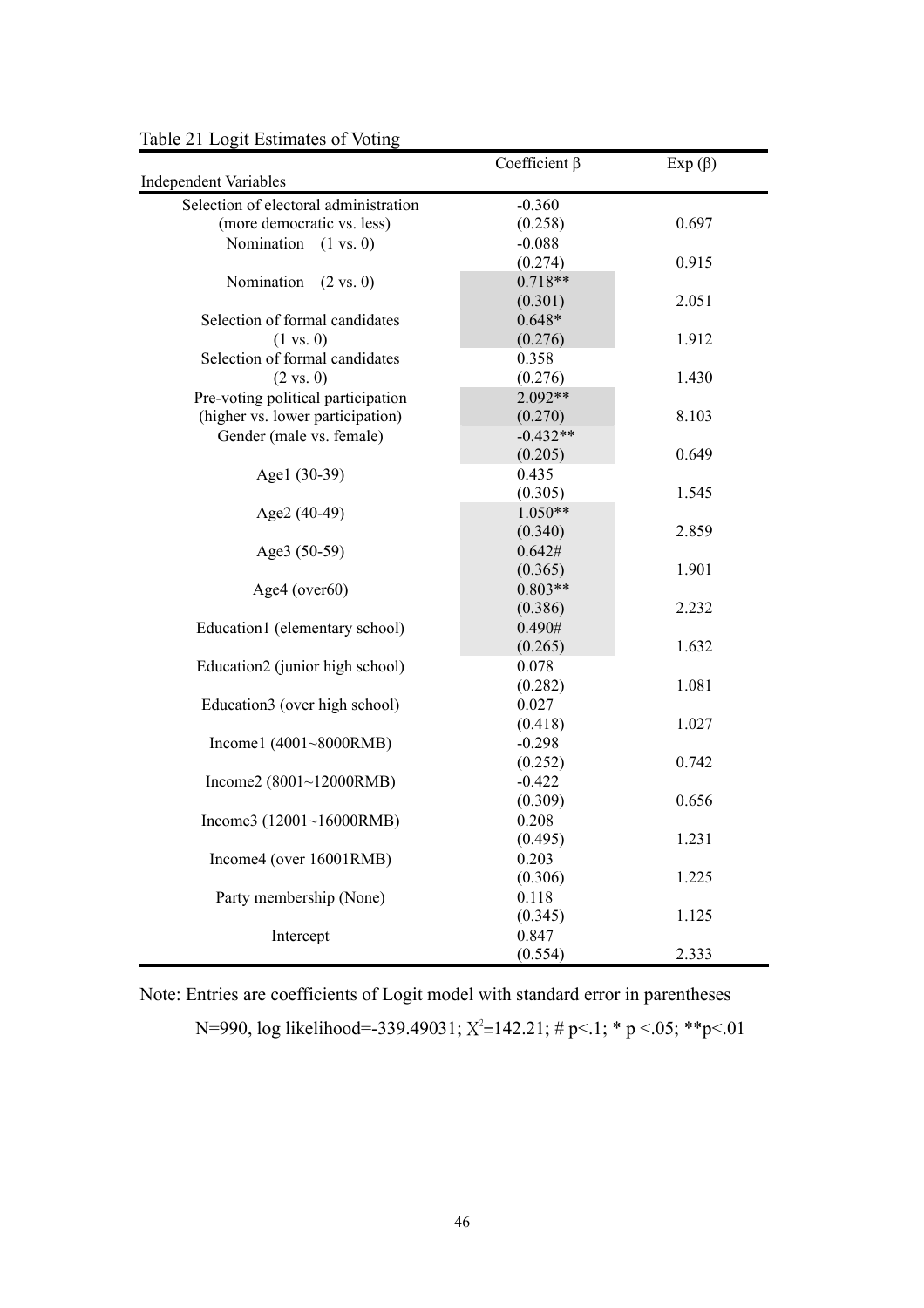|                                       | Coefficient $\beta$ | $Exp(\beta)$ |
|---------------------------------------|---------------------|--------------|
| <b>Independent Variables</b>          |                     |              |
| Selection of electoral administration | $-0.360$            |              |
| (more democratic vs. less)            | (0.258)             | 0.697        |
| Nomination $(1 \text{ vs. } 0)$       | $-0.088$            |              |
|                                       | (0.274)             | 0.915        |
| Nomination<br>$(2 \text{ vs. } 0)$    | $0.718**$           |              |
|                                       | (0.301)             | 2.051        |
| Selection of formal candidates        | $0.648*$            |              |
| $(1 \text{ vs. } 0)$                  | (0.276)             | 1.912        |
| Selection of formal candidates        | 0.358               |              |
| $(2 \text{ vs. } 0)$                  | (0.276)             | 1.430        |
| Pre-voting political participation    | $2.092**$           |              |
| (higher vs. lower participation)      | (0.270)             | 8.103        |
| Gender (male vs. female)              | $-0.432**$          |              |
|                                       | (0.205)             | 0.649        |
| Age1 (30-39)                          | 0.435               |              |
|                                       | (0.305)             | 1.545        |
| Age2 (40-49)                          | $1.050**$           |              |
|                                       | (0.340)             | 2.859        |
| Age3 (50-59)                          | 0.642#              |              |
|                                       | (0.365)             | 1.901        |
| Age4 (over60)                         | $0.803**$           |              |
|                                       | (0.386)             | 2.232        |
| Education1 (elementary school)        | 0.490#              |              |
|                                       | (0.265)             | 1.632        |
| Education2 (junior high school)       | 0.078               |              |
|                                       | (0.282)             | 1.081        |
| Education3 (over high school)         | 0.027               |              |
|                                       | (0.418)             | 1.027        |
| Income1 $(4001~8000$ RMB)             | $-0.298$            |              |
|                                       | (0.252)             | 0.742        |
| Income2 $(8001~12000$ RMB)            | $-0.422$            |              |
|                                       | (0.309)             | 0.656        |
| Income3 $(12001~16000RMB)$            | 0.208               |              |
|                                       | (0.495)             | 1.231        |
| Income4 (over 16001RMB)               | 0.203               |              |
|                                       | (0.306)             | 1.225        |
| Party membership (None)               | 0.118               |              |
|                                       | (0.345)             | 1.125        |
| Intercept                             | 0.847               |              |
|                                       | (0.554)             | 2.333        |

Table 21 Logit Estimates of Voting

Note: Entries are coefficients of Logit model with standard error in parentheses

N=990, log likelihood=-339.49031;  $X^2$ =142.21; # p<.1; \* p <.05; \*\*p<.01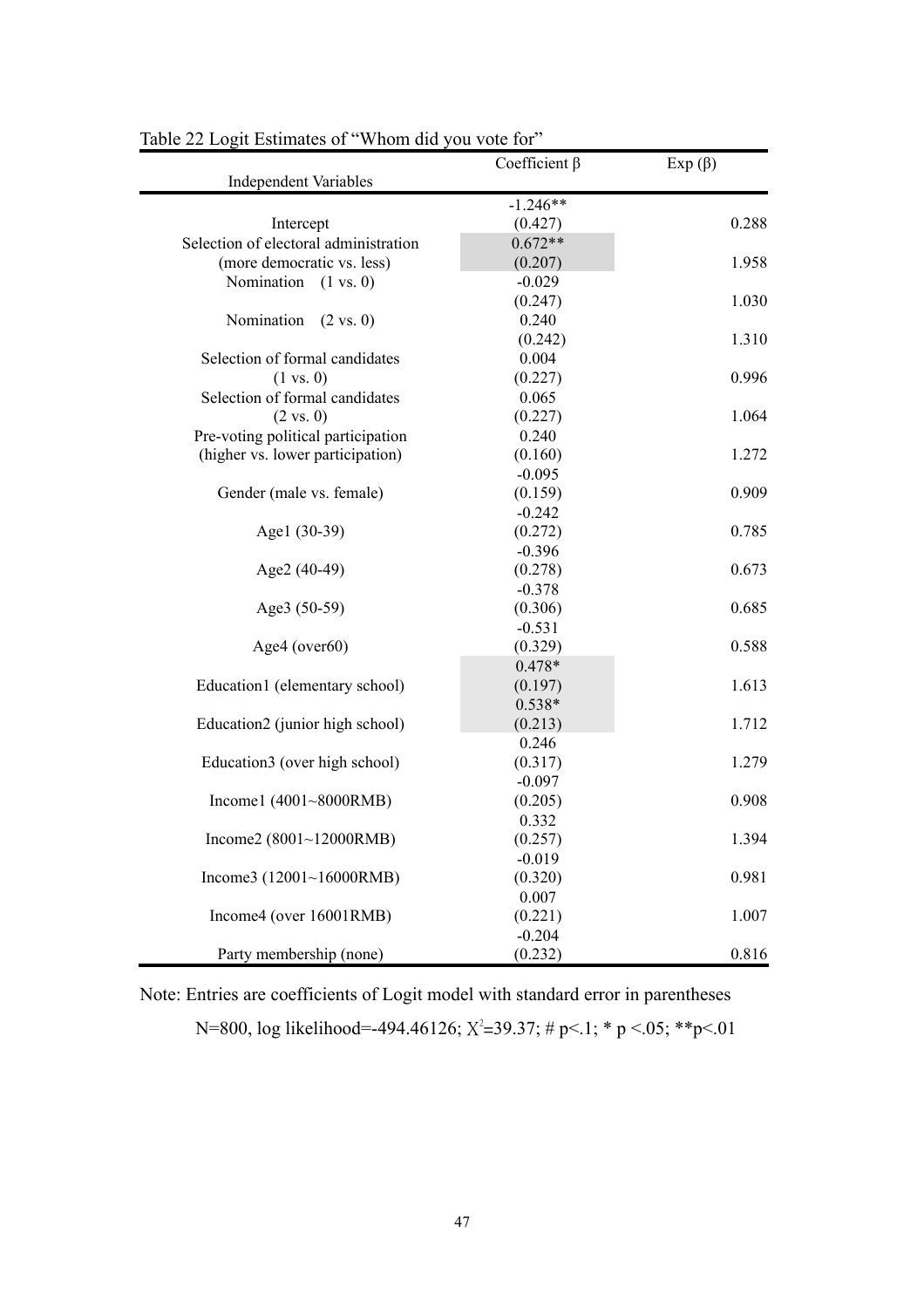|                                       | Coefficient $\beta$ | $Exp(\beta)$ |
|---------------------------------------|---------------------|--------------|
| <b>Independent Variables</b>          |                     |              |
|                                       | $-1.246**$          |              |
| Intercept                             | (0.427)             | 0.288        |
| Selection of electoral administration | $0.672**$           |              |
| (more democratic vs. less)            | (0.207)             | 1.958        |
| Nomination<br>$(1 \text{ vs. } 0)$    | $-0.029$            |              |
|                                       | (0.247)             | 1.030        |
| Nomination<br>$(2 \text{ vs. } 0)$    | 0.240               |              |
|                                       | (0.242)             | 1.310        |
| Selection of formal candidates        | 0.004               |              |
| $(1 \text{ vs. } 0)$                  | (0.227)             | 0.996        |
| Selection of formal candidates        | 0.065               |              |
| $(2 \text{ vs. } 0)$                  | (0.227)             | 1.064        |
| Pre-voting political participation    | 0.240               |              |
| (higher vs. lower participation)      | (0.160)             | 1.272        |
|                                       | $-0.095$            |              |
| Gender (male vs. female)              | (0.159)             | 0.909        |
|                                       | $-0.242$            |              |
| Agel (30-39)                          | (0.272)             | 0.785        |
|                                       | $-0.396$            |              |
| Age2 (40-49)                          | (0.278)             | 0.673        |
|                                       | $-0.378$            |              |
| Age3 (50-59)                          | (0.306)             | 0.685        |
|                                       | $-0.531$            |              |
| Age4 (over60)                         | (0.329)             | 0.588        |
|                                       | $0.478*$            |              |
| Education1 (elementary school)        | (0.197)             | 1.613        |
|                                       | $0.538*$            |              |
| Education2 (junior high school)       | (0.213)             | 1.712        |
|                                       | 0.246               |              |
| Education3 (over high school)         | (0.317)             | 1.279        |
|                                       | $-0.097$            |              |
| Income1 $(4001~8000$ RMB)             | (0.205)             | 0.908        |
|                                       | 0.332               |              |
| Income2 $(8001~12000$ RMB)            | (0.257)             | 1.394        |
|                                       | $-0.019$            |              |
| Income3 (12001~16000RMB)              | (0.320)             | 0.981        |
|                                       | 0.007               |              |
| Income4 (over 16001RMB)               | (0.221)             | 1.007        |
|                                       | $-0.204$            |              |
| Party membership (none)               | (0.232)             | 0.816        |

| Table 22 Logit Estimates of "Whom did you vote for" |
|-----------------------------------------------------|
|-----------------------------------------------------|

Note: Entries are coefficients of Logit model with standard error in parentheses

N=800, log likelihood=-494.46126;  $X^2$ =39.37; # p<.1; \* p <.05; \*\* p <.01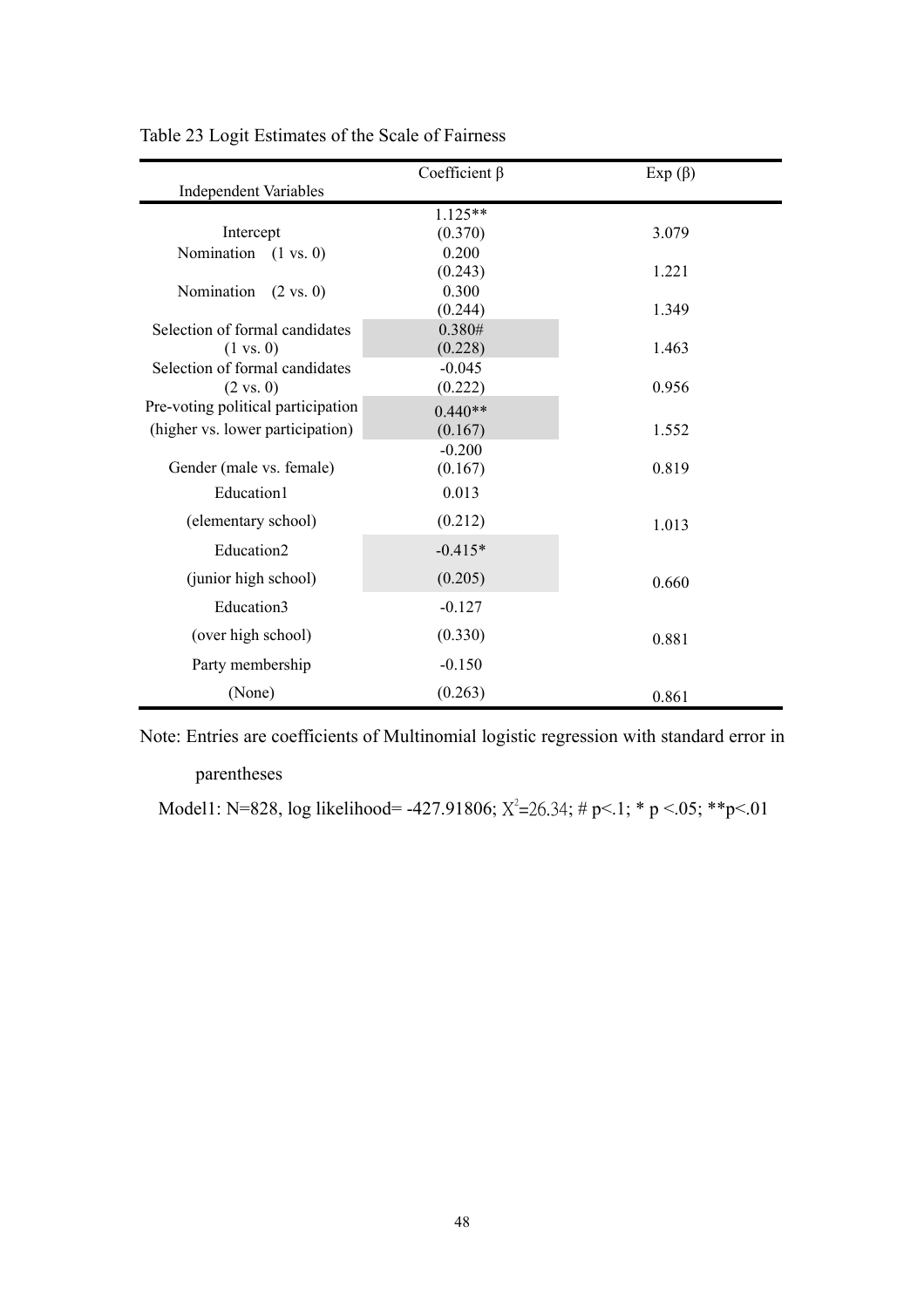|                                    | Coefficient $\beta$ | $Exp(\beta)$ |
|------------------------------------|---------------------|--------------|
| <b>Independent Variables</b>       |                     |              |
|                                    | $1.125**$           |              |
| Intercept                          | (0.370)             | 3.079        |
| Nomination $(1 \text{ vs. } 0)$    | 0.200               |              |
|                                    | (0.243)             | 1.221        |
| Nomination<br>$(2 \text{ vs. } 0)$ | 0.300               |              |
|                                    | (0.244)             | 1.349        |
| Selection of formal candidates     | 0.380#              |              |
| $(1 \text{ vs. } 0)$               | (0.228)             | 1.463        |
| Selection of formal candidates     | $-0.045$            |              |
| $(2 \text{ vs. } 0)$               | (0.222)             | 0.956        |
| Pre-voting political participation | $0.440**$           |              |
| (higher vs. lower participation)   | (0.167)             | 1.552        |
|                                    | $-0.200$            |              |
| Gender (male vs. female)           | (0.167)             | 0.819        |
| Education1                         | 0.013               |              |
| (elementary school)                | (0.212)             | 1.013        |
| Education2                         | $-0.415*$           |              |
| (junior high school)               | (0.205)             | 0.660        |
| Education3                         | $-0.127$            |              |
| (over high school)                 | (0.330)             | 0.881        |
| Party membership                   | $-0.150$            |              |
| (None)                             | (0.263)             | 0.861        |

Table 23 Logit Estimates of the Scale of Fairness

Note: Entries are coefficients of Multinomial logistic regression with standard error in

#### parentheses

Model1: N=828, log likelihood= -427.91806;  $X^2$ =26.34; # p<.1; \* p <.05; \*\*p<.01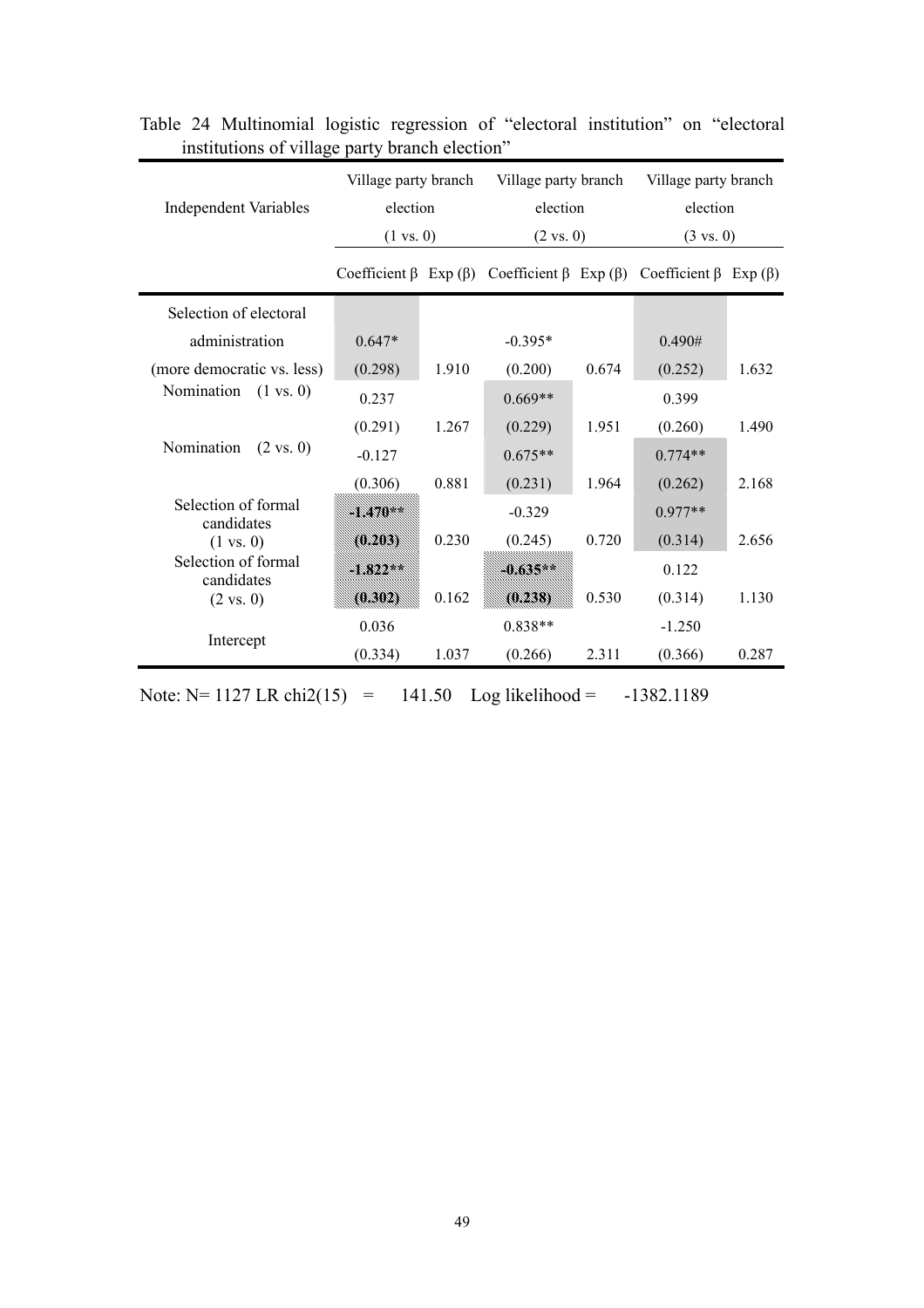| <b>Independent Variables</b>       | Village party branch<br>election    |       | Village party branch<br>election |       | Village party branch<br>election                                        |       |
|------------------------------------|-------------------------------------|-------|----------------------------------|-------|-------------------------------------------------------------------------|-------|
|                                    | $(1 \text{ vs. } 0)$                |       | $(2 \text{ vs. } 0)$             |       | $(3 \text{ vs. } 0)$                                                    |       |
|                                    | Coefficient $\beta$ Exp ( $\beta$ ) |       |                                  |       | Coefficient $\beta$ Exp ( $\beta$ ) Coefficient $\beta$ Exp ( $\beta$ ) |       |
| Selection of electoral             |                                     |       |                                  |       |                                                                         |       |
| administration                     | $0.647*$                            |       | $-0.395*$                        |       | 0.490#                                                                  |       |
| (more democratic vs. less)         | (0.298)                             | 1.910 | (0.200)                          | 0.674 | (0.252)                                                                 | 1.632 |
| Nomination<br>$(1 \text{ vs. } 0)$ | 0.237                               |       | $0.669**$                        |       | 0.399                                                                   |       |
|                                    | (0.291)                             | 1.267 | (0.229)                          | 1.951 | (0.260)                                                                 | 1.490 |
| Nomination<br>$(2 \text{ vs. } 0)$ | $-0.127$                            |       | $0.675**$                        |       | $0.774**$                                                               |       |
|                                    | (0.306)                             | 0.881 | (0.231)                          | 1.964 | (0.262)                                                                 | 2.168 |
| Selection of formal<br>candidates  | 17A)                                |       | $-0.329$                         |       | $0.977**$                                                               |       |
| $(1 \text{ vs. } 0)$               | 0.2031                              | 0.230 | (0.245)                          | 0.720 | (0.314)                                                                 | 2.656 |
| Selection of formal<br>candidates  | 188844                              |       | 1.635                            |       | 0.122                                                                   |       |
| $(2 \text{ vs. } 0)$               |                                     | 0.162 |                                  | 0.530 | (0.314)                                                                 | 1.130 |
|                                    | 0.036                               |       | $0.838**$                        |       | $-1.250$                                                                |       |
| Intercept                          | (0.334)                             | 1.037 | (0.266)                          | 2.311 | (0.366)                                                                 | 0.287 |

Table 24 Multinomial logistic regression of "electoral institution" on "electoral institutions of village party branch election"

Note:  $N= 1127$  LR chi2(15) = 141.50 Log likelihood = -1382.1189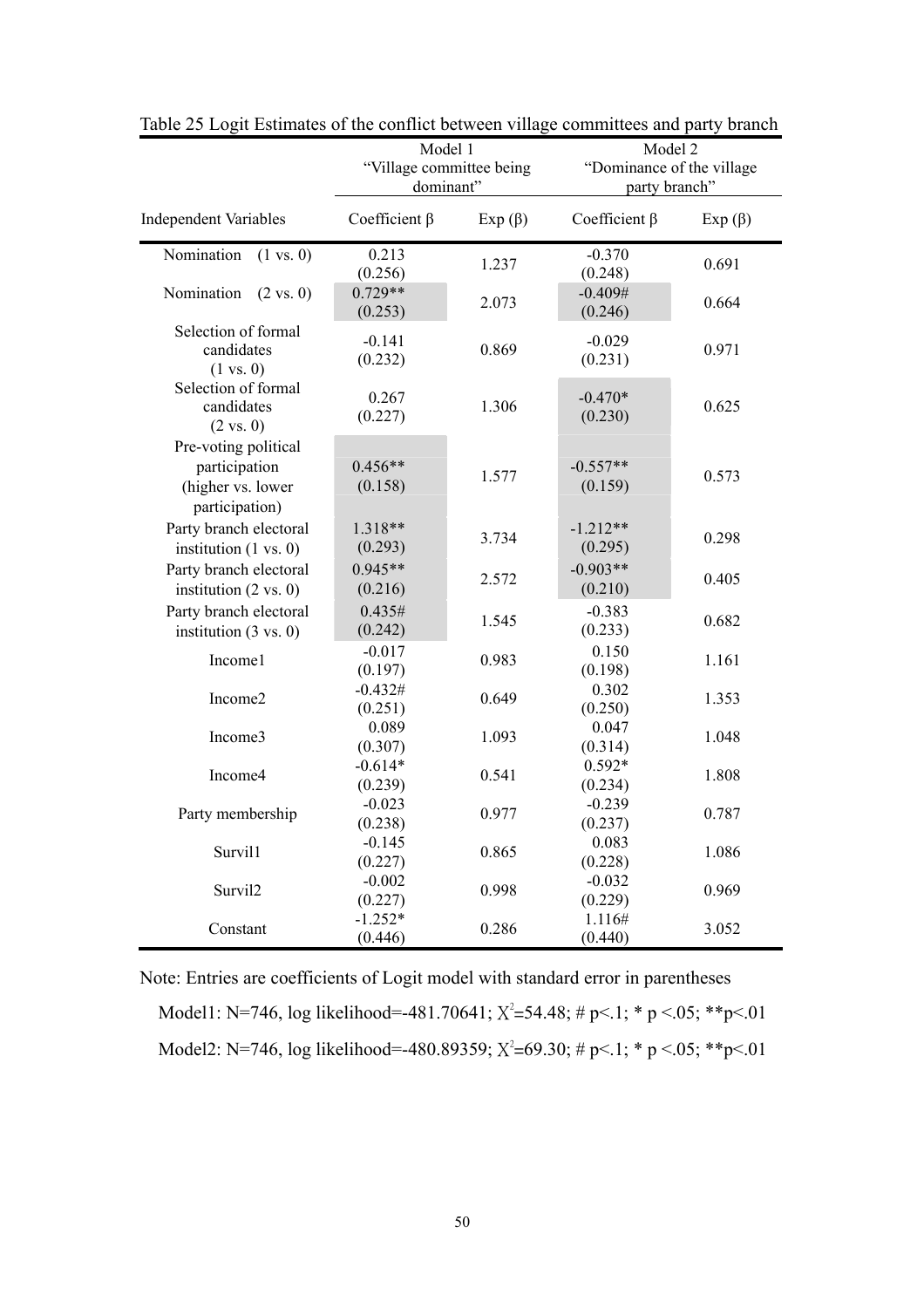|                                                                              | Model 1<br>"Village committee being<br>dominant" |              | Model 2<br>"Dominance of the village<br>party branch" |               |
|------------------------------------------------------------------------------|--------------------------------------------------|--------------|-------------------------------------------------------|---------------|
| <b>Independent Variables</b>                                                 | Coefficient $\beta$                              | $Exp(\beta)$ | Coefficient $\beta$                                   | Exp $(\beta)$ |
| Nomination<br>$(1 \text{ vs. } 0)$                                           | 0.213<br>(0.256)                                 | 1.237        | $-0.370$<br>(0.248)                                   | 0.691         |
| Nomination<br>$(2 \text{ vs. } 0)$                                           | $0.729**$<br>(0.253)                             | 2.073        | $-0.409#$<br>(0.246)                                  | 0.664         |
| Selection of formal<br>candidates<br>$(1 \text{ vs. } 0)$                    | $-0.141$<br>(0.232)                              | 0.869        | $-0.029$<br>(0.231)                                   | 0.971         |
| Selection of formal<br>candidates<br>$(2 \text{ vs. } 0)$                    | 0.267<br>(0.227)                                 | 1.306        | $-0.470*$<br>(0.230)                                  | 0.625         |
| Pre-voting political<br>participation<br>(higher vs. lower<br>participation) | $0.456**$<br>(0.158)                             | 1.577        | $-0.557**$<br>(0.159)                                 | 0.573         |
| Party branch electoral<br>institution $(1 \text{ vs. } 0)$                   | 1.318**<br>(0.293)                               | 3.734        | $-1.212**$<br>(0.295)                                 | 0.298         |
| Party branch electoral<br>institution $(2 \text{ vs. } 0)$                   | $0.945**$<br>(0.216)                             | 2.572        | $-0.903**$<br>(0.210)                                 | 0.405         |
| Party branch electoral<br>institution $(3 \text{ vs. } 0)$                   | 0.435#<br>(0.242)                                | 1.545        | $-0.383$<br>(0.233)                                   | 0.682         |
| Income1                                                                      | $-0.017$<br>(0.197)                              | 0.983        | 0.150<br>(0.198)                                      | 1.161         |
| Income2                                                                      | $-0.432#$<br>(0.251)                             | 0.649        | 0.302<br>(0.250)                                      | 1.353         |
| Income3                                                                      | 0.089<br>(0.307)                                 | 1.093        | 0.047<br>(0.314)                                      | 1.048         |
| Income4                                                                      | $-0.614*$<br>(0.239)                             | 0.541        | $0.592*$<br>(0.234)                                   | 1.808         |
| Party membership                                                             | $-0.023$<br>(0.238)                              | 0.977        | $-0.239$<br>(0.237)                                   | 0.787         |
| Survil1                                                                      | $-0.145$<br>(0.227)                              | 0.865        | 0.083<br>(0.228)                                      | 1.086         |
| Survil2                                                                      | $-0.002$<br>(0.227)                              | 0.998        | $-0.032$<br>(0.229)                                   | 0.969         |
| Constant                                                                     | $-1.252*$<br>(0.446)                             | 0.286        | 1.116#<br>(0.440)                                     | 3.052         |

Table 25 Logit Estimates of the conflict between village committees and party branch

Note: Entries are coefficients of Logit model with standard error in parentheses Model1: N=746, log likelihood=-481.70641;  $X^2 = 54.48$ ; # p<.1; \* p <.05; \*\* p <.01 Model2: N=746, log likelihood=-480.89359;  $X^2$ =69.30; # p<.1; \* p <.05; \*\*p<.01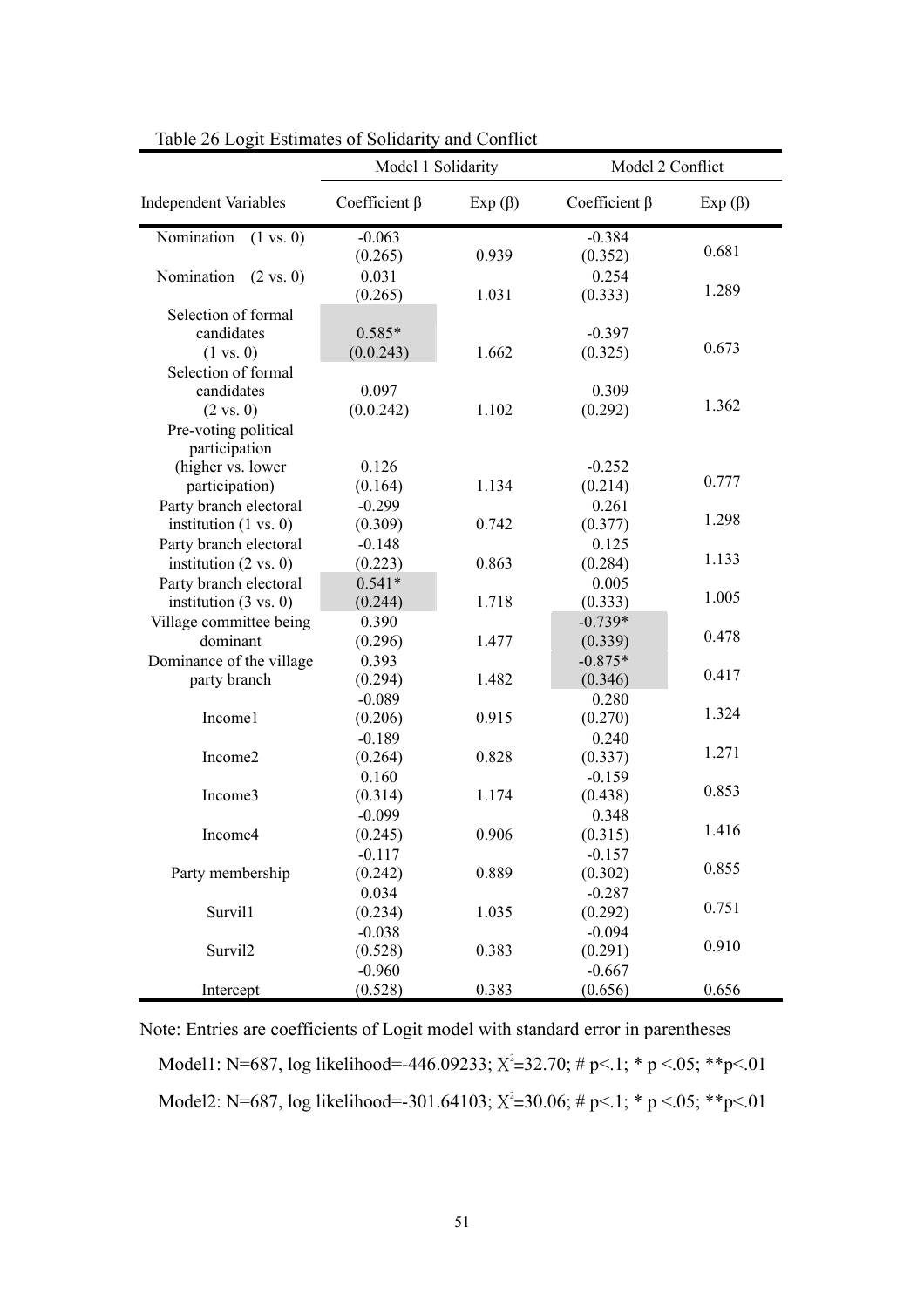|                                    | Model 1 Solidarity  |              |                     | Model 2 Conflict |  |  |
|------------------------------------|---------------------|--------------|---------------------|------------------|--|--|
| <b>Independent Variables</b>       | Coefficient $\beta$ | $Exp(\beta)$ | Coefficient $\beta$ | $Exp(\beta)$     |  |  |
| Nomination<br>$(1 \text{ vs. } 0)$ | $-0.063$            |              | $-0.384$            |                  |  |  |
|                                    | (0.265)             | 0.939        | (0.352)             | 0.681            |  |  |
| Nomination<br>$(2 \text{ vs. } 0)$ | 0.031               |              | 0.254               |                  |  |  |
|                                    | (0.265)             | 1.031        | (0.333)             | 1.289            |  |  |
| Selection of formal                |                     |              |                     |                  |  |  |
| candidates                         | $0.585*$            |              | $-0.397$            |                  |  |  |
| $(1 \text{ vs. } 0)$               | (0.0.243)           | 1.662        | (0.325)             | 0.673            |  |  |
| Selection of formal                |                     |              |                     |                  |  |  |
| candidates                         | 0.097               |              | 0.309               |                  |  |  |
| $(2 \text{ vs. } 0)$               | (0.0.242)           | 1.102        | (0.292)             | 1.362            |  |  |
| Pre-voting political               |                     |              |                     |                  |  |  |
| participation                      |                     |              |                     |                  |  |  |
| (higher vs. lower                  | 0.126               |              | $-0.252$            |                  |  |  |
| participation)                     | (0.164)             | 1.134        | (0.214)             | 0.777            |  |  |
| Party branch electoral             | $-0.299$            |              | 0.261               |                  |  |  |
| institution $(1 \text{ vs. } 0)$   | (0.309)             | 0.742        | (0.377)             | 1.298            |  |  |
| Party branch electoral             | $-0.148$            |              | 0.125               |                  |  |  |
| institution $(2 \text{ vs. } 0)$   | (0.223)             | 0.863        | (0.284)             | 1.133            |  |  |
| Party branch electoral             | $0.541*$            |              | 0.005               |                  |  |  |
| institution $(3 \text{ vs. } 0)$   | (0.244)             | 1.718        | (0.333)             | 1.005            |  |  |
| Village committee being            | 0.390               |              | $-0.739*$           |                  |  |  |
| dominant                           | (0.296)             | 1.477        | (0.339)             | 0.478            |  |  |
| Dominance of the village           | 0.393               |              | $-0.875*$           |                  |  |  |
| party branch                       | (0.294)             | 1.482        | (0.346)             | 0.417            |  |  |
|                                    | $-0.089$            |              | 0.280               |                  |  |  |
| Income1                            | (0.206)             | 0.915        | (0.270)             | 1.324            |  |  |
|                                    | $-0.189$            |              | 0.240               |                  |  |  |
| Income2                            | (0.264)             | 0.828        | (0.337)             | 1.271            |  |  |
|                                    | 0.160               |              | $-0.159$            |                  |  |  |
| Income3                            | (0.314)             | 1.174        | (0.438)             | 0.853            |  |  |
|                                    | $-0.099$            |              | 0.348               |                  |  |  |
| Income4                            | (0.245)             | 0.906        | (0.315)             | 1.416            |  |  |
|                                    | $-0.117$            |              | $-0.157$            |                  |  |  |
| Party membership                   | (0.242)             | 0.889        | (0.302)             | 0.855            |  |  |
|                                    | 0.034               |              | $-0.287$            |                  |  |  |
| Survil1                            | (0.234)             | 1.035        | (0.292)             | 0.751            |  |  |
|                                    | $-0.038$            |              | $-0.094$            |                  |  |  |
| Survil2                            | (0.528)             | 0.383        | (0.291)             | 0.910            |  |  |
|                                    | $-0.960$            |              | $-0.667$            |                  |  |  |
| Intercept                          | (0.528)             | 0.383        | (0.656)             | 0.656            |  |  |

Table 26 Logit Estimates of Solidarity and Conflict

Note: Entries are coefficients of Logit model with standard error in parentheses Model1: N=687, log likelihood=-446.09233;  $X^2$ =32.70; # p<.1; \* p <.05; \*\*p<.01 Model2: N=687, log likelihood=-301.64103;  $X^2$ =30.06; # p<.1; \* p <.05; \*\*p<.01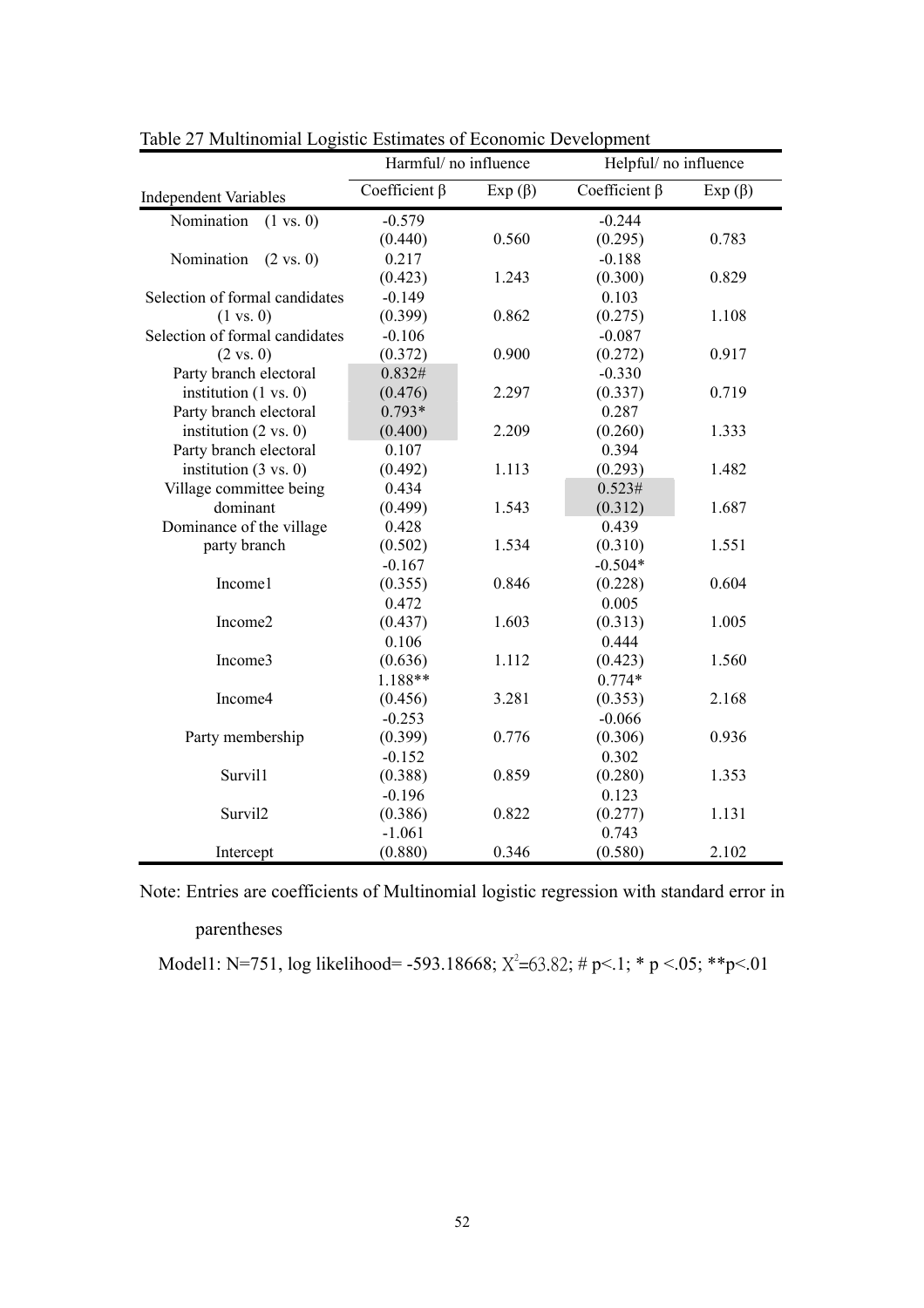|                                    | Harmful/ no influence |              | Helpful/ no influence |              |
|------------------------------------|-----------------------|--------------|-----------------------|--------------|
| <b>Independent Variables</b>       | Coefficient $\beta$   | $Exp(\beta)$ | Coefficient $\beta$   | $Exp(\beta)$ |
| Nomination<br>$(1 \text{ vs. } 0)$ | $-0.579$              |              | $-0.244$              |              |
|                                    | (0.440)               | 0.560        | (0.295)               | 0.783        |
| Nomination<br>$(2 \text{ vs. } 0)$ | 0.217                 |              | $-0.188$              |              |
|                                    | (0.423)               | 1.243        | (0.300)               | 0.829        |
| Selection of formal candidates     | $-0.149$              |              | 0.103                 |              |
| $(1 \text{ vs. } 0)$               | (0.399)               | 0.862        | (0.275)               | 1.108        |
| Selection of formal candidates     | $-0.106$              |              | $-0.087$              |              |
| $(2 \text{ vs. } 0)$               | (0.372)               | 0.900        | (0.272)               | 0.917        |
| Party branch electoral             | 0.832#                |              | $-0.330$              |              |
| institution $(1 \text{ vs. } 0)$   | (0.476)               | 2.297        | (0.337)               | 0.719        |
| Party branch electoral             | $0.793*$              |              | 0.287                 |              |
| institution $(2 \text{ vs. } 0)$   | (0.400)               | 2.209        | (0.260)               | 1.333        |
| Party branch electoral             | 0.107                 |              | 0.394                 |              |
| institution $(3 \text{ vs. } 0)$   | (0.492)               | 1.113        | (0.293)               | 1.482        |
| Village committee being            | 0.434                 |              | 0.523#                |              |
| dominant                           | (0.499)               | 1.543        | (0.312)               | 1.687        |
| Dominance of the village           | 0.428                 |              | 0.439                 |              |
| party branch                       | (0.502)               | 1.534        | (0.310)               | 1.551        |
|                                    | $-0.167$              |              | $-0.504*$             |              |
| Income1                            | (0.355)               | 0.846        | (0.228)               | 0.604        |
|                                    | 0.472                 |              | 0.005                 |              |
| Income2                            | (0.437)               | 1.603        | (0.313)               | 1.005        |
|                                    | 0.106                 |              | 0.444                 |              |
| Income3                            | (0.636)               | 1.112        | (0.423)               | 1.560        |
|                                    | 1.188**               |              | $0.774*$              |              |
| Income4                            | (0.456)               | 3.281        | (0.353)               | 2.168        |
|                                    | $-0.253$              |              | $-0.066$              |              |
| Party membership                   | (0.399)               | 0.776        | (0.306)               | 0.936        |
|                                    | $-0.152$              |              | 0.302                 |              |
| Survil1                            | (0.388)               | 0.859        | (0.280)               | 1.353        |
|                                    | $-0.196$              |              | 0.123                 |              |
| Survil2                            | (0.386)               | 0.822        | (0.277)               | 1.131        |
|                                    | $-1.061$              |              | 0.743                 |              |
| Intercept                          | (0.880)               | 0.346        | (0.580)               | 2.102        |

Table 27 Multinomial Logistic Estimates of Economic Development

Note: Entries are coefficients of Multinomial logistic regression with standard error in

## parentheses

Model1: N=751, log likelihood= -593.18668;  $X^2$ =63.82; # p<.1; \* p <.05; \*\*p<.01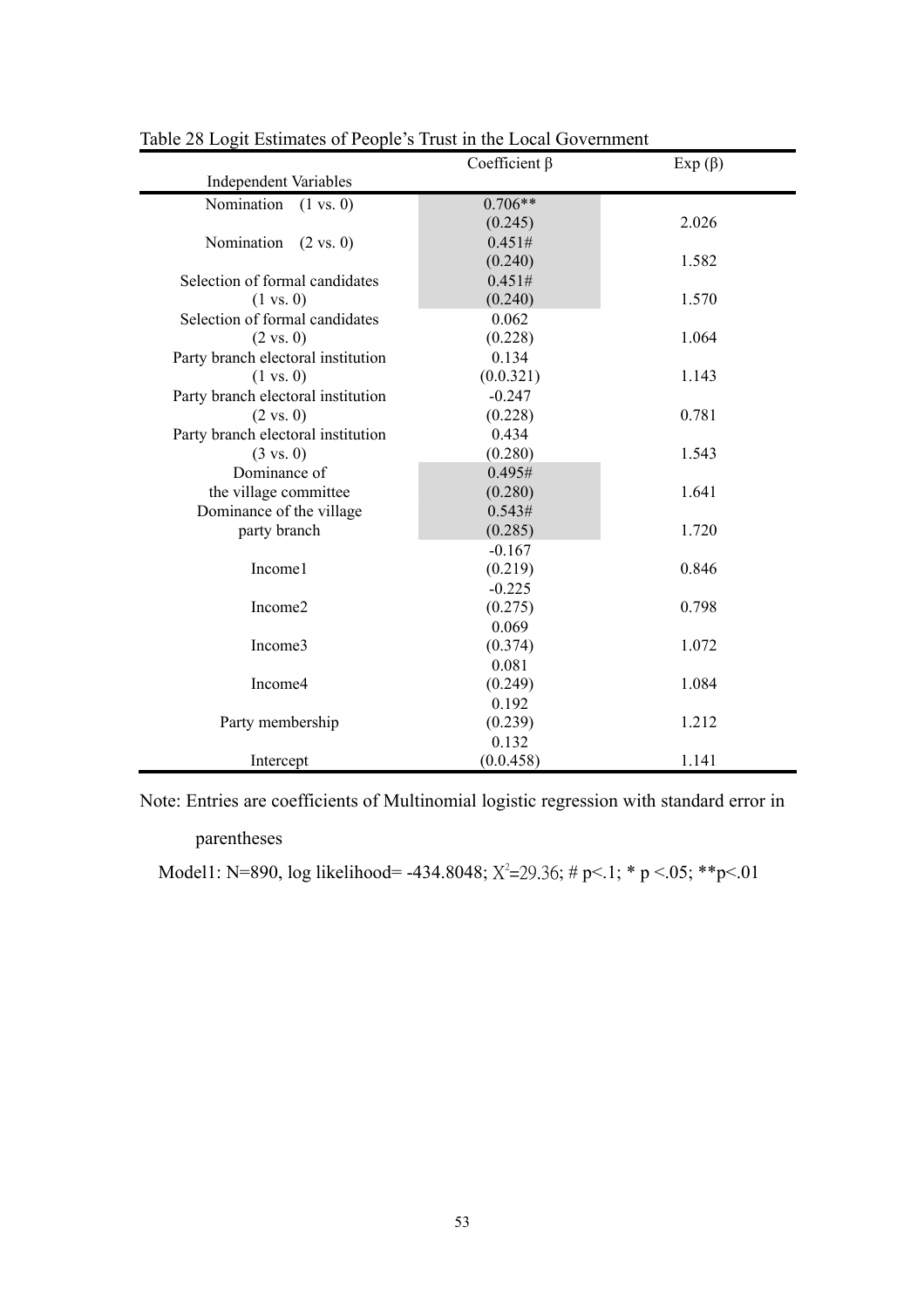|                                    | Coefficient $\beta$ | $Exp(\beta)$ |
|------------------------------------|---------------------|--------------|
| <b>Independent Variables</b>       |                     |              |
| Nomination<br>$(1 \text{ vs. } 0)$ | $0.706**$           |              |
|                                    | (0.245)             | 2.026        |
| Nomination<br>$(2 \text{ vs. } 0)$ | 0.451#              |              |
|                                    | (0.240)             | 1.582        |
| Selection of formal candidates     | 0.451#              |              |
| $(1 \text{ vs. } 0)$               | (0.240)             | 1.570        |
| Selection of formal candidates     | 0.062               |              |
| $(2 \text{ vs. } 0)$               | (0.228)             | 1.064        |
| Party branch electoral institution | 0.134               |              |
| $(1 \text{ vs. } 0)$               | (0.0.321)           | 1.143        |
| Party branch electoral institution | $-0.247$            |              |
| $(2 \text{ vs. } 0)$               | (0.228)             | 0.781        |
| Party branch electoral institution | 0.434               |              |
| $(3 \text{ vs. } 0)$               | (0.280)             | 1.543        |
| Dominance of                       | 0.495#              |              |
| the village committee              | (0.280)             | 1.641        |
| Dominance of the village           | 0.543#              |              |
| party branch                       | (0.285)             | 1.720        |
|                                    | $-0.167$            |              |
| Income1                            | (0.219)             | 0.846        |
|                                    | $-0.225$            |              |
| Income2                            | (0.275)             | 0.798        |
|                                    | 0.069               |              |
| Income3                            | (0.374)             | 1.072        |
|                                    | 0.081               |              |
| Income4                            | (0.249)             | 1.084        |
|                                    | 0.192               |              |
| Party membership                   | (0.239)             | 1.212        |
|                                    | 0.132               |              |
| Intercept                          | (0.0.458)           | 1.141        |

Table 28 Logit Estimates of People's Trust in the Local Government

Note: Entries are coefficients of Multinomial logistic regression with standard error in

parentheses

Model1: N=890, log likelihood= -434.8048;  $X^2 = 29.36$ ; # p<.1; \* p <.05; \*\* p <.01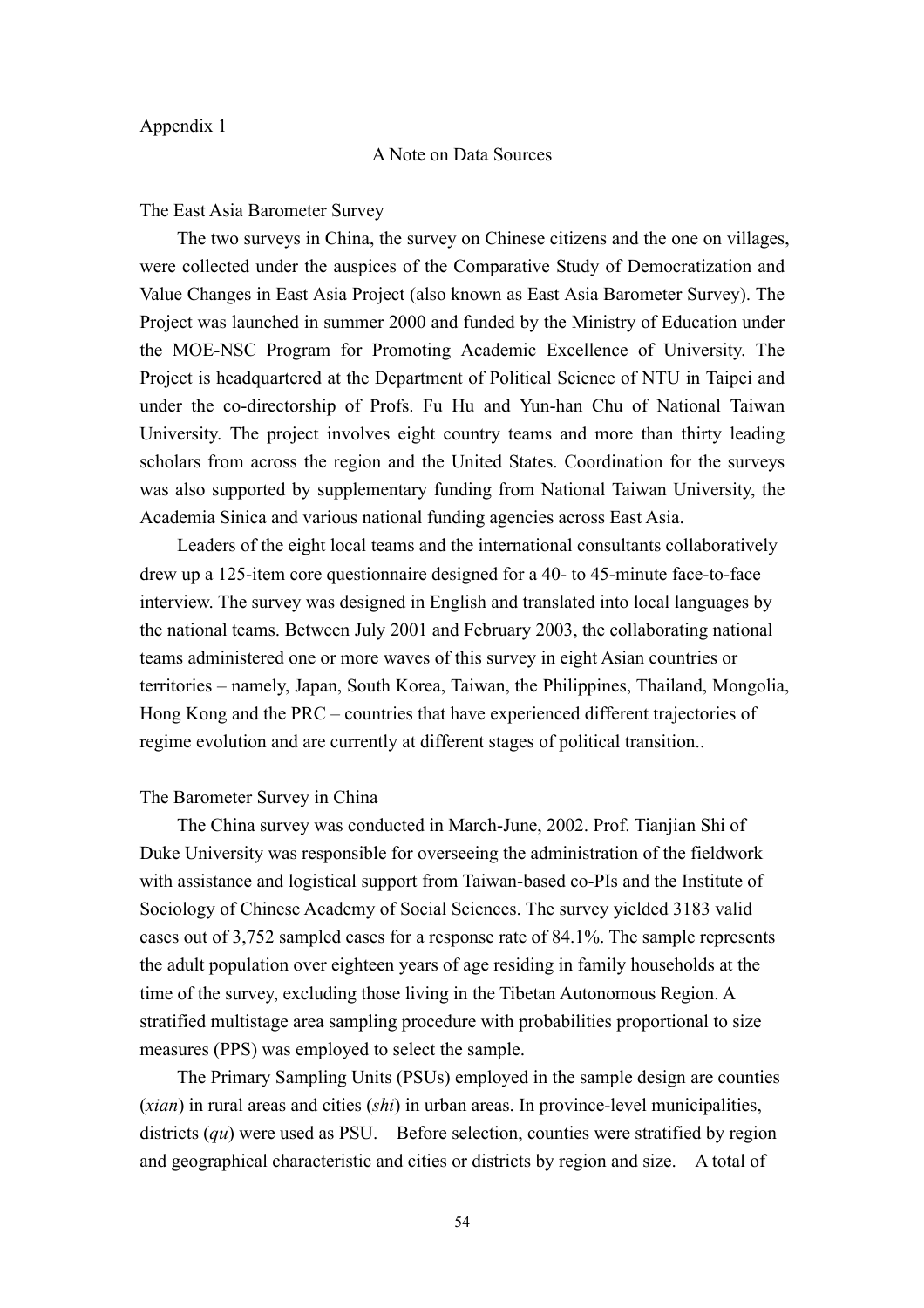#### Appendix 1

#### A Note on Data Sources

The East Asia Barometer Survey

The two surveys in China, the survey on Chinese citizens and the one on villages, were collected under the auspices of the Comparative Study of Democratization and Value Changes in East Asia Project (also known as East Asia Barometer Survey). The Project was launched in summer 2000 and funded by the Ministry of Education under the MOE-NSC Program for Promoting Academic Excellence of University. The Project is headquartered at the Department of Political Science of NTU in Taipei and under the co-directorship of Profs. Fu Hu and Yun-han Chu of National Taiwan University. The project involves eight country teams and more than thirty leading scholars from across the region and the United States. Coordination for the surveys was also supported by supplementary funding from National Taiwan University, the Academia Sinica and various national funding agencies across East Asia.

Leaders of the eight local teams and the international consultants collaboratively drew up a 125-item core questionnaire designed for a 40- to 45-minute face-to-face interview. The survey was designed in English and translated into local languages by the national teams. Between July 2001 and February 2003, the collaborating national teams administered one or more waves of this survey in eight Asian countries or territories – namely, Japan, South Korea, Taiwan, the Philippines, Thailand, Mongolia, Hong Kong and the PRC – countries that have experienced different trajectories of regime evolution and are currently at different stages of political transition..

#### The Barometer Survey in China

The China survey was conducted in March-June, 2002. Prof. Tianjian Shi of Duke University was responsible for overseeing the administration of the fieldwork with assistance and logistical support from Taiwan-based co-PIs and the Institute of Sociology of Chinese Academy of Social Sciences. The survey yielded 3183 valid cases out of 3,752 sampled cases for a response rate of 84.1%. The sample represents the adult population over eighteen years of age residing in family households at the time of the survey, excluding those living in the Tibetan Autonomous Region. A stratified multistage area sampling procedure with probabilities proportional to size measures (PPS) was employed to select the sample.

The Primary Sampling Units (PSUs) employed in the sample design are counties (*xian*) in rural areas and cities (*shi*) in urban areas. In province-level municipalities, districts (*qu*) were used as PSU. Before selection, counties were stratified by region and geographical characteristic and cities or districts by region and size. A total of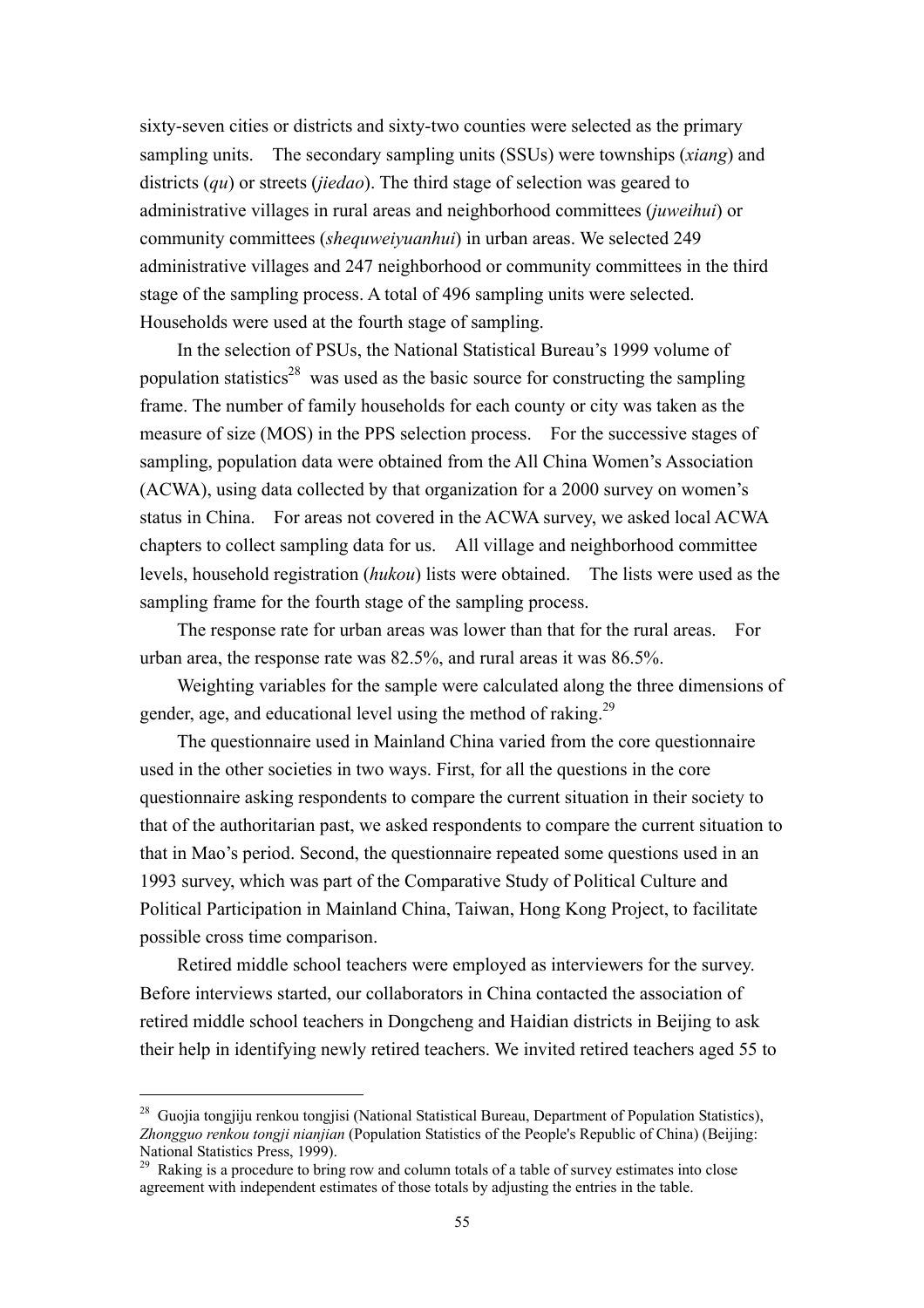sixty-seven cities or districts and sixty-two counties were selected as the primary sampling units. The secondary sampling units (SSUs) were townships (*xiang*) and districts (*qu*) or streets (*jiedao*). The third stage of selection was geared to administrative villages in rural areas and neighborhood committees (*juweihui*) or community committees (*shequweiyuanhui*) in urban areas. We selected 249 administrative villages and 247 neighborhood or community committees in the third stage of the sampling process. A total of 496 sampling units were selected. Households were used at the fourth stage of sampling.

 In the selection of PSUs, the National Statistical Bureau's 1999 volume of population statistics<sup>28</sup> was used as the basic source for constructing the sampling frame. The number of family households for each county or city was taken as the measure of size (MOS) in the PPS selection process. For the successive stages of sampling, population data were obtained from the All China Women's Association (ACWA), using data collected by that organization for a 2000 survey on women's status in China. For areas not covered in the ACWA survey, we asked local ACWA chapters to collect sampling data for us. All village and neighborhood committee levels, household registration (*hukou*) lists were obtained. The lists were used as the sampling frame for the fourth stage of the sampling process.

 The response rate for urban areas was lower than that for the rural areas. For urban area, the response rate was 82.5%, and rural areas it was 86.5%.

Weighting variables for the sample were calculated along the three dimensions of gender, age, and educational level using the method of raking.<sup>29</sup>

The questionnaire used in Mainland China varied from the core questionnaire used in the other societies in two ways. First, for all the questions in the core questionnaire asking respondents to compare the current situation in their society to that of the authoritarian past, we asked respondents to compare the current situation to that in Mao's period. Second, the questionnaire repeated some questions used in an 1993 survey, which was part of the Comparative Study of Political Culture and Political Participation in Mainland China, Taiwan, Hong Kong Project, to facilitate possible cross time comparison.

Retired middle school teachers were employed as interviewers for the survey. Before interviews started, our collaborators in China contacted the association of retired middle school teachers in Dongcheng and Haidian districts in Beijing to ask their help in identifying newly retired teachers. We invited retired teachers aged 55 to

<sup>&</sup>lt;sup>28</sup> Guojia tongjiju renkou tongjisi (National Statistical Bureau, Department of Population Statistics), *Zhongguo renkou tongji nianjian* (Population Statistics of the People's Republic of China) (Beijing: National Statistics Press, 1999).

<sup>&</sup>lt;sup>29</sup> Raking is a procedure to bring row and column totals of a table of survey estimates into close agreement with independent estimates of those totals by adjusting the entries in the table.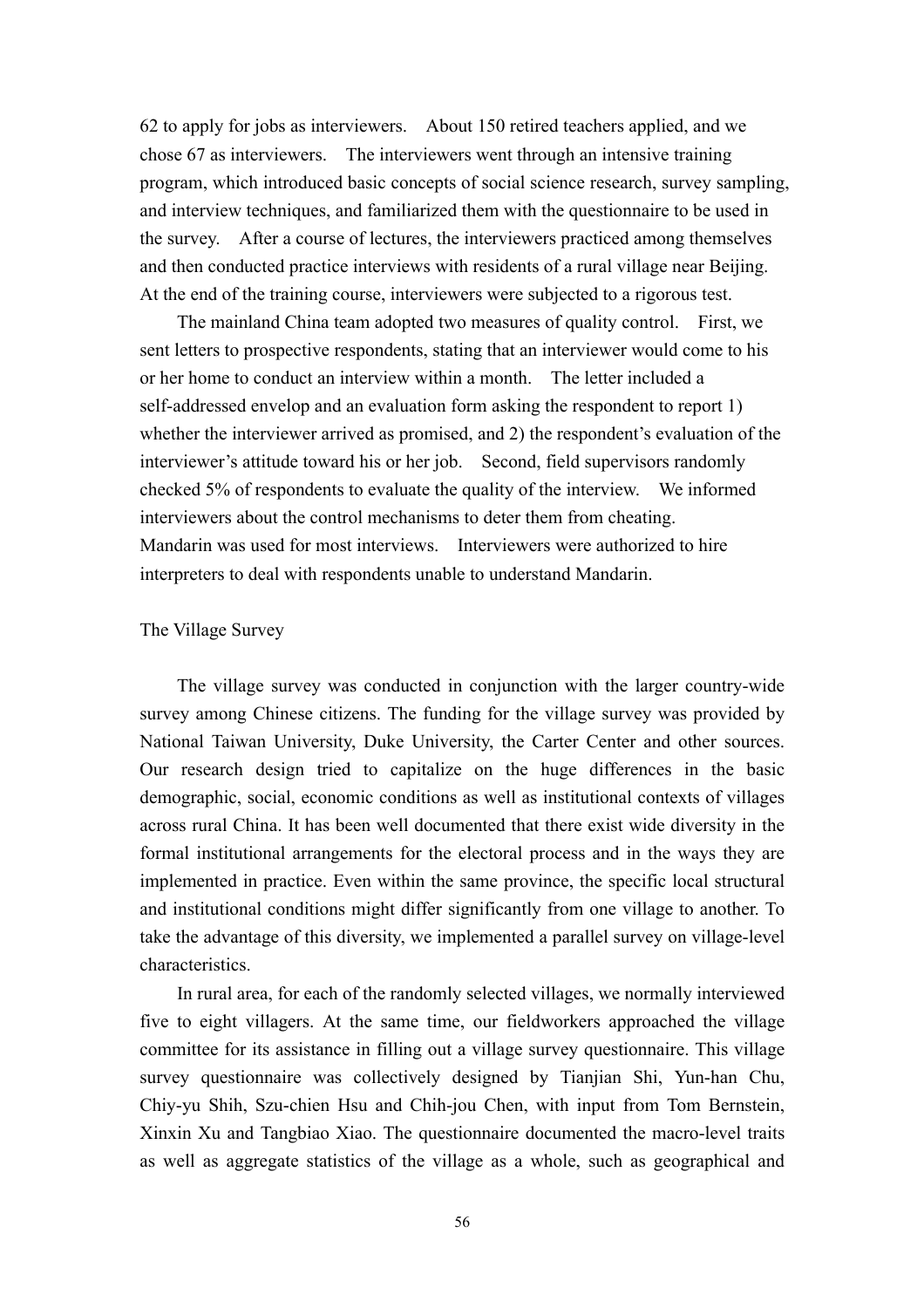62 to apply for jobs as interviewers. About 150 retired teachers applied, and we chose 67 as interviewers. The interviewers went through an intensive training program, which introduced basic concepts of social science research, survey sampling, and interview techniques, and familiarized them with the questionnaire to be used in the survey. After a course of lectures, the interviewers practiced among themselves and then conducted practice interviews with residents of a rural village near Beijing. At the end of the training course, interviewers were subjected to a rigorous test.

The mainland China team adopted two measures of quality control. First, we sent letters to prospective respondents, stating that an interviewer would come to his or her home to conduct an interview within a month. The letter included a self-addressed envelop and an evaluation form asking the respondent to report 1) whether the interviewer arrived as promised, and 2) the respondent's evaluation of the interviewer's attitude toward his or her job. Second, field supervisors randomly checked 5% of respondents to evaluate the quality of the interview. We informed interviewers about the control mechanisms to deter them from cheating. Mandarin was used for most interviews. Interviewers were authorized to hire interpreters to deal with respondents unable to understand Mandarin.

#### The Village Survey

The village survey was conducted in conjunction with the larger country-wide survey among Chinese citizens. The funding for the village survey was provided by National Taiwan University, Duke University, the Carter Center and other sources. Our research design tried to capitalize on the huge differences in the basic demographic, social, economic conditions as well as institutional contexts of villages across rural China. It has been well documented that there exist wide diversity in the formal institutional arrangements for the electoral process and in the ways they are implemented in practice. Even within the same province, the specific local structural and institutional conditions might differ significantly from one village to another. To take the advantage of this diversity, we implemented a parallel survey on village-level characteristics.

 In rural area, for each of the randomly selected villages, we normally interviewed five to eight villagers. At the same time, our fieldworkers approached the village committee for its assistance in filling out a village survey questionnaire. This village survey questionnaire was collectively designed by Tianjian Shi, Yun-han Chu, Chiy-yu Shih, Szu-chien Hsu and Chih-jou Chen, with input from Tom Bernstein, Xinxin Xu and Tangbiao Xiao. The questionnaire documented the macro-level traits as well as aggregate statistics of the village as a whole, such as geographical and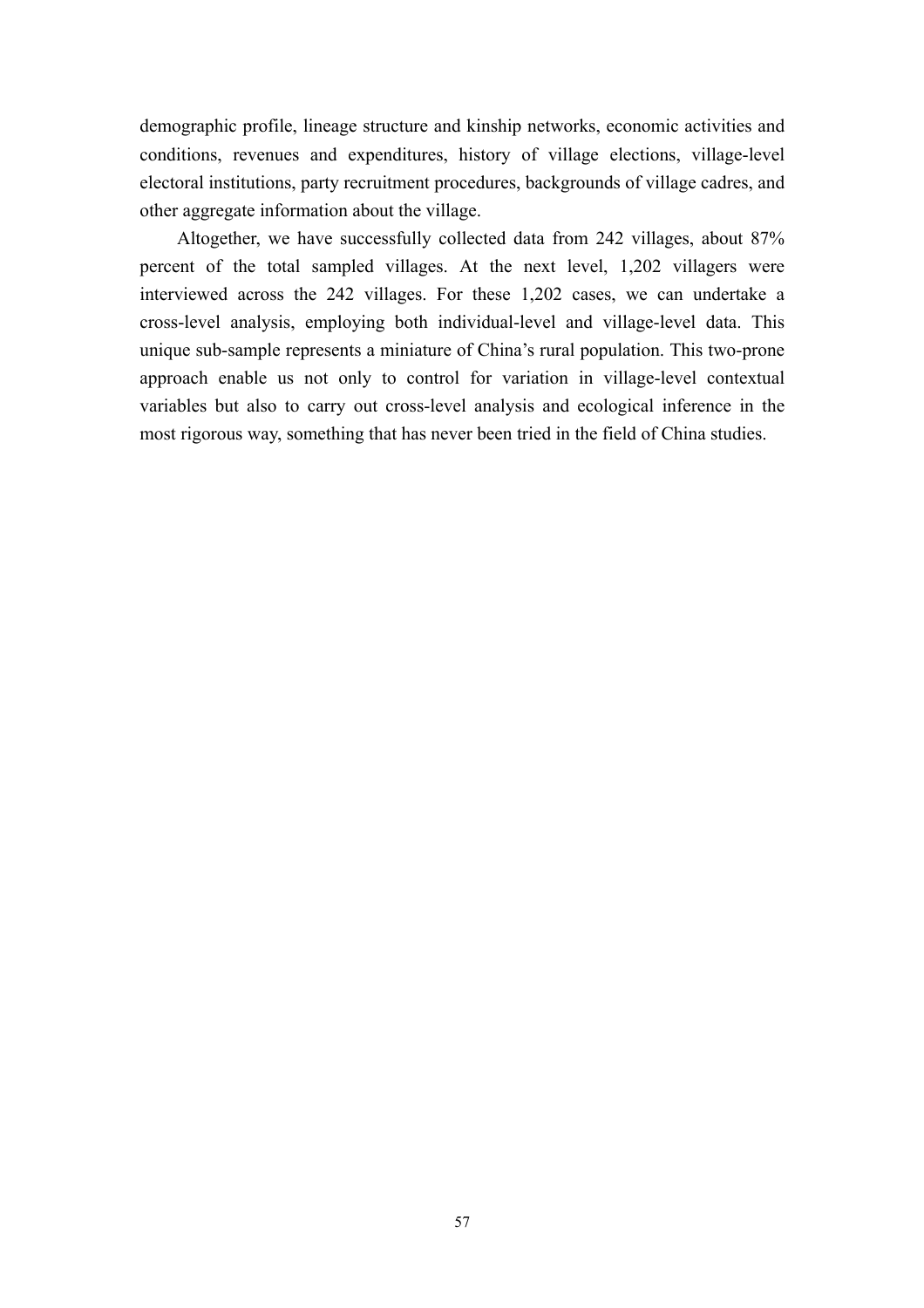demographic profile, lineage structure and kinship networks, economic activities and conditions, revenues and expenditures, history of village elections, village-level electoral institutions, party recruitment procedures, backgrounds of village cadres, and other aggregate information about the village.

 Altogether, we have successfully collected data from 242 villages, about 87% percent of the total sampled villages. At the next level, 1,202 villagers were interviewed across the 242 villages. For these 1,202 cases, we can undertake a cross-level analysis, employing both individual-level and village-level data. This unique sub-sample represents a miniature of China's rural population. This two-prone approach enable us not only to control for variation in village-level contextual variables but also to carry out cross-level analysis and ecological inference in the most rigorous way, something that has never been tried in the field of China studies.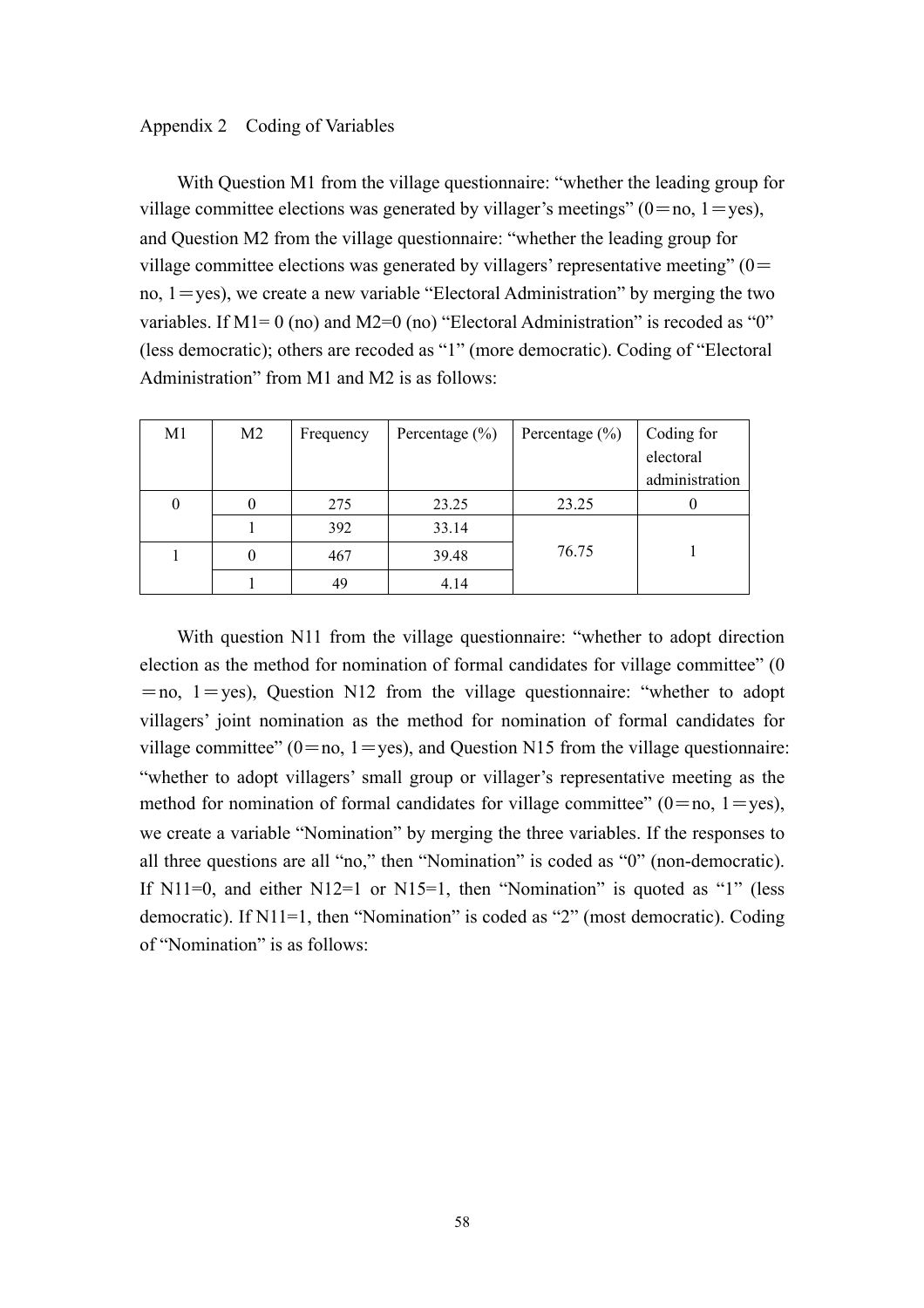#### Appendix 2 Coding of Variables

With Question M1 from the village questionnaire: "whether the leading group for village committee elections was generated by villager's meetings" ( $0=$ no,  $1=$ yes), and Question M2 from the village questionnaire: "whether the leading group for village committee elections was generated by villagers' representative meeting"  $(0=$ no,  $1 = yes$ ), we create a new variable "Electoral Administration" by merging the two variables. If  $M1=0$  (no) and  $M2=0$  (no) "Electoral Administration" is recoded as "0" (less democratic); others are recoded as "1" (more democratic). Coding of "Electoral Administration" from M1 and M2 is as follows:

| M <sub>1</sub> | M <sub>2</sub> | Frequency | Percentage $(\% )$ | Percentage $(\% )$ | Coding for     |
|----------------|----------------|-----------|--------------------|--------------------|----------------|
|                |                |           |                    |                    | electoral      |
|                |                |           |                    |                    | administration |
| $\bf{0}$       |                | 275       | 23.25              | 23.25              |                |
|                |                | 392       | 33.14              |                    |                |
|                |                | 467       | 39.48              | 76.75              |                |
|                |                | 49        | 4.14               |                    |                |

With question N11 from the village questionnaire: "whether to adopt direction election as the method for nomination of formal candidates for village committee" (0  $=$ no, 1 $=$ yes), Question N12 from the village questionnaire: "whether to adopt villagers' joint nomination as the method for nomination of formal candidates for village committee" ( $0 = no$ ,  $1 = yes$ ), and Question N15 from the village questionnaire: "whether to adopt villagers' small group or villager's representative meeting as the method for nomination of formal candidates for village committee" ( $0=$ no,  $1=$ yes), we create a variable "Nomination" by merging the three variables. If the responses to all three questions are all "no," then "Nomination" is coded as "0" (non-democratic). If  $N11=0$ , and either  $N12=1$  or  $N15=1$ , then "Nomination" is quoted as "1" (less democratic). If N11=1, then "Nomination" is coded as "2" (most democratic). Coding of "Nomination" is as follows: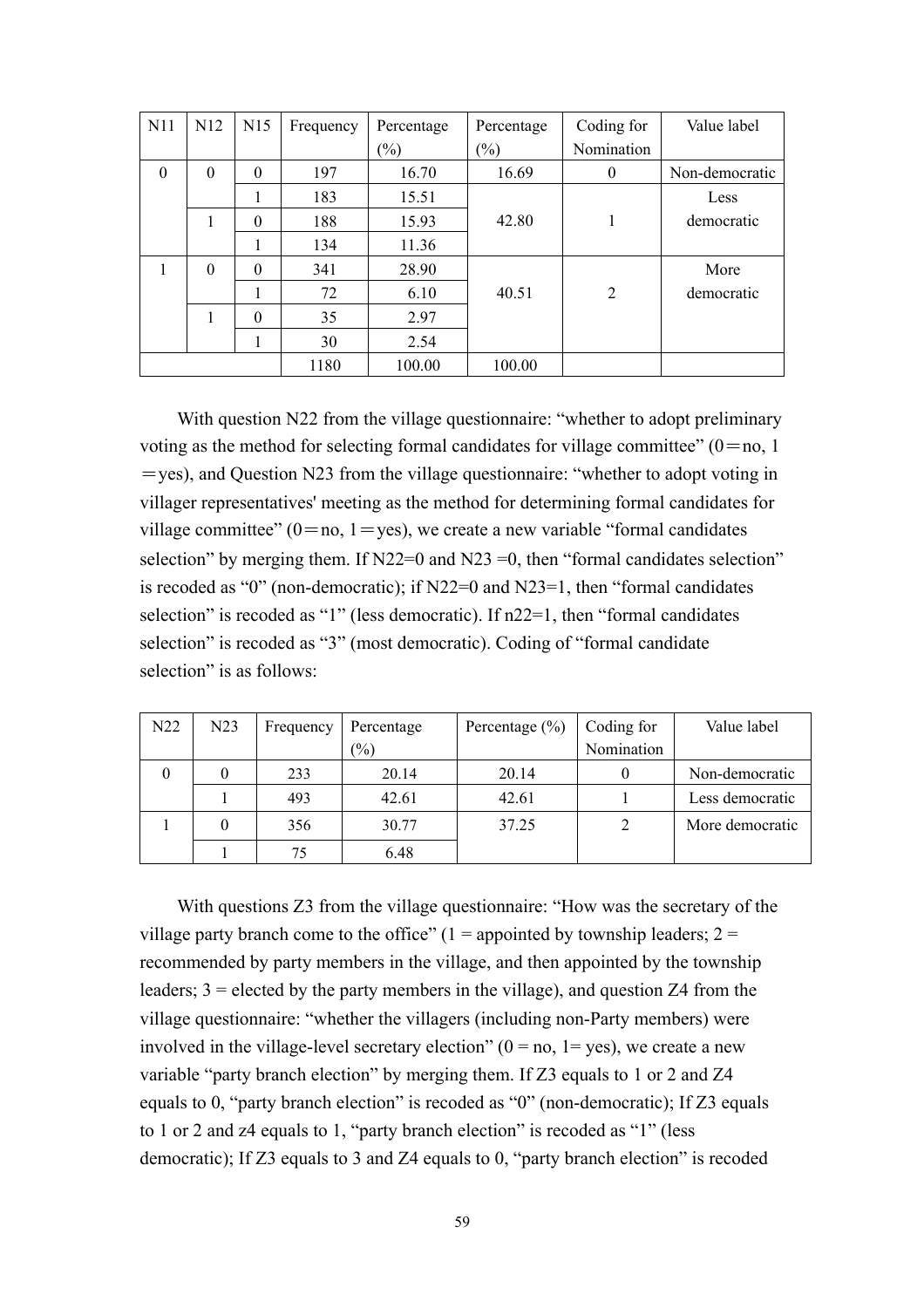| N11      | N12      | N15      | Frequency | Percentage | Percentage                 | Coding for     | Value label    |
|----------|----------|----------|-----------|------------|----------------------------|----------------|----------------|
|          |          |          |           | $(\%)$     | $\left(\frac{0}{0}\right)$ | Nomination     |                |
| $\theta$ | $\theta$ | $\Omega$ | 197       | 16.70      | 16.69                      | $\theta$       | Non-democratic |
|          |          |          | 183       | 15.51      |                            |                | Less           |
|          | 1        | $\Omega$ | 188       | 15.93      | 42.80                      |                | democratic     |
|          |          |          | 134       | 11.36      |                            |                |                |
|          | $\theta$ | $\Omega$ | 341       | 28.90      |                            |                | More           |
|          |          |          | 72        | 6.10       | 40.51                      | $\overline{2}$ | democratic     |
|          | 1        | $\theta$ | 35        | 2.97       |                            |                |                |
|          |          |          | 30        | 2.54       |                            |                |                |
|          |          |          | 1180      | 100.00     | 100.00                     |                |                |

With question N22 from the village questionnaire: "whether to adopt preliminary voting as the method for selecting formal candidates for village committee"  $(0=no, 1)$  $=$ yes), and Question N23 from the village questionnaire: "whether to adopt voting in villager representatives' meeting as the method for determining formal candidates for village committee"  $(0=no, 1=yes)$ , we create a new variable "formal candidates" selection" by merging them. If  $N22=0$  and  $N23=0$ , then "formal candidates selection" is recoded as "0" (non-democratic); if N22=0 and N23=1, then "formal candidates selection" is recoded as "1" (less democratic). If n22=1, then "formal candidates selection" is recoded as "3" (most democratic). Coding of "formal candidate selection" is as follows:

| N <sub>22</sub> | N23 | Frequency | Percentage | Percentage $(\% )$ | Coding for | Value label     |
|-----------------|-----|-----------|------------|--------------------|------------|-----------------|
|                 |     |           | (%)        |                    | Nomination |                 |
| 0               |     | 233       | 20.14      | 20.14              |            | Non-democratic  |
|                 |     | 493       | 42.61      | 42.61              |            | Less democratic |
|                 |     | 356       | 30.77      | 37.25              |            | More democratic |
|                 |     | 75        | 6.48       |                    |            |                 |

With questions Z3 from the village questionnaire: "How was the secretary of the village party branch come to the office"  $(1 =$  appointed by township leaders;  $2 =$ recommended by party members in the village, and then appointed by the township leaders;  $3 =$  elected by the party members in the village), and question Z4 from the village questionnaire: "whether the villagers (including non-Party members) were involved in the village-level secretary election"  $(0 = no, 1 = yes)$ , we create a new variable "party branch election" by merging them. If Z3 equals to 1 or 2 and Z4 equals to 0, "party branch election" is recoded as "0" (non-democratic); If Z3 equals to 1 or 2 and z4 equals to 1, "party branch election" is recoded as "1" (less democratic); If Z3 equals to 3 and Z4 equals to 0, "party branch election" is recoded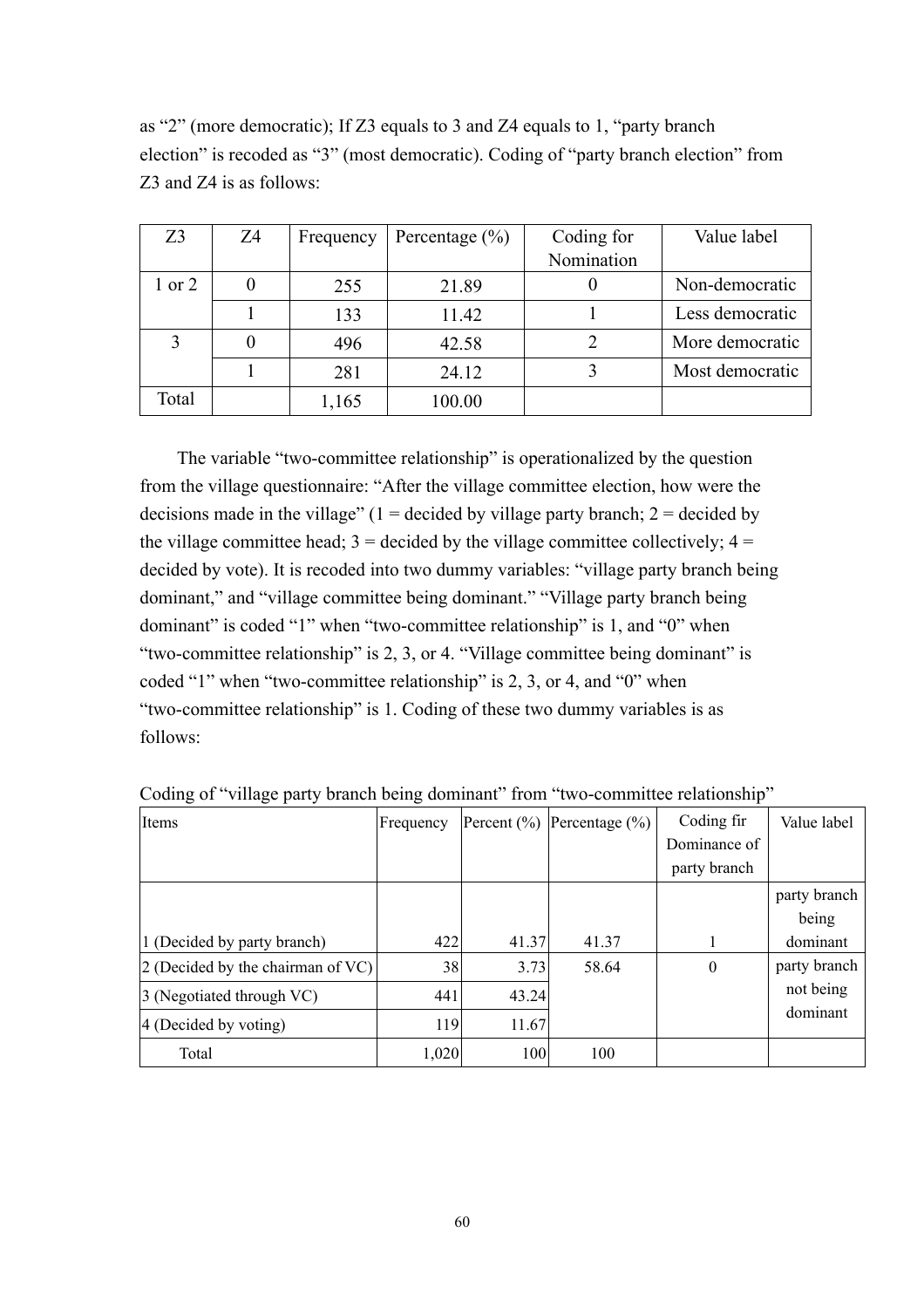| Z <sub>3</sub> | Z4 | Frequency | Percentage $(\% )$ | Coding for<br>Nomination | Value label     |
|----------------|----|-----------|--------------------|--------------------------|-----------------|
|                |    |           |                    |                          |                 |
| $1$ or $2$     |    | 255       | 21.89              |                          | Non-democratic  |
|                |    | 133       | 11.42              |                          | Less democratic |
|                |    | 496       | 42.58              |                          | More democratic |
|                |    | 281       | 24.12              |                          | Most democratic |
| Total          |    | 1,165     | 100.00             |                          |                 |

as "2" (more democratic); If Z3 equals to 3 and Z4 equals to 1, "party branch election" is recoded as "3" (most democratic). Coding of "party branch election" from Z3 and Z4 is as follows:

The variable "two-committee relationship" is operationalized by the question from the village questionnaire: "After the village committee election, how were the decisions made in the village"  $(1 = \text{decided by village party branch}; 2 = \text{decided by }$ the village committee head;  $3 =$  decided by the village committee collectively;  $4 =$ decided by vote). It is recoded into two dummy variables: "village party branch being dominant," and "village committee being dominant." "Village party branch being dominant" is coded "1" when "two-committee relationship" is 1, and "0" when "two-committee relationship" is 2, 3, or 4. "Village committee being dominant" is coded "1" when "two-committee relationship" is 2, 3, or 4, and "0" when "two-committee relationship" is 1. Coding of these two dummy variables is as follows:

| Items                             | Frequency |       | Percent $(\%)$ Percentage $(\%)$ | Coding fir       | Value label  |
|-----------------------------------|-----------|-------|----------------------------------|------------------|--------------|
|                                   |           |       |                                  | Dominance of     |              |
|                                   |           |       |                                  | party branch     |              |
|                                   |           |       |                                  |                  | party branch |
|                                   |           |       |                                  |                  | being        |
| 1 (Decided by party branch)       | 422       | 41.37 | 41.37                            |                  | dominant     |
| 2 (Decided by the chairman of VC) | 38        | 3.73  | 58.64                            | $\boldsymbol{0}$ | party branch |
| 3 (Negotiated through VC)         | 441       | 43.24 |                                  |                  | not being    |
| 4 (Decided by voting)             | 119       | 11.67 |                                  |                  | dominant     |
| Total                             | 1,020     | 100   | 100                              |                  |              |

Coding of "village party branch being dominant" from "two-committee relationship"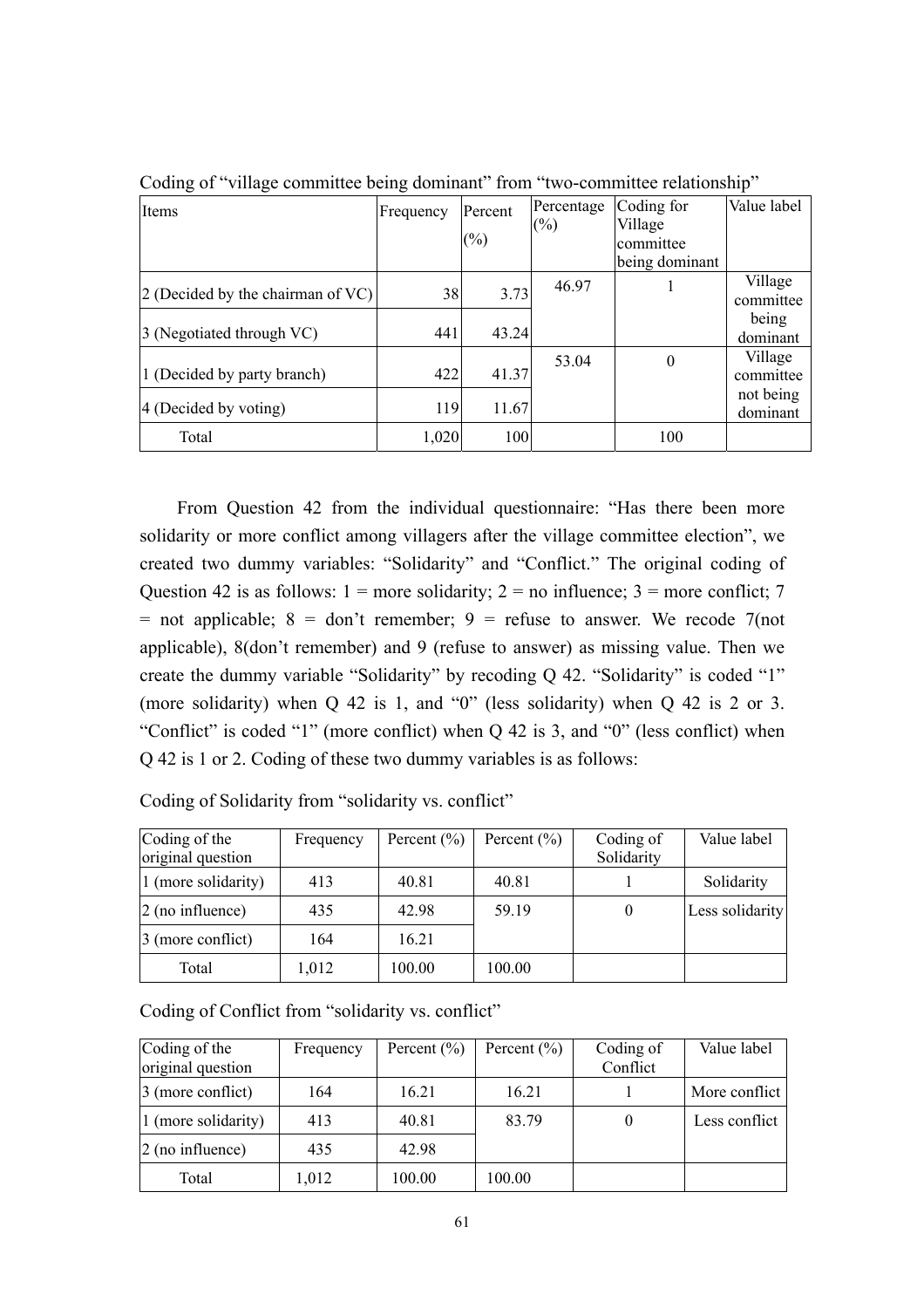| Items                               | Frequency | Percent<br>$(\%)$ | Percentage<br>$(\%)$ | Coding for<br>Village<br>committee<br>being dominant | Value label           |
|-------------------------------------|-----------|-------------------|----------------------|------------------------------------------------------|-----------------------|
| $2$ (Decided by the chairman of VC) | 38        | 3.73              | 46.97                |                                                      | Village<br>committee  |
| 3 (Negotiated through VC)           | 441       | 43.24             |                      |                                                      | being<br>dominant     |
| 1 (Decided by party branch)         | 422       | 41.37             | 53.04                | $\theta$                                             | Village<br>committee  |
| 4 (Decided by voting)               | 119       | 11.67             |                      |                                                      | not being<br>dominant |
| Total                               | 1,020     | 100               |                      | 100                                                  |                       |

Coding of "village committee being dominant" from "two-committee relationship"

From Question 42 from the individual questionnaire: "Has there been more solidarity or more conflict among villagers after the village committee election", we created two dummy variables: "Solidarity" and "Conflict." The original coding of Question 42 is as follows:  $1 =$  more solidarity;  $2 =$  no influence;  $3 =$  more conflict; 7 = not applicable;  $8 =$  don't remember;  $9 =$  refuse to answer. We recode 7(not applicable), 8(don't remember) and 9 (refuse to answer) as missing value. Then we create the dummy variable "Solidarity" by recoding Q 42. "Solidarity" is coded "1" (more solidarity) when Q 42 is 1, and "0" (less solidarity) when Q 42 is 2 or 3. "Conflict" is coded "1" (more conflict) when Q 42 is 3, and "0" (less conflict) when Q 42 is 1 or 2. Coding of these two dummy variables is as follows:

| Coding of the<br>original question | Frequency | Percent $(\% )$ | Percent $(\% )$ | Coding of<br>Solidarity | Value label     |
|------------------------------------|-----------|-----------------|-----------------|-------------------------|-----------------|
| 1 (more solidarity)                | 413       | 40.81           | 40.81           |                         | Solidarity      |
| $2$ (no influence)                 | 435       | 42.98           | 59.19           | $\theta$                | Less solidarity |
| 3 (more conflict)                  | 164       | 16.21           |                 |                         |                 |
| Total                              | 1,012     | 100.00          | 100.00          |                         |                 |

Coding of Solidarity from "solidarity vs. conflict"

Coding of Conflict from "solidarity vs. conflict"

| Coding of the<br>original question | Frequency | Percent $(\% )$ | Percent $(\% )$ | Coding of<br>Conflict | Value label   |
|------------------------------------|-----------|-----------------|-----------------|-----------------------|---------------|
|                                    |           |                 |                 |                       |               |
| 3 (more conflict)                  | 164       | 16.21           | 16.21           |                       | More conflict |
| 1 (more solidarity)                | 413       | 40.81           | 83.79           |                       | Less conflict |
| $\alpha$ (no influence)            | 435       | 42.98           |                 |                       |               |
| Total                              | 1,012     | 100.00          | 100.00          |                       |               |